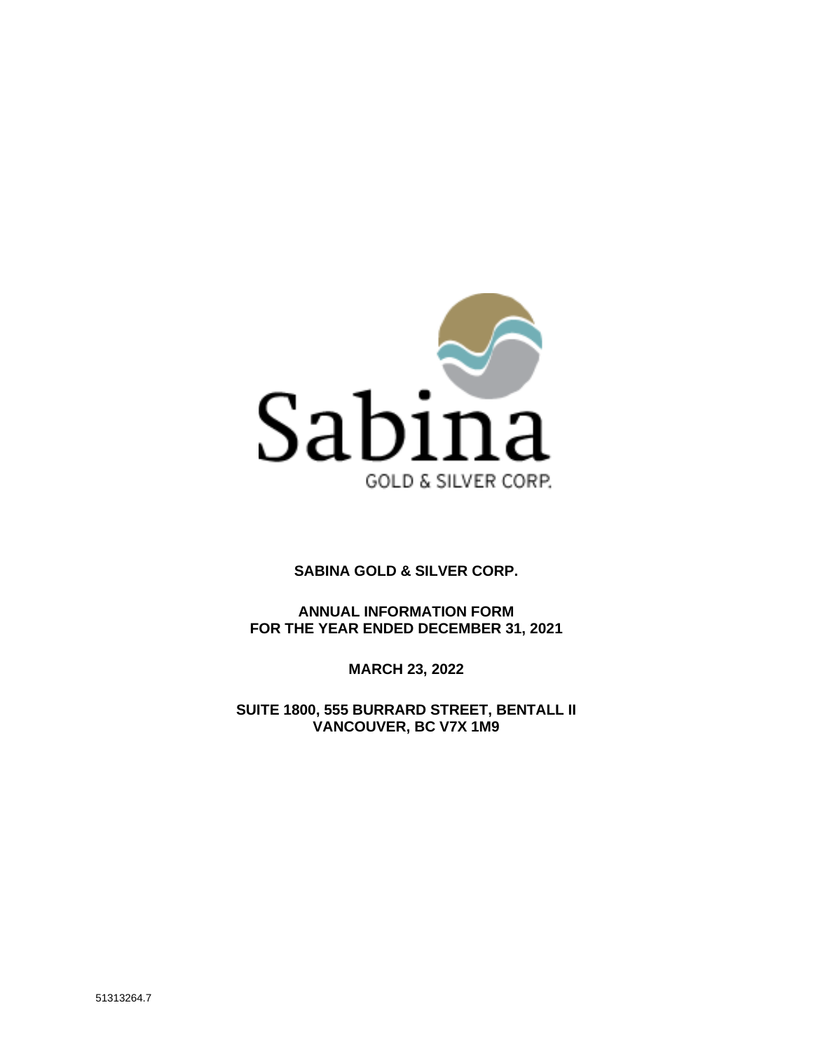

# **SABINA GOLD & SILVER CORP.**

**ANNUAL INFORMATION FORM FOR THE YEAR ENDED DECEMBER 31, 2021**

**MARCH 23, 2022**

**SUITE 1800, 555 BURRARD STREET, BENTALL II VANCOUVER, BC V7X 1M9**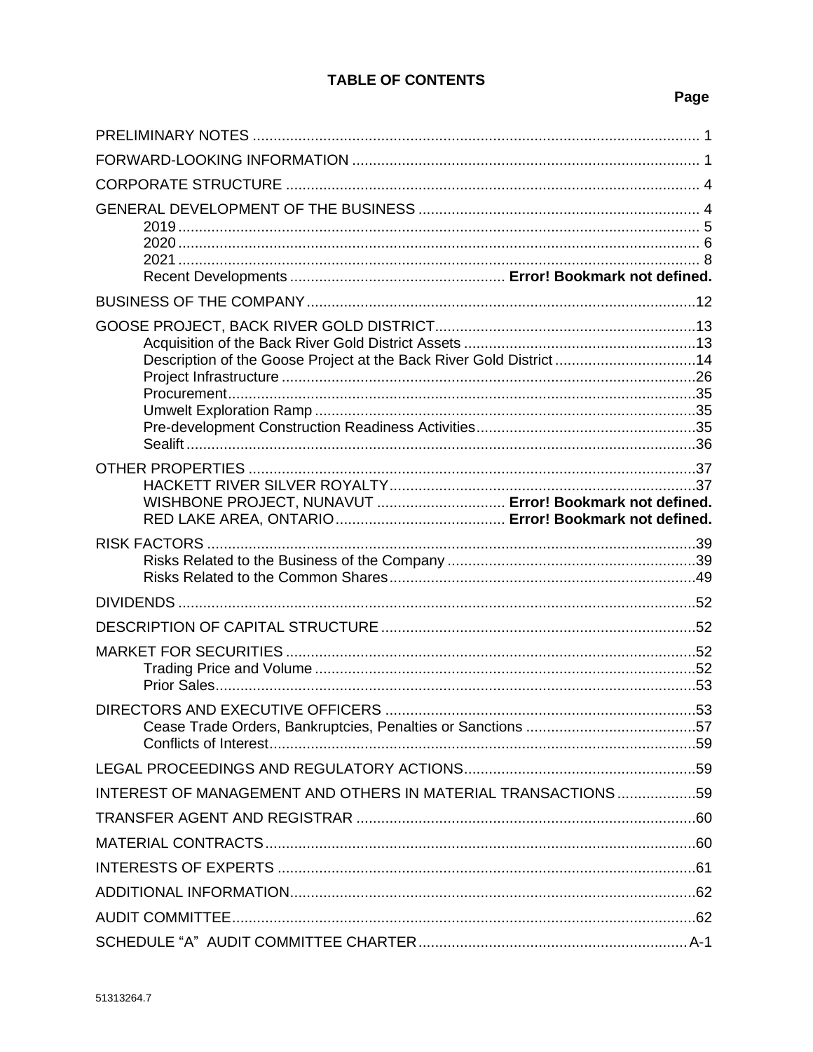# **TABLE OF CONTENTS**

# Page

| Description of the Goose Project at the Back River Gold District 14 |  |
|---------------------------------------------------------------------|--|
| WISHBONE PROJECT, NUNAVUT  Error! Bookmark not defined.             |  |
|                                                                     |  |
|                                                                     |  |
|                                                                     |  |
|                                                                     |  |
|                                                                     |  |
|                                                                     |  |
| INTEREST OF MANAGEMENT AND OTHERS IN MATERIAL TRANSACTIONS59        |  |
|                                                                     |  |
|                                                                     |  |
|                                                                     |  |
|                                                                     |  |
|                                                                     |  |
|                                                                     |  |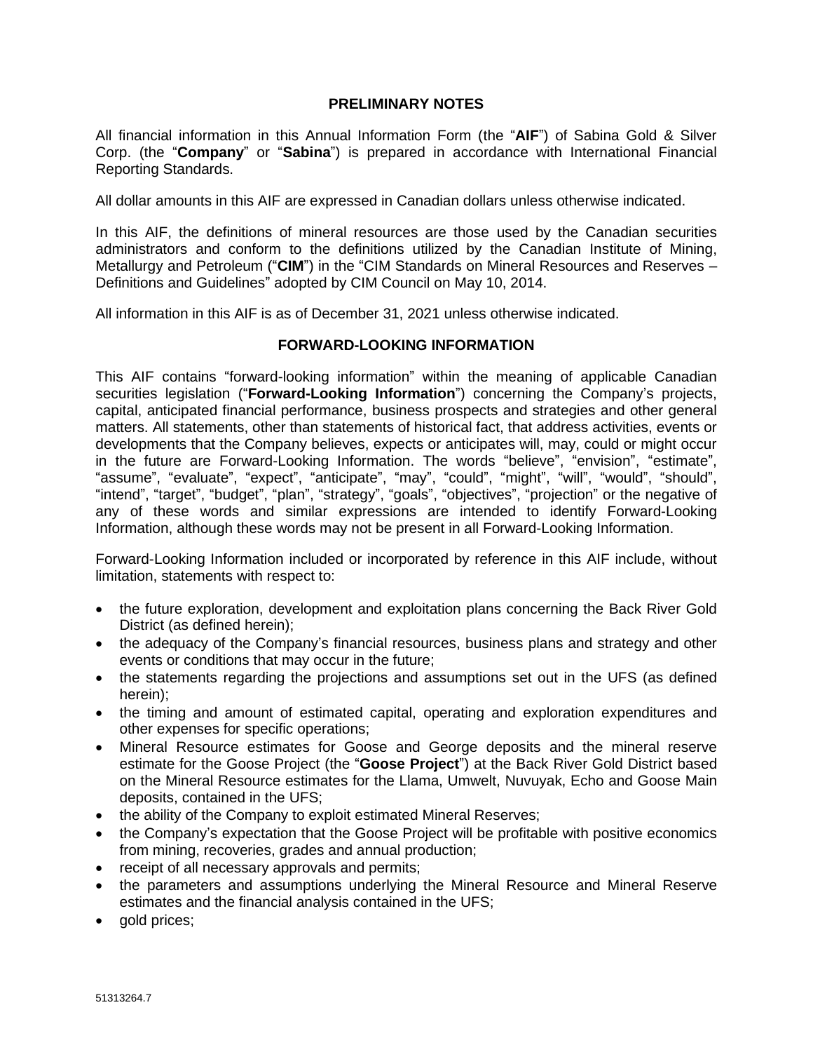### **PRELIMINARY NOTES**

All financial information in this Annual Information Form (the "**AIF**") of Sabina Gold & Silver Corp. (the "**Company**" or "**Sabina**") is prepared in accordance with International Financial Reporting Standards.

All dollar amounts in this AIF are expressed in Canadian dollars unless otherwise indicated.

In this AIF, the definitions of mineral resources are those used by the Canadian securities administrators and conform to the definitions utilized by the Canadian Institute of Mining, Metallurgy and Petroleum ("**CIM**") in the "CIM Standards on Mineral Resources and Reserves – Definitions and Guidelines" adopted by CIM Council on May 10, 2014.

All information in this AIF is as of December 31, 2021 unless otherwise indicated.

# **FORWARD-LOOKING INFORMATION**

This AIF contains "forward-looking information" within the meaning of applicable Canadian securities legislation ("**Forward-Looking Information**") concerning the Company's projects, capital, anticipated financial performance, business prospects and strategies and other general matters. All statements, other than statements of historical fact, that address activities, events or developments that the Company believes, expects or anticipates will, may, could or might occur in the future are Forward-Looking Information. The words "believe", "envision", "estimate", "assume", "evaluate", "expect", "anticipate", "may", "could", "might", "will", "would", "should", "intend", "target", "budget", "plan", "strategy", "goals", "objectives", "projection" or the negative of any of these words and similar expressions are intended to identify Forward-Looking Information, although these words may not be present in all Forward-Looking Information.

Forward-Looking Information included or incorporated by reference in this AIF include, without limitation, statements with respect to:

- the future exploration, development and exploitation plans concerning the Back River Gold District (as defined herein);
- the adequacy of the Company's financial resources, business plans and strategy and other events or conditions that may occur in the future;
- the statements regarding the projections and assumptions set out in the UFS (as defined herein);
- the timing and amount of estimated capital, operating and exploration expenditures and other expenses for specific operations;
- Mineral Resource estimates for Goose and George deposits and the mineral reserve estimate for the Goose Project (the "**Goose Project**") at the Back River Gold District based on the Mineral Resource estimates for the Llama, Umwelt, Nuvuyak, Echo and Goose Main deposits, contained in the UFS;
- the ability of the Company to exploit estimated Mineral Reserves;
- the Company's expectation that the Goose Project will be profitable with positive economics from mining, recoveries, grades and annual production;
- receipt of all necessary approvals and permits;
- the parameters and assumptions underlying the Mineral Resource and Mineral Reserve estimates and the financial analysis contained in the UFS;
- gold prices;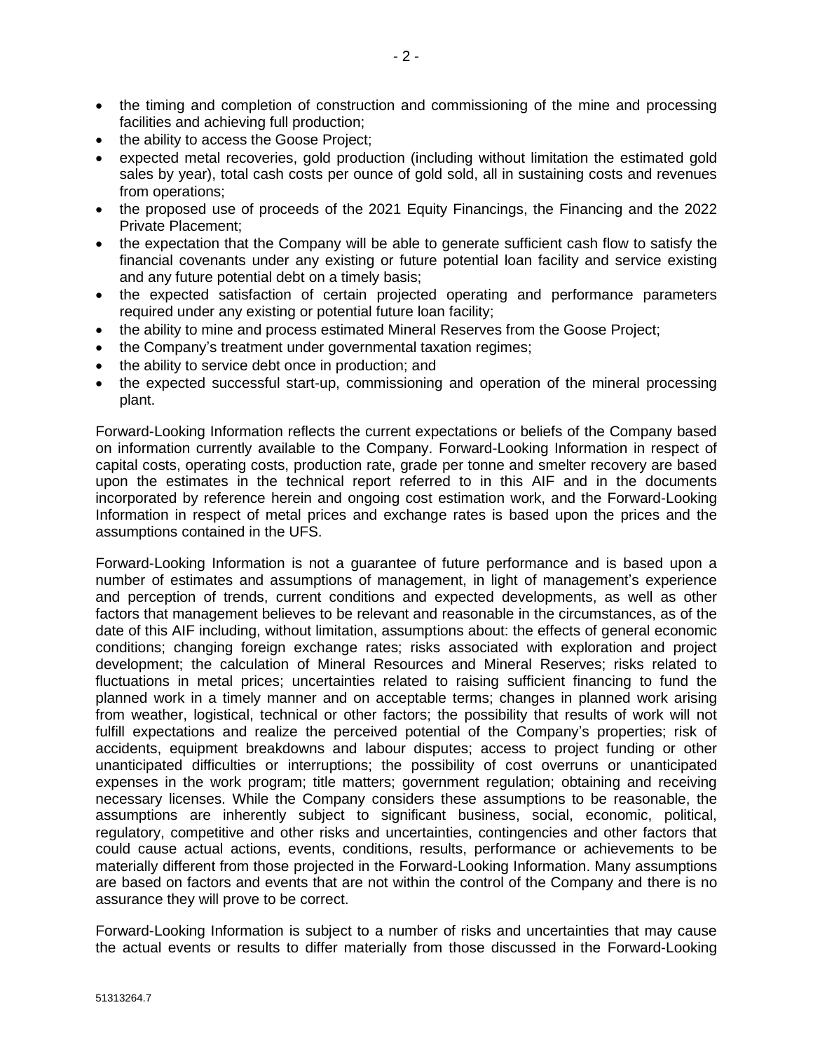- the timing and completion of construction and commissioning of the mine and processing facilities and achieving full production;
- the ability to access the Goose Project;
- expected metal recoveries, gold production (including without limitation the estimated gold sales by year), total cash costs per ounce of gold sold, all in sustaining costs and revenues from operations;
- the proposed use of proceeds of the 2021 Equity Financings, the Financing and the 2022 Private Placement;
- the expectation that the Company will be able to generate sufficient cash flow to satisfy the financial covenants under any existing or future potential loan facility and service existing and any future potential debt on a timely basis;
- the expected satisfaction of certain projected operating and performance parameters required under any existing or potential future loan facility;
- the ability to mine and process estimated Mineral Reserves from the Goose Project;
- the Company's treatment under governmental taxation regimes;
- the ability to service debt once in production; and
- the expected successful start-up, commissioning and operation of the mineral processing plant.

Forward-Looking Information reflects the current expectations or beliefs of the Company based on information currently available to the Company. Forward-Looking Information in respect of capital costs, operating costs, production rate, grade per tonne and smelter recovery are based upon the estimates in the technical report referred to in this AIF and in the documents incorporated by reference herein and ongoing cost estimation work, and the Forward-Looking Information in respect of metal prices and exchange rates is based upon the prices and the assumptions contained in the UFS.

Forward-Looking Information is not a guarantee of future performance and is based upon a number of estimates and assumptions of management, in light of management's experience and perception of trends, current conditions and expected developments, as well as other factors that management believes to be relevant and reasonable in the circumstances, as of the date of this AIF including, without limitation, assumptions about: the effects of general economic conditions; changing foreign exchange rates; risks associated with exploration and project development; the calculation of Mineral Resources and Mineral Reserves; risks related to fluctuations in metal prices; uncertainties related to raising sufficient financing to fund the planned work in a timely manner and on acceptable terms; changes in planned work arising from weather, logistical, technical or other factors; the possibility that results of work will not fulfill expectations and realize the perceived potential of the Company's properties; risk of accidents, equipment breakdowns and labour disputes; access to project funding or other unanticipated difficulties or interruptions; the possibility of cost overruns or unanticipated expenses in the work program; title matters; government regulation; obtaining and receiving necessary licenses. While the Company considers these assumptions to be reasonable, the assumptions are inherently subject to significant business, social, economic, political, regulatory, competitive and other risks and uncertainties, contingencies and other factors that could cause actual actions, events, conditions, results, performance or achievements to be materially different from those projected in the Forward-Looking Information. Many assumptions are based on factors and events that are not within the control of the Company and there is no assurance they will prove to be correct.

Forward-Looking Information is subject to a number of risks and uncertainties that may cause the actual events or results to differ materially from those discussed in the Forward-Looking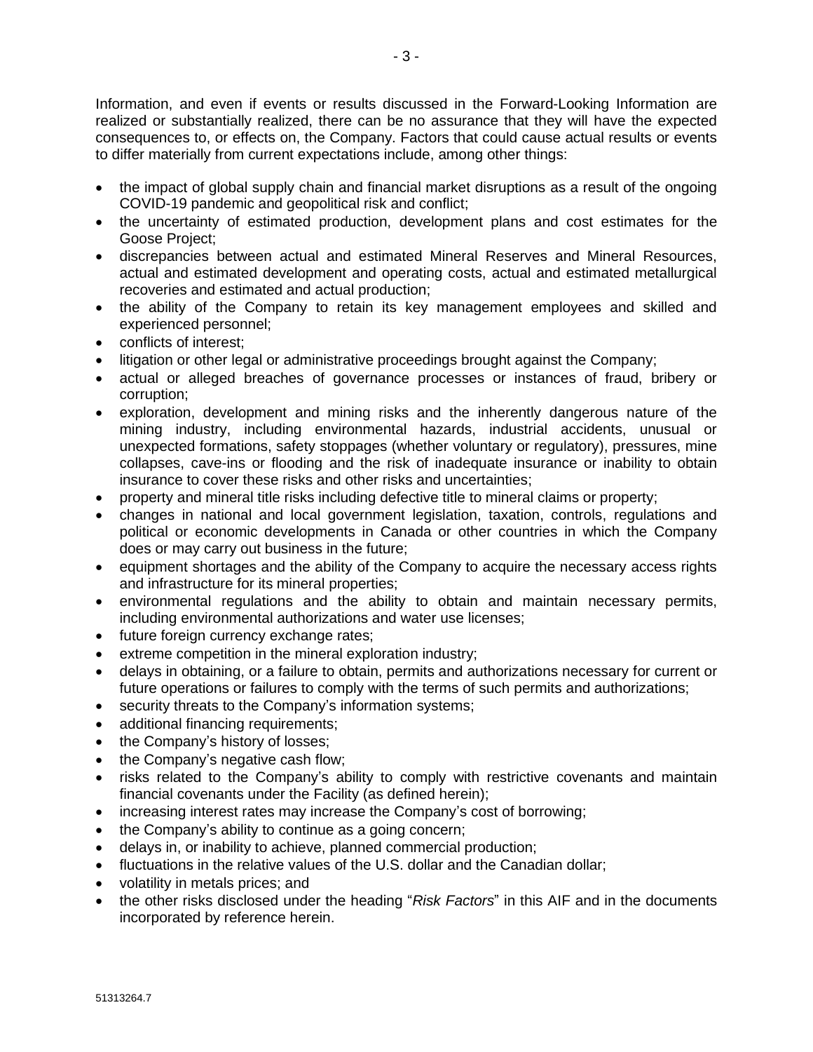Information, and even if events or results discussed in the Forward-Looking Information are realized or substantially realized, there can be no assurance that they will have the expected consequences to, or effects on, the Company. Factors that could cause actual results or events to differ materially from current expectations include, among other things:

- the impact of global supply chain and financial market disruptions as a result of the ongoing COVID-19 pandemic and geopolitical risk and conflict;
- the uncertainty of estimated production, development plans and cost estimates for the Goose Project;
- discrepancies between actual and estimated Mineral Reserves and Mineral Resources, actual and estimated development and operating costs, actual and estimated metallurgical recoveries and estimated and actual production;
- the ability of the Company to retain its key management employees and skilled and experienced personnel;
- conflicts of interest;
- litigation or other legal or administrative proceedings brought against the Company;
- actual or alleged breaches of governance processes or instances of fraud, bribery or corruption;
- exploration, development and mining risks and the inherently dangerous nature of the mining industry, including environmental hazards, industrial accidents, unusual or unexpected formations, safety stoppages (whether voluntary or regulatory), pressures, mine collapses, cave-ins or flooding and the risk of inadequate insurance or inability to obtain insurance to cover these risks and other risks and uncertainties;
- property and mineral title risks including defective title to mineral claims or property;
- changes in national and local government legislation, taxation, controls, regulations and political or economic developments in Canada or other countries in which the Company does or may carry out business in the future;
- equipment shortages and the ability of the Company to acquire the necessary access rights and infrastructure for its mineral properties;
- environmental regulations and the ability to obtain and maintain necessary permits, including environmental authorizations and water use licenses;
- future foreign currency exchange rates;
- extreme competition in the mineral exploration industry;
- delays in obtaining, or a failure to obtain, permits and authorizations necessary for current or future operations or failures to comply with the terms of such permits and authorizations;
- security threats to the Company's information systems;
- additional financing requirements;
- the Company's history of losses;
- the Company's negative cash flow;
- risks related to the Company's ability to comply with restrictive covenants and maintain financial covenants under the Facility (as defined herein);
- increasing interest rates may increase the Company's cost of borrowing;
- the Company's ability to continue as a going concern;
- delays in, or inability to achieve, planned commercial production;
- fluctuations in the relative values of the U.S. dollar and the Canadian dollar;
- volatility in metals prices; and
- the other risks disclosed under the heading "*Risk Factors*" in this AIF and in the documents incorporated by reference herein.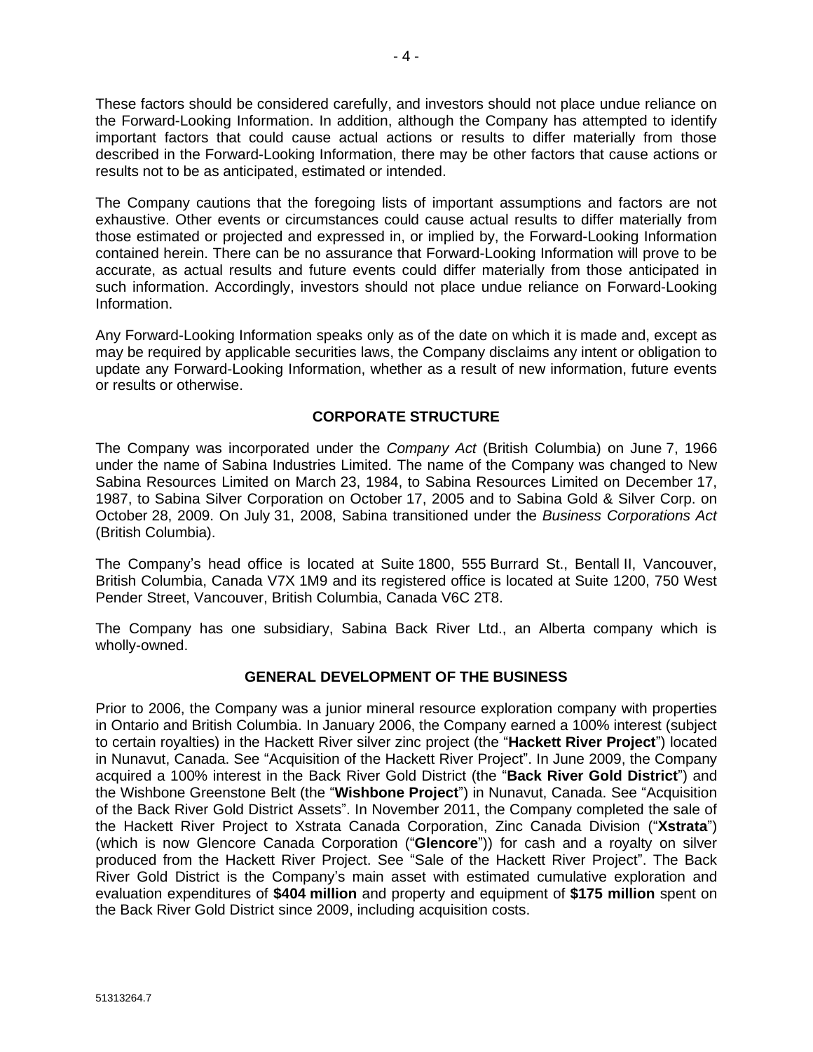These factors should be considered carefully, and investors should not place undue reliance on the Forward-Looking Information. In addition, although the Company has attempted to identify important factors that could cause actual actions or results to differ materially from those described in the Forward-Looking Information, there may be other factors that cause actions or results not to be as anticipated, estimated or intended.

The Company cautions that the foregoing lists of important assumptions and factors are not exhaustive. Other events or circumstances could cause actual results to differ materially from those estimated or projected and expressed in, or implied by, the Forward-Looking Information contained herein. There can be no assurance that Forward-Looking Information will prove to be accurate, as actual results and future events could differ materially from those anticipated in such information. Accordingly, investors should not place undue reliance on Forward-Looking Information.

Any Forward-Looking Information speaks only as of the date on which it is made and, except as may be required by applicable securities laws, the Company disclaims any intent or obligation to update any Forward-Looking Information, whether as a result of new information, future events or results or otherwise.

# **CORPORATE STRUCTURE**

The Company was incorporated under the *Company Act* (British Columbia) on June 7, 1966 under the name of Sabina Industries Limited. The name of the Company was changed to New Sabina Resources Limited on March 23, 1984, to Sabina Resources Limited on December 17, 1987, to Sabina Silver Corporation on October 17, 2005 and to Sabina Gold & Silver Corp. on October 28, 2009. On July 31, 2008, Sabina transitioned under the *Business Corporations Act* (British Columbia).

The Company's head office is located at Suite 1800, 555 Burrard St., Bentall II, Vancouver, British Columbia, Canada V7X 1M9 and its registered office is located at Suite 1200, 750 West Pender Street, Vancouver, British Columbia, Canada V6C 2T8.

The Company has one subsidiary, Sabina Back River Ltd., an Alberta company which is wholly-owned.

#### **GENERAL DEVELOPMENT OF THE BUSINESS**

Prior to 2006, the Company was a junior mineral resource exploration company with properties in Ontario and British Columbia. In January 2006, the Company earned a 100% interest (subject to certain royalties) in the Hackett River silver zinc project (the "**Hackett River Project**") located in Nunavut, Canada. See "Acquisition of the Hackett River Project". In June 2009, the Company acquired a 100% interest in the Back River Gold District (the "**Back River Gold District**") and the Wishbone Greenstone Belt (the "**Wishbone Project**") in Nunavut, Canada. See "Acquisition of the Back River Gold District Assets". In November 2011, the Company completed the sale of the Hackett River Project to Xstrata Canada Corporation, Zinc Canada Division ("**Xstrata**") (which is now Glencore Canada Corporation ("**Glencore**")) for cash and a royalty on silver produced from the Hackett River Project. See "Sale of the Hackett River Project". The Back River Gold District is the Company's main asset with estimated cumulative exploration and evaluation expenditures of **\$404 million** and property and equipment of **\$175 million** spent on the Back River Gold District since 2009, including acquisition costs.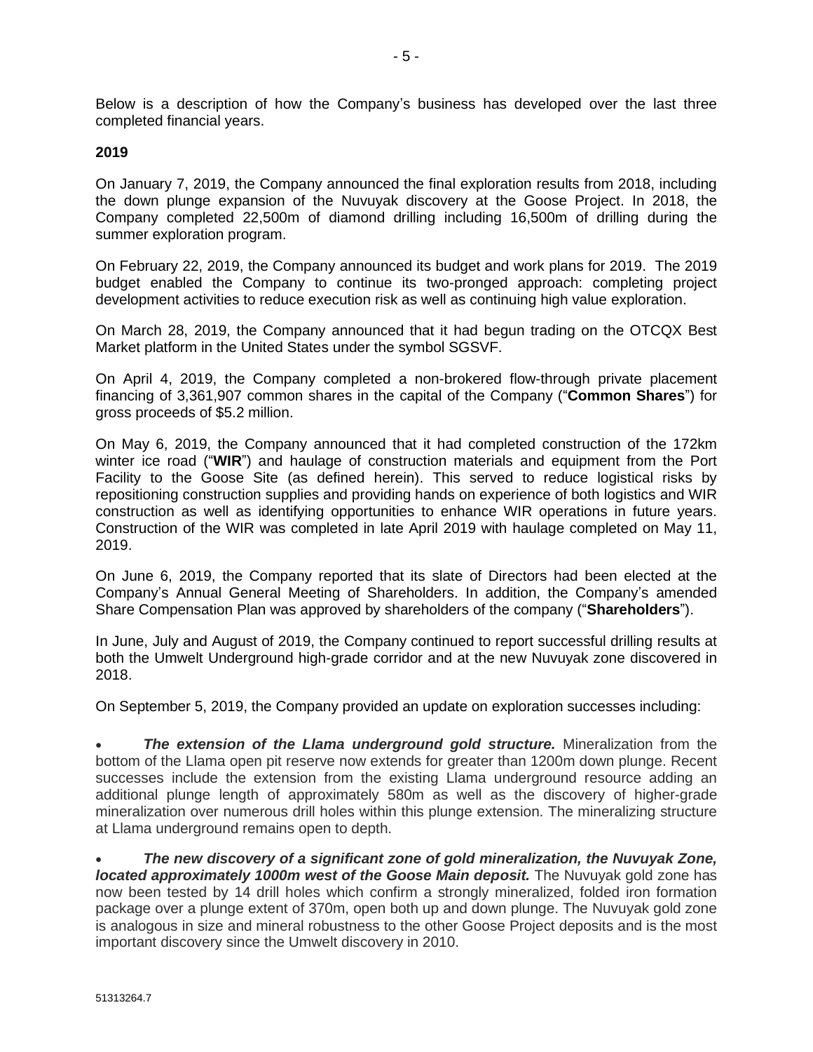Below is a description of how the Company's business has developed over the last three completed financial years.

### **2019**

On January 7, 2019, the Company announced the final exploration results from 2018, including the down plunge expansion of the Nuvuyak discovery at the Goose Project. In 2018, the Company completed 22,500m of diamond drilling including 16,500m of drilling during the summer exploration program.

On February 22, 2019, the Company announced its budget and work plans for 2019. The 2019 budget enabled the Company to continue its two-pronged approach: completing project development activities to reduce execution risk as well as continuing high value exploration.

On March 28, 2019, the Company announced that it had begun trading on the OTCQX Best Market platform in the United States under the symbol SGSVF.

On April 4, 2019, the Company completed a non-brokered flow-through private placement financing of 3,361,907 common shares in the capital of the Company ("**Common Shares**") for gross proceeds of \$5.2 million.

On May 6, 2019, the Company announced that it had completed construction of the 172km winter ice road ("**WIR**") and haulage of construction materials and equipment from the Port Facility to the Goose Site (as defined herein). This served to reduce logistical risks by repositioning construction supplies and providing hands on experience of both logistics and WIR construction as well as identifying opportunities to enhance WIR operations in future years. Construction of the WIR was completed in late April 2019 with haulage completed on May 11, 2019.

On June 6, 2019, the Company reported that its slate of Directors had been elected at the Company's Annual General Meeting of Shareholders. In addition, the Company's amended Share Compensation Plan was approved by shareholders of the company ("**Shareholders**").

In June, July and August of 2019, the Company continued to report successful drilling results at both the Umwelt Underground high-grade corridor and at the new Nuvuyak zone discovered in 2018.

On September 5, 2019, the Company provided an update on exploration successes including:

• *The extension of the Llama underground gold structure.* Mineralization from the bottom of the Llama open pit reserve now extends for greater than 1200m down plunge. Recent successes include the extension from the existing Llama underground resource adding an additional plunge length of approximately 580m as well as the discovery of higher-grade mineralization over numerous drill holes within this plunge extension. The mineralizing structure at Llama underground remains open to depth.

• *The new discovery of a significant zone of gold mineralization, the Nuvuyak Zone, located approximately 1000m west of the Goose Main deposit.* The Nuvuyak gold zone has now been tested by 14 drill holes which confirm a strongly mineralized, folded iron formation package over a plunge extent of 370m, open both up and down plunge. The Nuvuyak gold zone is analogous in size and mineral robustness to the other Goose Project deposits and is the most important discovery since the Umwelt discovery in 2010.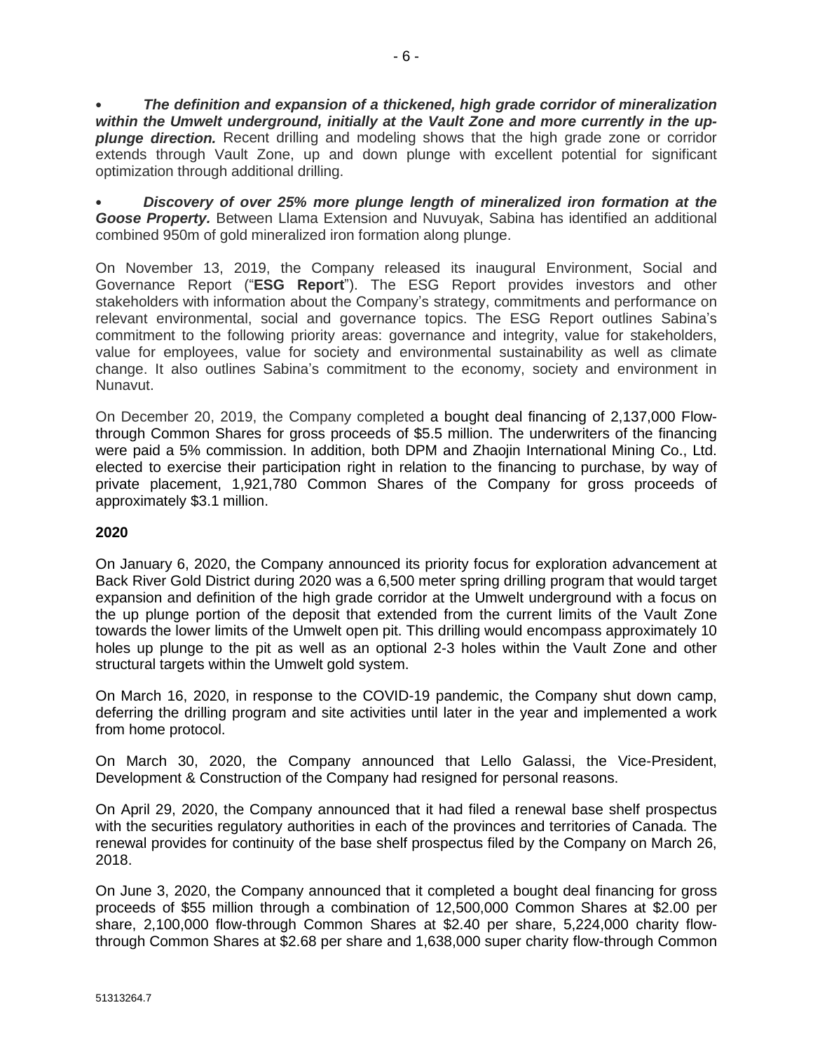• *The definition and expansion of a thickened, high grade corridor of mineralization within the Umwelt underground, initially at the Vault Zone and more currently in the upplunge direction.* Recent drilling and modeling shows that the high grade zone or corridor extends through Vault Zone, up and down plunge with excellent potential for significant optimization through additional drilling.

• *Discovery of over 25% more plunge length of mineralized iron formation at the Goose Property.* Between Llama Extension and Nuvuyak, Sabina has identified an additional combined 950m of gold mineralized iron formation along plunge.

On November 13, 2019, the Company released its inaugural Environment, Social and Governance Report ("**ESG Report**"). The ESG Report provides investors and other stakeholders with information about the Company's strategy, commitments and performance on relevant environmental, social and governance topics. The ESG Report outlines Sabina's commitment to the following priority areas: governance and integrity, value for stakeholders, value for employees, value for society and environmental sustainability as well as climate change. It also outlines Sabina's commitment to the economy, society and environment in Nunavut.

On December 20, 2019, the Company completed a bought deal financing of 2,137,000 Flowthrough Common Shares for gross proceeds of \$5.5 million. The underwriters of the financing were paid a 5% commission. In addition, both DPM and Zhaojin International Mining Co., Ltd. elected to exercise their participation right in relation to the financing to purchase, by way of private placement, 1,921,780 Common Shares of the Company for gross proceeds of approximately \$3.1 million.

# **2020**

On January 6, 2020, the Company announced its priority focus for exploration advancement at Back River Gold District during 2020 was a 6,500 meter spring drilling program that would target expansion and definition of the high grade corridor at the Umwelt underground with a focus on the up plunge portion of the deposit that extended from the current limits of the Vault Zone towards the lower limits of the Umwelt open pit. This drilling would encompass approximately 10 holes up plunge to the pit as well as an optional 2-3 holes within the Vault Zone and other structural targets within the Umwelt gold system.

On March 16, 2020, in response to the COVID-19 pandemic, the Company shut down camp, deferring the drilling program and site activities until later in the year and implemented a work from home protocol.

On March 30, 2020, the Company announced that Lello Galassi, the Vice-President, Development & Construction of the Company had resigned for personal reasons.

On April 29, 2020, the Company announced that it had filed a renewal base shelf prospectus with the securities regulatory authorities in each of the provinces and territories of Canada. The renewal provides for continuity of the base shelf prospectus filed by the Company on March 26, 2018.

On June 3, 2020, the Company announced that it completed a bought deal financing for gross proceeds of \$55 million through a combination of 12,500,000 Common Shares at \$2.00 per share, 2,100,000 flow-through Common Shares at \$2.40 per share, 5,224,000 charity flowthrough Common Shares at \$2.68 per share and 1,638,000 super charity flow-through Common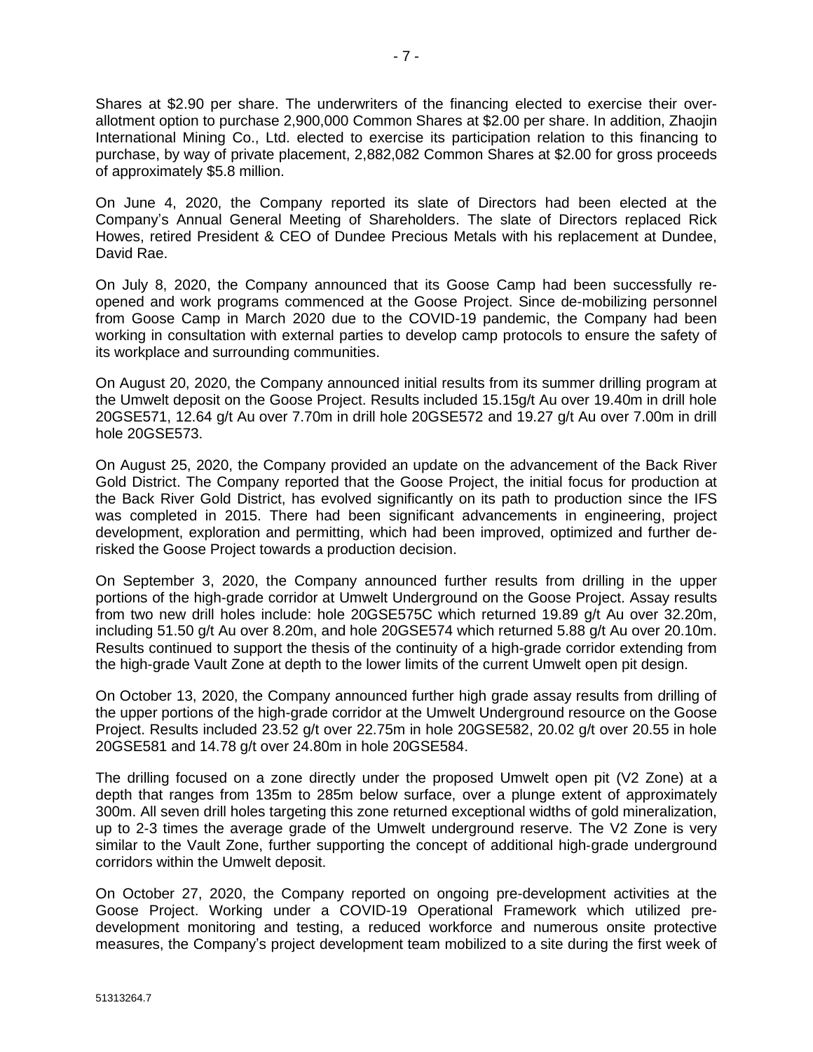Shares at \$2.90 per share. The underwriters of the financing elected to exercise their overallotment option to purchase 2,900,000 Common Shares at \$2.00 per share. In addition, Zhaojin International Mining Co., Ltd. elected to exercise its participation relation to this financing to purchase, by way of private placement, 2,882,082 Common Shares at \$2.00 for gross proceeds of approximately \$5.8 million.

On June 4, 2020, the Company reported its slate of Directors had been elected at the Company's Annual General Meeting of Shareholders. The slate of Directors replaced Rick Howes, retired President & CEO of Dundee Precious Metals with his replacement at Dundee, David Rae.

On July 8, 2020, the Company announced that its Goose Camp had been successfully reopened and work programs commenced at the Goose Project. Since de-mobilizing personnel from Goose Camp in March 2020 due to the COVID-19 pandemic, the Company had been working in consultation with external parties to develop camp protocols to ensure the safety of its workplace and surrounding communities.

On August 20, 2020, the Company announced initial results from its summer drilling program at the Umwelt deposit on the Goose Project. Results included 15.15g/t Au over 19.40m in drill hole 20GSE571, 12.64 g/t Au over 7.70m in drill hole 20GSE572 and 19.27 g/t Au over 7.00m in drill hole 20GSE573.

On August 25, 2020, the Company provided an update on the advancement of the Back River Gold District. The Company reported that the Goose Project, the initial focus for production at the Back River Gold District, has evolved significantly on its path to production since the IFS was completed in 2015. There had been significant advancements in engineering, project development, exploration and permitting, which had been improved, optimized and further derisked the Goose Project towards a production decision.

On September 3, 2020, the Company announced further results from drilling in the upper portions of the high-grade corridor at Umwelt Underground on the Goose Project. Assay results from two new drill holes include: hole 20GSE575C which returned 19.89 g/t Au over 32.20m, including 51.50 g/t Au over 8.20m, and hole 20GSE574 which returned 5.88 g/t Au over 20.10m. Results continued to support the thesis of the continuity of a high-grade corridor extending from the high-grade Vault Zone at depth to the lower limits of the current Umwelt open pit design.

On October 13, 2020, the Company announced further high grade assay results from drilling of the upper portions of the high-grade corridor at the Umwelt Underground resource on the Goose Project. Results included 23.52 g/t over 22.75m in hole 20GSE582, 20.02 g/t over 20.55 in hole 20GSE581 and 14.78 g/t over 24.80m in hole 20GSE584.

The drilling focused on a zone directly under the proposed Umwelt open pit (V2 Zone) at a depth that ranges from 135m to 285m below surface, over a plunge extent of approximately 300m. All seven drill holes targeting this zone returned exceptional widths of gold mineralization, up to 2-3 times the average grade of the Umwelt underground reserve. The V2 Zone is very similar to the Vault Zone, further supporting the concept of additional high‐grade underground corridors within the Umwelt deposit.

On October 27, 2020, the Company reported on ongoing pre-development activities at the Goose Project. Working under a COVID-19 Operational Framework which utilized predevelopment monitoring and testing, a reduced workforce and numerous onsite protective measures, the Company's project development team mobilized to a site during the first week of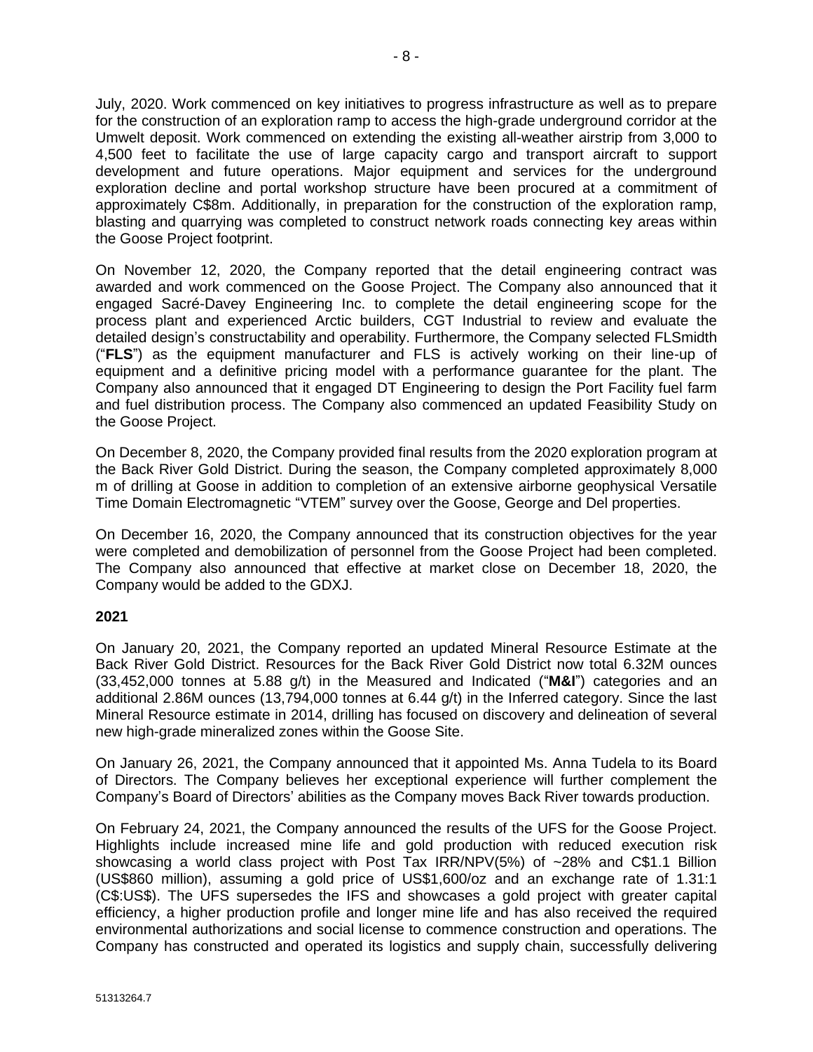July, 2020. Work commenced on key initiatives to progress infrastructure as well as to prepare for the construction of an exploration ramp to access the high-grade underground corridor at the Umwelt deposit. Work commenced on extending the existing all-weather airstrip from 3,000 to 4,500 feet to facilitate the use of large capacity cargo and transport aircraft to support development and future operations. Major equipment and services for the underground exploration decline and portal workshop structure have been procured at a commitment of approximately C\$8m. Additionally, in preparation for the construction of the exploration ramp, blasting and quarrying was completed to construct network roads connecting key areas within the Goose Project footprint.

On November 12, 2020, the Company reported that the detail engineering contract was awarded and work commenced on the Goose Project. The Company also announced that it engaged Sacré-Davey Engineering Inc. to complete the detail engineering scope for the process plant and experienced Arctic builders, CGT Industrial to review and evaluate the detailed design's constructability and operability. Furthermore, the Company selected FLSmidth ("**FLS**") as the equipment manufacturer and FLS is actively working on their line-up of equipment and a definitive pricing model with a performance guarantee for the plant. The Company also announced that it engaged DT Engineering to design the Port Facility fuel farm and fuel distribution process. The Company also commenced an updated Feasibility Study on the Goose Project.

On December 8, 2020, the Company provided final results from the 2020 exploration program at the Back River Gold District. During the season, the Company completed approximately 8,000 m of drilling at Goose in addition to completion of an extensive airborne geophysical Versatile Time Domain Electromagnetic "VTEM" survey over the Goose, George and Del properties.

On December 16, 2020, the Company announced that its construction objectives for the year were completed and demobilization of personnel from the Goose Project had been completed. The Company also announced that effective at market close on December 18, 2020, the Company would be added to the GDXJ.

# **2021**

On January 20, 2021, the Company reported an updated Mineral Resource Estimate at the Back River Gold District. Resources for the Back River Gold District now total 6.32M ounces (33,452,000 tonnes at 5.88 g/t) in the Measured and Indicated ("**M&I**") categories and an additional 2.86M ounces (13,794,000 tonnes at 6.44 g/t) in the Inferred category. Since the last Mineral Resource estimate in 2014, drilling has focused on discovery and delineation of several new high-grade mineralized zones within the Goose Site.

On January 26, 2021, the Company announced that it appointed Ms. Anna Tudela to its Board of Directors. The Company believes her exceptional experience will further complement the Company's Board of Directors' abilities as the Company moves Back River towards production.

On February 24, 2021, the Company announced the results of the UFS for the Goose Project. Highlights include increased mine life and gold production with reduced execution risk showcasing a world class project with Post Tax IRR/NPV(5%) of ~28% and C\$1.1 Billion (US\$860 million), assuming a gold price of US\$1,600/oz and an exchange rate of 1.31:1 (C\$:US\$). The UFS supersedes the IFS and showcases a gold project with greater capital efficiency, a higher production profile and longer mine life and has also received the required environmental authorizations and social license to commence construction and operations. The Company has constructed and operated its logistics and supply chain, successfully delivering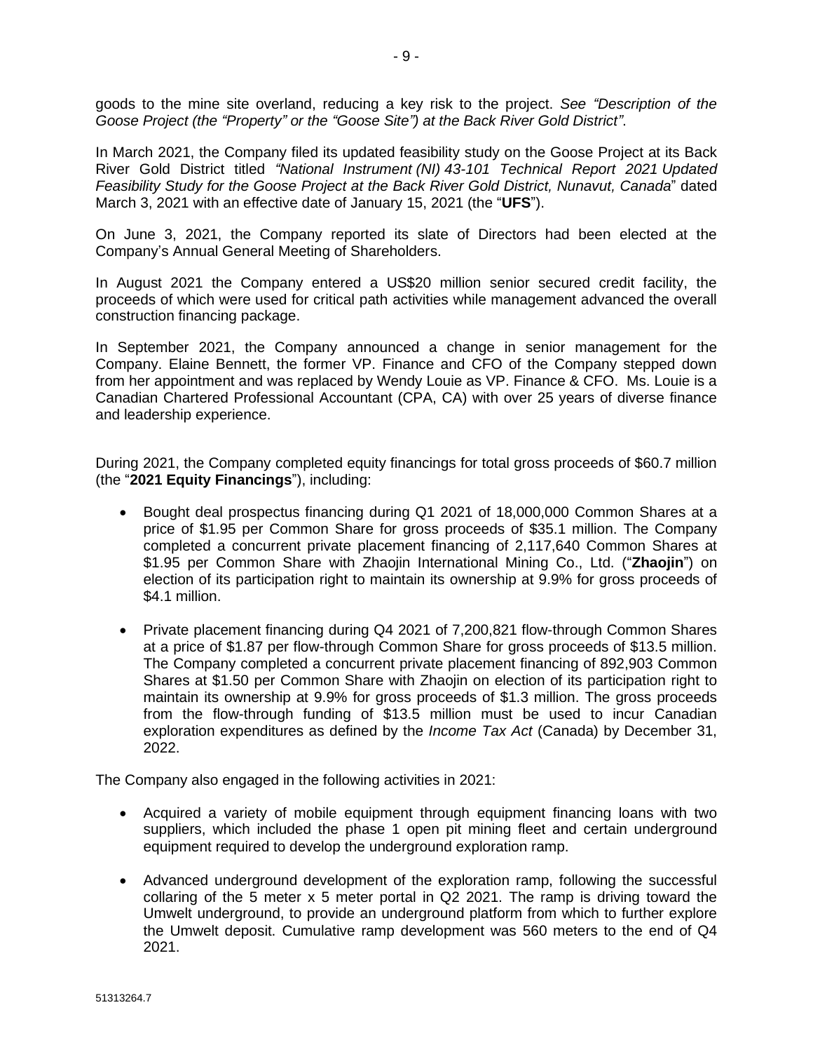goods to the mine site overland, reducing a key risk to the project. *See "Description of the Goose Project (the "Property" or the "Goose Site") at the Back River Gold District"*.

In March 2021, the Company filed its updated feasibility study on the Goose Project at its Back River Gold District titled *"National Instrument (NI) 43-101 Technical Report 2021 Updated Feasibility Study for the Goose Project at the Back River Gold District, Nunavut, Canada*" dated March 3, 2021 with an effective date of January 15, 2021 (the "**UFS**").

On June 3, 2021, the Company reported its slate of Directors had been elected at the Company's Annual General Meeting of Shareholders.

In August 2021 the Company entered a US\$20 million senior secured credit facility, the proceeds of which were used for critical path activities while management advanced the overall construction financing package.

In September 2021, the Company announced a change in senior management for the Company. Elaine Bennett, the former VP. Finance and CFO of the Company stepped down from her appointment and was replaced by Wendy Louie as VP. Finance & CFO. Ms. Louie is a Canadian Chartered Professional Accountant (CPA, CA) with over 25 years of diverse finance and leadership experience.

During 2021, the Company completed equity financings for total gross proceeds of \$60.7 million (the "**2021 Equity Financings**"), including:

- Bought deal prospectus financing during Q1 2021 of 18,000,000 Common Shares at a price of \$1.95 per Common Share for gross proceeds of \$35.1 million. The Company completed a concurrent private placement financing of 2,117,640 Common Shares at \$1.95 per Common Share with Zhaojin International Mining Co., Ltd. ("**Zhaojin**") on election of its participation right to maintain its ownership at 9.9% for gross proceeds of \$4.1 million.
- Private placement financing during Q4 2021 of 7,200,821 flow-through Common Shares at a price of \$1.87 per flow-through Common Share for gross proceeds of \$13.5 million. The Company completed a concurrent private placement financing of 892,903 Common Shares at \$1.50 per Common Share with Zhaojin on election of its participation right to maintain its ownership at 9.9% for gross proceeds of \$1.3 million. The gross proceeds from the flow-through funding of \$13.5 million must be used to incur Canadian exploration expenditures as defined by the *Income Tax Act* (Canada) by December 31, 2022.

The Company also engaged in the following activities in 2021:

- Acquired a variety of mobile equipment through equipment financing loans with two suppliers, which included the phase 1 open pit mining fleet and certain underground equipment required to develop the underground exploration ramp.
- Advanced underground development of the exploration ramp, following the successful collaring of the 5 meter x 5 meter portal in Q2 2021. The ramp is driving toward the Umwelt underground, to provide an underground platform from which to further explore the Umwelt deposit. Cumulative ramp development was 560 meters to the end of Q4 2021.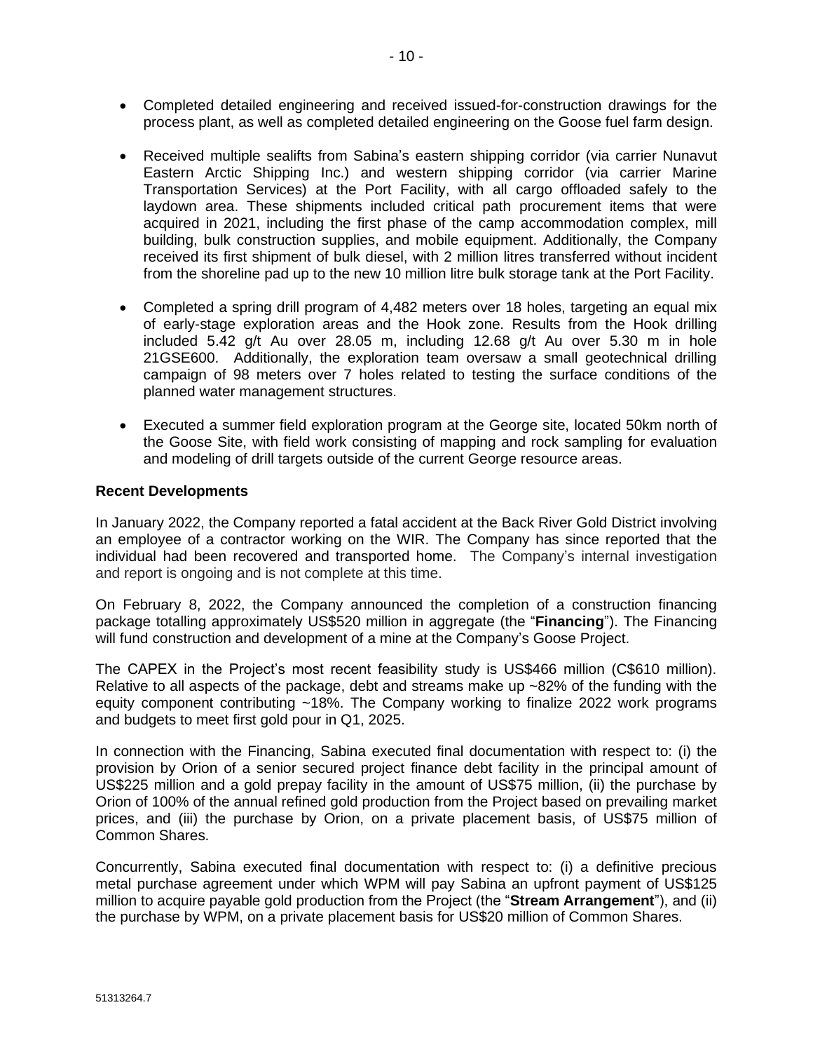- Completed detailed engineering and received issued-for-construction drawings for the process plant, as well as completed detailed engineering on the Goose fuel farm design.
- Received multiple sealifts from Sabina's eastern shipping corridor (via carrier Nunavut Eastern Arctic Shipping Inc.) and western shipping corridor (via carrier Marine Transportation Services) at the Port Facility, with all cargo offloaded safely to the laydown area. These shipments included critical path procurement items that were acquired in 2021, including the first phase of the camp accommodation complex, mill building, bulk construction supplies, and mobile equipment. Additionally, the Company received its first shipment of bulk diesel, with 2 million litres transferred without incident from the shoreline pad up to the new 10 million litre bulk storage tank at the Port Facility.
- Completed a spring drill program of 4,482 meters over 18 holes, targeting an equal mix of early-stage exploration areas and the Hook zone. Results from the Hook drilling included 5.42 g/t Au over 28.05 m, including 12.68 g/t Au over 5.30 m in hole 21GSE600. Additionally, the exploration team oversaw a small geotechnical drilling campaign of 98 meters over 7 holes related to testing the surface conditions of the planned water management structures.
- Executed a summer field exploration program at the George site, located 50km north of the Goose Site, with field work consisting of mapping and rock sampling for evaluation and modeling of drill targets outside of the current George resource areas.

#### **Recent Developments**

In January 2022, the Company reported a fatal accident at the Back River Gold District involving an employee of a contractor working on the WIR. The Company has since reported that the individual had been recovered and transported home. The Company's internal investigation and report is ongoing and is not complete at this time.

On February 8, 2022, the Company announced the completion of a construction financing package totalling approximately US\$520 million in aggregate (the "**Financing**"). The Financing will fund construction and development of a mine at the Company's Goose Project.

The CAPEX in the Project's most recent feasibility study is US\$466 million (C\$610 million). Relative to all aspects of the package, debt and streams make up ~82% of the funding with the equity component contributing ~18%. The Company working to finalize 2022 work programs and budgets to meet first gold pour in Q1, 2025.

In connection with the Financing, Sabina executed final documentation with respect to: (i) the provision by Orion of a senior secured project finance debt facility in the principal amount of US\$225 million and a gold prepay facility in the amount of US\$75 million, (ii) the purchase by Orion of 100% of the annual refined gold production from the Project based on prevailing market prices, and (iii) the purchase by Orion, on a private placement basis, of US\$75 million of Common Shares.

Concurrently, Sabina executed final documentation with respect to: (i) a definitive precious metal purchase agreement under which WPM will pay Sabina an upfront payment of US\$125 million to acquire payable gold production from the Project (the "**Stream Arrangement**"), and (ii) the purchase by WPM, on a private placement basis for US\$20 million of Common Shares.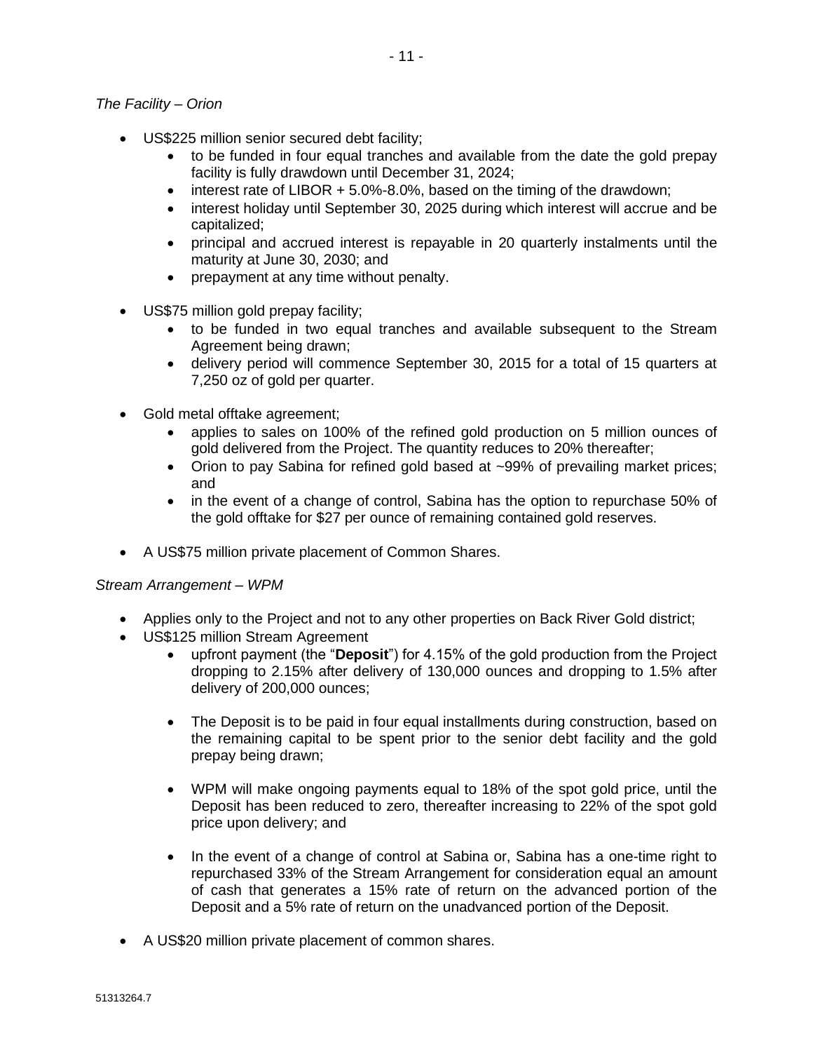### *The Facility – Orion*

- US\$225 million senior secured debt facility;
	- to be funded in four equal tranches and available from the date the gold prepay facility is fully drawdown until December 31, 2024;
	- interest rate of LIBOR + 5.0%-8.0%, based on the timing of the drawdown;
	- interest holiday until September 30, 2025 during which interest will accrue and be capitalized;
	- principal and accrued interest is repayable in 20 quarterly instalments until the maturity at June 30, 2030; and
	- prepayment at any time without penalty.
- US\$75 million gold prepay facility;
	- to be funded in two equal tranches and available subsequent to the Stream Agreement being drawn;
	- delivery period will commence September 30, 2015 for a total of 15 quarters at 7,250 oz of gold per quarter.
- Gold metal offtake agreement;
	- applies to sales on 100% of the refined gold production on 5 million ounces of gold delivered from the Project. The quantity reduces to 20% thereafter;
	- Orion to pay Sabina for refined gold based at ~99% of prevailing market prices; and
	- in the event of a change of control, Sabina has the option to repurchase 50% of the gold offtake for \$27 per ounce of remaining contained gold reserves.
- A US\$75 million private placement of Common Shares.

#### *Stream Arrangement – WPM*

- Applies only to the Project and not to any other properties on Back River Gold district;
- US\$125 million Stream Agreement
	- upfront payment (the "**Deposit**") for 4.15% of the gold production from the Project dropping to 2.15% after delivery of 130,000 ounces and dropping to 1.5% after delivery of 200,000 ounces;
	- The Deposit is to be paid in four equal installments during construction, based on the remaining capital to be spent prior to the senior debt facility and the gold prepay being drawn;
	- WPM will make ongoing payments equal to 18% of the spot gold price, until the Deposit has been reduced to zero, thereafter increasing to 22% of the spot gold price upon delivery; and
	- In the event of a change of control at Sabina or, Sabina has a one-time right to repurchased 33% of the Stream Arrangement for consideration equal an amount of cash that generates a 15% rate of return on the advanced portion of the Deposit and a 5% rate of return on the unadvanced portion of the Deposit.
- A US\$20 million private placement of common shares.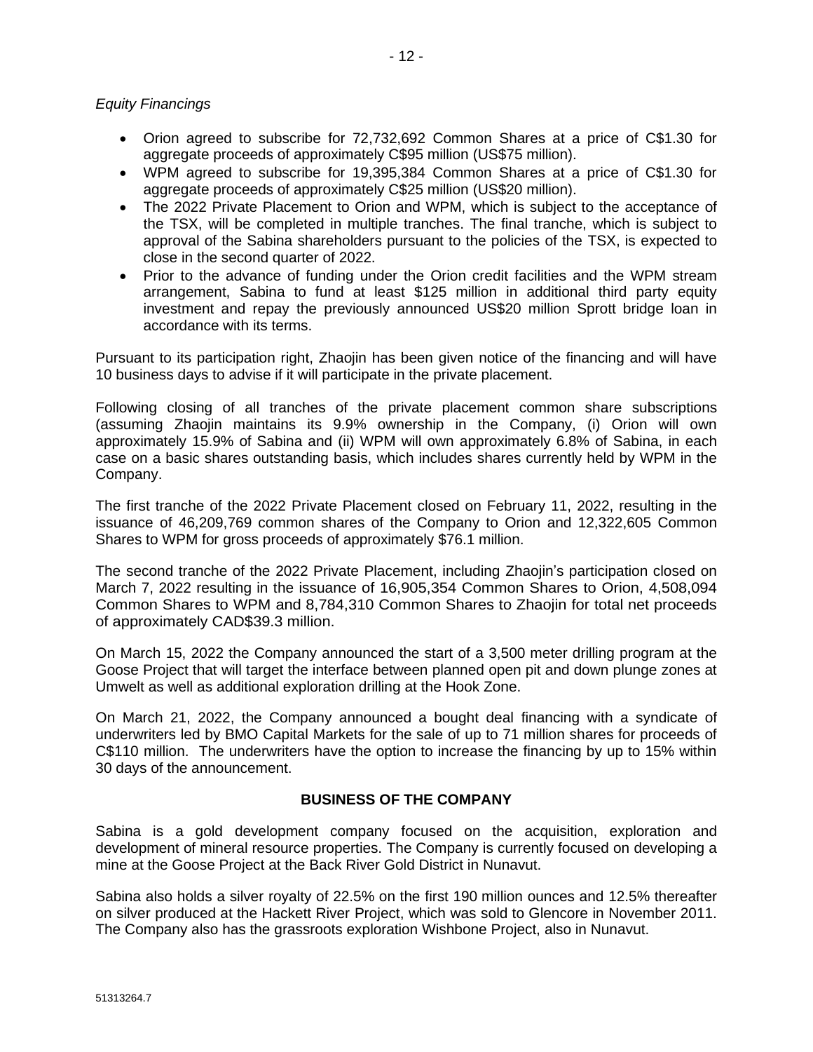#### *Equity Financings*

- Orion agreed to subscribe for 72,732,692 Common Shares at a price of C\$1.30 for aggregate proceeds of approximately C\$95 million (US\$75 million).
- WPM agreed to subscribe for 19,395,384 Common Shares at a price of C\$1.30 for aggregate proceeds of approximately C\$25 million (US\$20 million).
- The 2022 Private Placement to Orion and WPM, which is subject to the acceptance of the TSX, will be completed in multiple tranches. The final tranche, which is subject to approval of the Sabina shareholders pursuant to the policies of the TSX, is expected to close in the second quarter of 2022.
- Prior to the advance of funding under the Orion credit facilities and the WPM stream arrangement, Sabina to fund at least \$125 million in additional third party equity investment and repay the previously announced US\$20 million Sprott bridge loan in accordance with its terms.

Pursuant to its participation right, Zhaojin has been given notice of the financing and will have 10 business days to advise if it will participate in the private placement.

Following closing of all tranches of the private placement common share subscriptions (assuming Zhaojin maintains its 9.9% ownership in the Company, (i) Orion will own approximately 15.9% of Sabina and (ii) WPM will own approximately 6.8% of Sabina, in each case on a basic shares outstanding basis, which includes shares currently held by WPM in the Company.

The first tranche of the 2022 Private Placement closed on February 11, 2022, resulting in the issuance of 46,209,769 common shares of the Company to Orion and 12,322,605 Common Shares to WPM for gross proceeds of approximately \$76.1 million.

The second tranche of the 2022 Private Placement, including Zhaojin's participation closed on March 7, 2022 resulting in the issuance of 16,905,354 Common Shares to Orion, 4,508,094 Common Shares to WPM and 8,784,310 Common Shares to Zhaojin for total net proceeds of approximately CAD\$39.3 million.

On March 15, 2022 the Company announced the start of a 3,500 meter drilling program at the Goose Project that will target the interface between planned open pit and down plunge zones at Umwelt as well as additional exploration drilling at the Hook Zone.

On March 21, 2022, the Company announced a bought deal financing with a syndicate of underwriters led by BMO Capital Markets for the sale of up to 71 million shares for proceeds of C\$110 million. The underwriters have the option to increase the financing by up to 15% within 30 days of the announcement.

#### **BUSINESS OF THE COMPANY**

Sabina is a gold development company focused on the acquisition, exploration and development of mineral resource properties. The Company is currently focused on developing a mine at the Goose Project at the Back River Gold District in Nunavut.

Sabina also holds a silver royalty of 22.5% on the first 190 million ounces and 12.5% thereafter on silver produced at the Hackett River Project, which was sold to Glencore in November 2011. The Company also has the grassroots exploration Wishbone Project, also in Nunavut.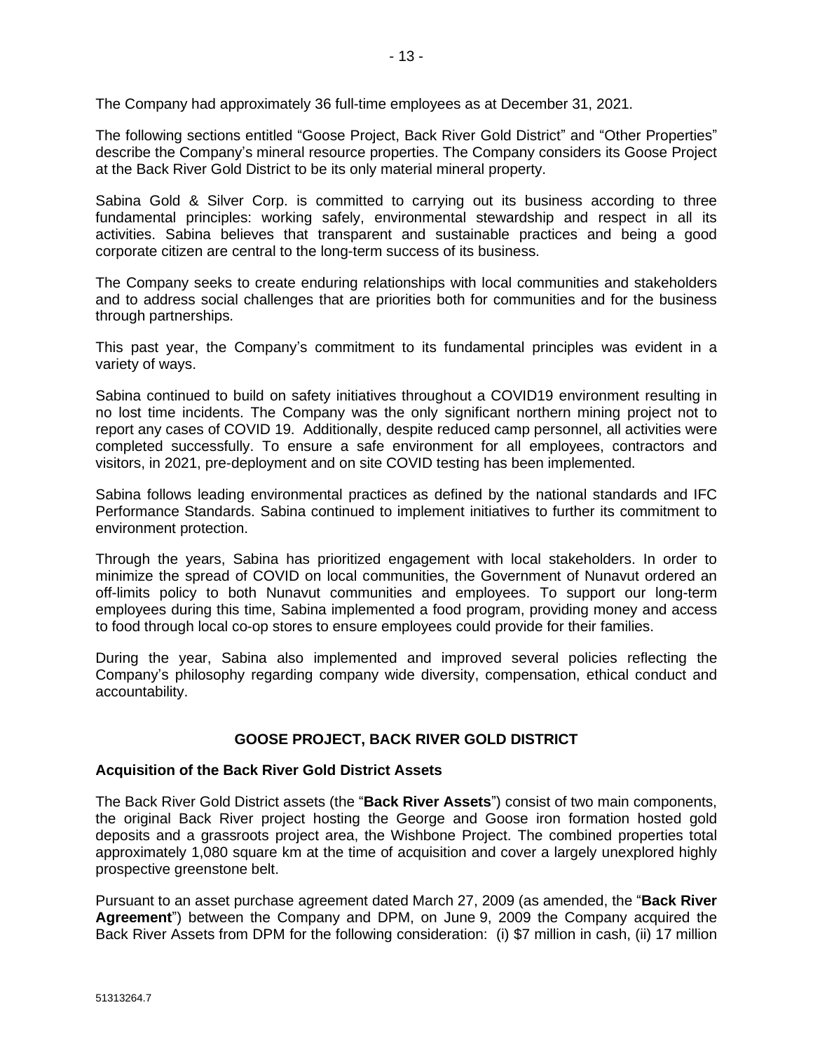The Company had approximately 36 full-time employees as at December 31, 2021.

The following sections entitled "Goose Project, Back River Gold District" and "Other Properties" describe the Company's mineral resource properties. The Company considers its Goose Project at the Back River Gold District to be its only material mineral property.

Sabina Gold & Silver Corp. is committed to carrying out its business according to three fundamental principles: working safely, environmental stewardship and respect in all its activities. Sabina believes that transparent and sustainable practices and being a good corporate citizen are central to the long-term success of its business.

The Company seeks to create enduring relationships with local communities and stakeholders and to address social challenges that are priorities both for communities and for the business through partnerships.

This past year, the Company's commitment to its fundamental principles was evident in a variety of ways.

Sabina continued to build on safety initiatives throughout a COVID19 environment resulting in no lost time incidents. The Company was the only significant northern mining project not to report any cases of COVID 19. Additionally, despite reduced camp personnel, all activities were completed successfully. To ensure a safe environment for all employees, contractors and visitors, in 2021, pre-deployment and on site COVID testing has been implemented.

Sabina follows leading environmental practices as defined by the national standards and IFC Performance Standards. Sabina continued to implement initiatives to further its commitment to environment protection.

Through the years, Sabina has prioritized engagement with local stakeholders. In order to minimize the spread of COVID on local communities, the Government of Nunavut ordered an off-limits policy to both Nunavut communities and employees. To support our long-term employees during this time, Sabina implemented a food program, providing money and access to food through local co-op stores to ensure employees could provide for their families.

During the year, Sabina also implemented and improved several policies reflecting the Company's philosophy regarding company wide diversity, compensation, ethical conduct and accountability.

### **GOOSE PROJECT, BACK RIVER GOLD DISTRICT**

### **Acquisition of the Back River Gold District Assets**

The Back River Gold District assets (the "**Back River Assets**") consist of two main components, the original Back River project hosting the George and Goose iron formation hosted gold deposits and a grassroots project area, the Wishbone Project. The combined properties total approximately 1,080 square km at the time of acquisition and cover a largely unexplored highly prospective greenstone belt.

Pursuant to an asset purchase agreement dated March 27, 2009 (as amended, the "**Back River Agreement**") between the Company and DPM, on June 9, 2009 the Company acquired the Back River Assets from DPM for the following consideration: (i) \$7 million in cash, (ii) 17 million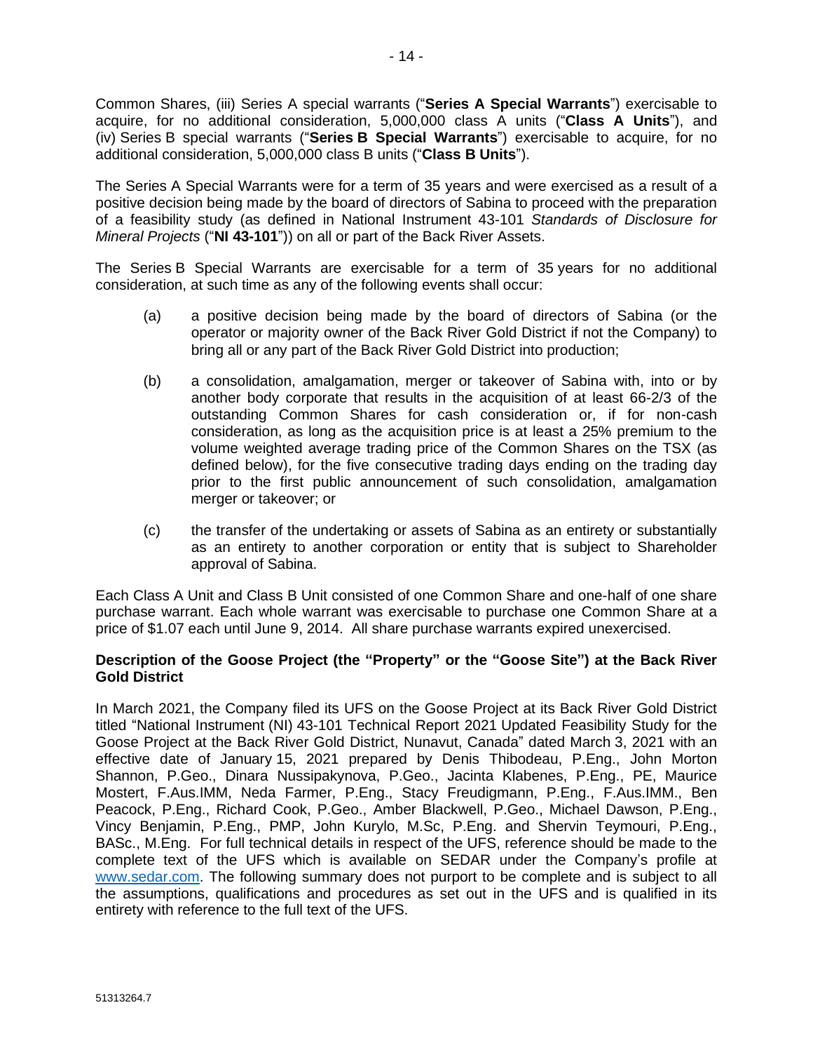Common Shares, (iii) Series A special warrants ("**Series A Special Warrants**") exercisable to acquire, for no additional consideration, 5,000,000 class A units ("**Class A Units**"), and (iv) Series B special warrants ("**Series B Special Warrants**") exercisable to acquire, for no additional consideration, 5,000,000 class B units ("**Class B Units**").

The Series A Special Warrants were for a term of 35 years and were exercised as a result of a positive decision being made by the board of directors of Sabina to proceed with the preparation of a feasibility study (as defined in National Instrument 43-101 *Standards of Disclosure for Mineral Projects* ("**NI 43-101**")) on all or part of the Back River Assets.

The Series B Special Warrants are exercisable for a term of 35 years for no additional consideration, at such time as any of the following events shall occur:

- (a) a positive decision being made by the board of directors of Sabina (or the operator or majority owner of the Back River Gold District if not the Company) to bring all or any part of the Back River Gold District into production;
- (b) a consolidation, amalgamation, merger or takeover of Sabina with, into or by another body corporate that results in the acquisition of at least 66-2/3 of the outstanding Common Shares for cash consideration or, if for non-cash consideration, as long as the acquisition price is at least a 25% premium to the volume weighted average trading price of the Common Shares on the TSX (as defined below), for the five consecutive trading days ending on the trading day prior to the first public announcement of such consolidation, amalgamation merger or takeover; or
- (c) the transfer of the undertaking or assets of Sabina as an entirety or substantially as an entirety to another corporation or entity that is subject to Shareholder approval of Sabina.

Each Class A Unit and Class B Unit consisted of one Common Share and one-half of one share purchase warrant. Each whole warrant was exercisable to purchase one Common Share at a price of \$1.07 each until June 9, 2014. All share purchase warrants expired unexercised.

# **Description of the Goose Project (the "Property" or the "Goose Site") at the Back River Gold District**

In March 2021, the Company filed its UFS on the Goose Project at its Back River Gold District titled "National Instrument (NI) 43-101 Technical Report 2021 Updated Feasibility Study for the Goose Project at the Back River Gold District, Nunavut, Canada" dated March 3, 2021 with an effective date of January 15, 2021 prepared by Denis Thibodeau, P.Eng., John Morton Shannon, P.Geo., Dinara Nussipakynova, P.Geo., Jacinta Klabenes, P.Eng., PE, Maurice Mostert, F.Aus.IMM, Neda Farmer, P.Eng., Stacy Freudigmann, P.Eng., F.Aus.IMM., Ben Peacock, P.Eng., Richard Cook, P.Geo., Amber Blackwell, P.Geo., Michael Dawson, P.Eng., Vincy Benjamin, P.Eng., PMP, John Kurylo, M.Sc, P.Eng. and Shervin Teymouri, P.Eng., BASc., M.Eng. For full technical details in respect of the UFS, reference should be made to the complete text of the UFS which is available on SEDAR under the Company's profile at [www.sedar.com.](http://www.sedar.com/) The following summary does not purport to be complete and is subject to all the assumptions, qualifications and procedures as set out in the UFS and is qualified in its entirety with reference to the full text of the UFS.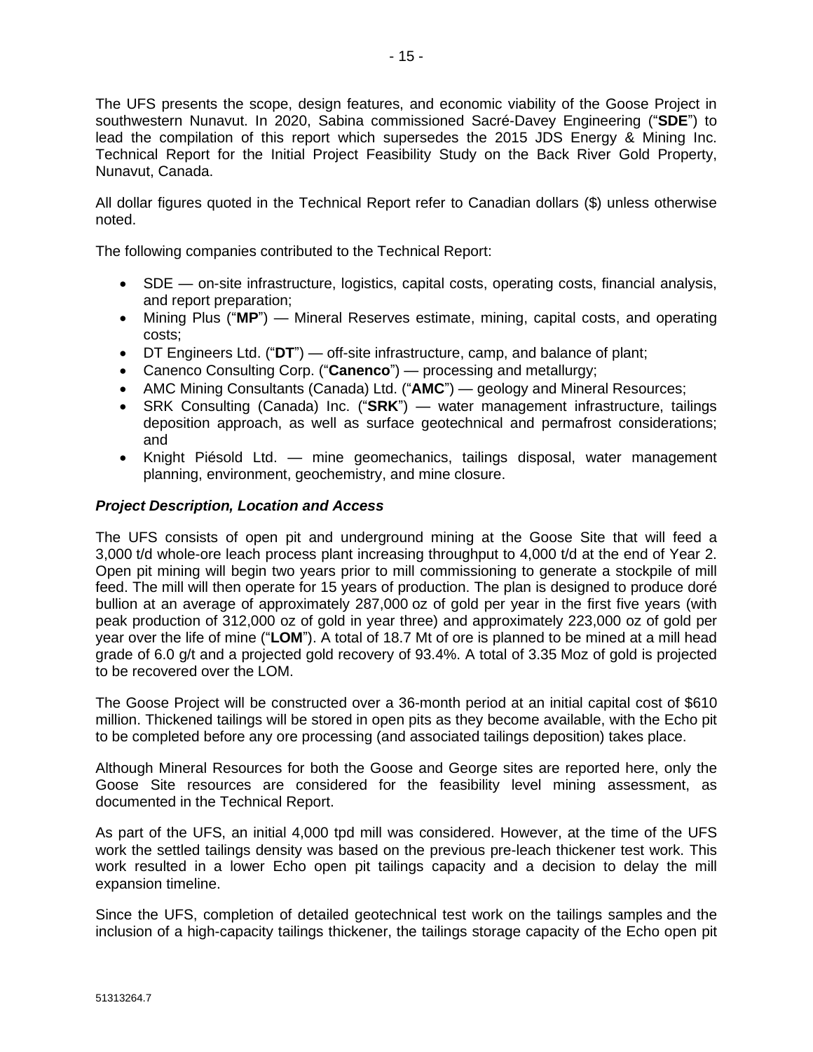The UFS presents the scope, design features, and economic viability of the Goose Project in southwestern Nunavut. In 2020, Sabina commissioned Sacré-Davey Engineering ("**SDE**") to lead the compilation of this report which supersedes the 2015 JDS Energy & Mining Inc. Technical Report for the Initial Project Feasibility Study on the Back River Gold Property, Nunavut, Canada.

All dollar figures quoted in the Technical Report refer to Canadian dollars (\$) unless otherwise noted.

The following companies contributed to the Technical Report:

- SDE on-site infrastructure, logistics, capital costs, operating costs, financial analysis, and report preparation;
- Mining Plus ("**MP**") Mineral Reserves estimate, mining, capital costs, and operating costs;
- DT Engineers Ltd. ("**DT**") off-site infrastructure, camp, and balance of plant;
- Canenco Consulting Corp. ("**Canenco**") processing and metallurgy;
- AMC Mining Consultants (Canada) Ltd. ("**AMC**") geology and Mineral Resources;
- SRK Consulting (Canada) Inc. ("**SRK**") water management infrastructure, tailings deposition approach, as well as surface geotechnical and permafrost considerations; and
- Knight Piésold Ltd. mine geomechanics, tailings disposal, water management planning, environment, geochemistry, and mine closure.

# *Project Description, Location and Access*

The UFS consists of open pit and underground mining at the Goose Site that will feed a 3,000 t/d whole-ore leach process plant increasing throughput to 4,000 t/d at the end of Year 2. Open pit mining will begin two years prior to mill commissioning to generate a stockpile of mill feed. The mill will then operate for 15 years of production. The plan is designed to produce doré bullion at an average of approximately 287,000 oz of gold per year in the first five years (with peak production of 312,000 oz of gold in year three) and approximately 223,000 oz of gold per year over the life of mine ("**LOM**"). A total of 18.7 Mt of ore is planned to be mined at a mill head grade of 6.0 g/t and a projected gold recovery of 93.4%. A total of 3.35 Moz of gold is projected to be recovered over the LOM.

The Goose Project will be constructed over a 36-month period at an initial capital cost of \$610 million. Thickened tailings will be stored in open pits as they become available, with the Echo pit to be completed before any ore processing (and associated tailings deposition) takes place.

Although Mineral Resources for both the Goose and George sites are reported here, only the Goose Site resources are considered for the feasibility level mining assessment, as documented in the Technical Report.

As part of the UFS, an initial 4,000 tpd mill was considered. However, at the time of the UFS work the settled tailings density was based on the previous pre-leach thickener test work. This work resulted in a lower Echo open pit tailings capacity and a decision to delay the mill expansion timeline.

Since the UFS, completion of detailed geotechnical test work on the tailings samples and the inclusion of a high-capacity tailings thickener, the tailings storage capacity of the Echo open pit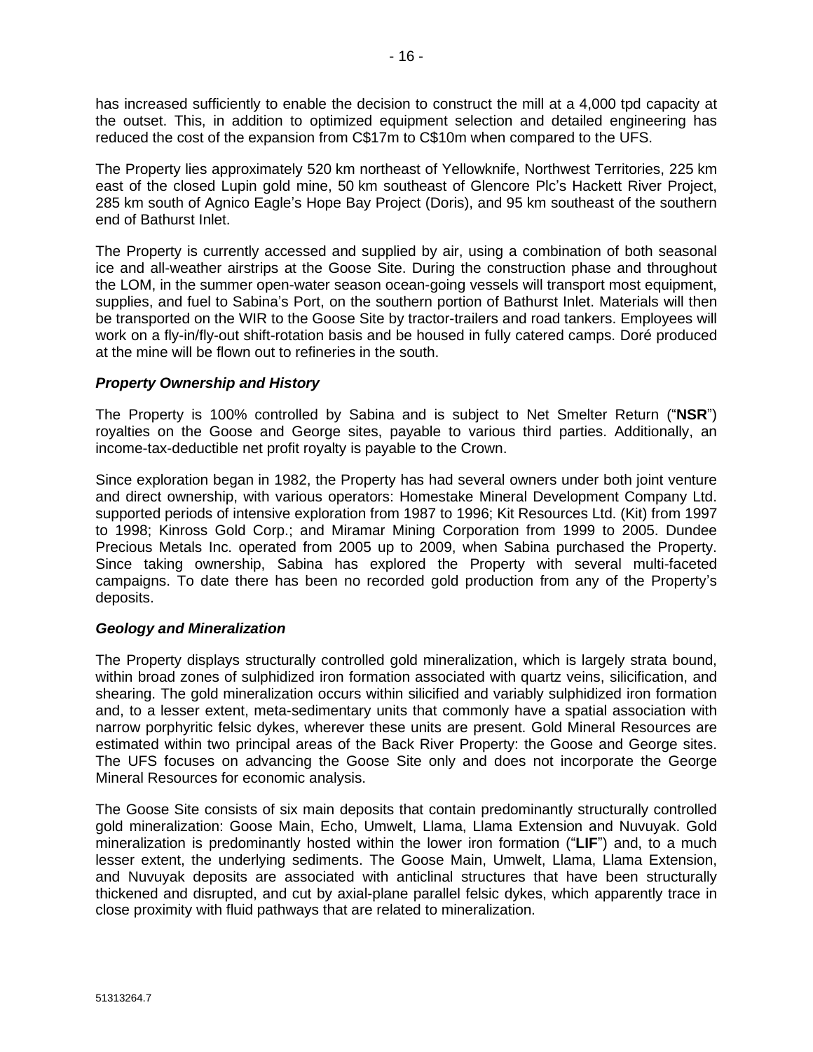has increased sufficiently to enable the decision to construct the mill at a 4,000 tpd capacity at the outset. This, in addition to optimized equipment selection and detailed engineering has reduced the cost of the expansion from C\$17m to C\$10m when compared to the UFS.

The Property lies approximately 520 km northeast of Yellowknife, Northwest Territories, 225 km east of the closed Lupin gold mine, 50 km southeast of Glencore Plc's Hackett River Project, 285 km south of Agnico Eagle's Hope Bay Project (Doris), and 95 km southeast of the southern end of Bathurst Inlet.

The Property is currently accessed and supplied by air, using a combination of both seasonal ice and all-weather airstrips at the Goose Site. During the construction phase and throughout the LOM, in the summer open-water season ocean-going vessels will transport most equipment, supplies, and fuel to Sabina's Port, on the southern portion of Bathurst Inlet. Materials will then be transported on the WIR to the Goose Site by tractor-trailers and road tankers. Employees will work on a fly-in/fly-out shift-rotation basis and be housed in fully catered camps. Doré produced at the mine will be flown out to refineries in the south.

# *Property Ownership and History*

The Property is 100% controlled by Sabina and is subject to Net Smelter Return ("**NSR**") royalties on the Goose and George sites, payable to various third parties. Additionally, an income-tax-deductible net profit royalty is payable to the Crown.

Since exploration began in 1982, the Property has had several owners under both joint venture and direct ownership, with various operators: Homestake Mineral Development Company Ltd. supported periods of intensive exploration from 1987 to 1996; Kit Resources Ltd. (Kit) from 1997 to 1998; Kinross Gold Corp.; and Miramar Mining Corporation from 1999 to 2005. Dundee Precious Metals Inc. operated from 2005 up to 2009, when Sabina purchased the Property. Since taking ownership, Sabina has explored the Property with several multi-faceted campaigns. To date there has been no recorded gold production from any of the Property's deposits.

# *Geology and Mineralization*

The Property displays structurally controlled gold mineralization, which is largely strata bound, within broad zones of sulphidized iron formation associated with quartz veins, silicification, and shearing. The gold mineralization occurs within silicified and variably sulphidized iron formation and, to a lesser extent, meta-sedimentary units that commonly have a spatial association with narrow porphyritic felsic dykes, wherever these units are present. Gold Mineral Resources are estimated within two principal areas of the Back River Property: the Goose and George sites. The UFS focuses on advancing the Goose Site only and does not incorporate the George Mineral Resources for economic analysis.

The Goose Site consists of six main deposits that contain predominantly structurally controlled gold mineralization: Goose Main, Echo, Umwelt, Llama, Llama Extension and Nuvuyak. Gold mineralization is predominantly hosted within the lower iron formation ("**LIF**") and, to a much lesser extent, the underlying sediments. The Goose Main, Umwelt, Llama, Llama Extension, and Nuvuyak deposits are associated with anticlinal structures that have been structurally thickened and disrupted, and cut by axial-plane parallel felsic dykes, which apparently trace in close proximity with fluid pathways that are related to mineralization.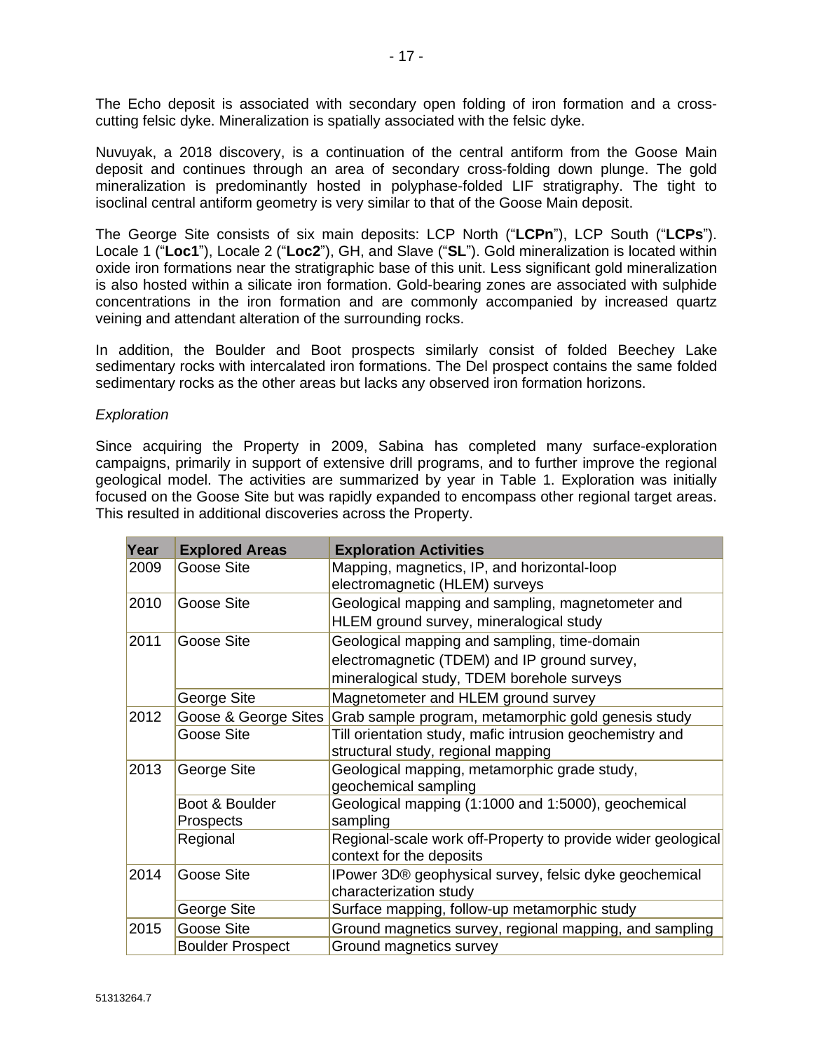The Echo deposit is associated with secondary open folding of iron formation and a crosscutting felsic dyke. Mineralization is spatially associated with the felsic dyke.

Nuvuyak, a 2018 discovery, is a continuation of the central antiform from the Goose Main deposit and continues through an area of secondary cross-folding down plunge. The gold mineralization is predominantly hosted in polyphase-folded LIF stratigraphy. The tight to isoclinal central antiform geometry is very similar to that of the Goose Main deposit.

The George Site consists of six main deposits: LCP North ("**LCPn**"), LCP South ("**LCPs**"). Locale 1 ("**Loc1**"), Locale 2 ("**Loc2**"), GH, and Slave ("**SL**"). Gold mineralization is located within oxide iron formations near the stratigraphic base of this unit. Less significant gold mineralization is also hosted within a silicate iron formation. Gold-bearing zones are associated with sulphide concentrations in the iron formation and are commonly accompanied by increased quartz veining and attendant alteration of the surrounding rocks.

In addition, the Boulder and Boot prospects similarly consist of folded Beechey Lake sedimentary rocks with intercalated iron formations. The Del prospect contains the same folded sedimentary rocks as the other areas but lacks any observed iron formation horizons.

#### *Exploration*

Since acquiring the Property in 2009, Sabina has completed many surface-exploration campaigns, primarily in support of extensive drill programs, and to further improve the regional geological model. The activities are summarized by year in Table 1. Exploration was initially focused on the Goose Site but was rapidly expanded to encompass other regional target areas. This resulted in additional discoveries across the Property.

| Year | <b>Explored Areas</b>              | <b>Exploration Activities</b>                                                                                                              |
|------|------------------------------------|--------------------------------------------------------------------------------------------------------------------------------------------|
| 2009 | Goose Site                         | Mapping, magnetics, IP, and horizontal-loop<br>electromagnetic (HLEM) surveys                                                              |
| 2010 | Goose Site                         | Geological mapping and sampling, magnetometer and<br>HLEM ground survey, mineralogical study                                               |
| 2011 | Goose Site                         | Geological mapping and sampling, time-domain<br>electromagnetic (TDEM) and IP ground survey,<br>mineralogical study, TDEM borehole surveys |
|      | George Site                        | Magnetometer and HLEM ground survey                                                                                                        |
| 2012 |                                    | Goose & George Sites Grab sample program, metamorphic gold genesis study                                                                   |
|      | Goose Site                         | Till orientation study, mafic intrusion geochemistry and<br>structural study, regional mapping                                             |
| 2013 | George Site                        | Geological mapping, metamorphic grade study,<br>geochemical sampling                                                                       |
|      | Boot & Boulder<br><b>Prospects</b> | Geological mapping (1:1000 and 1:5000), geochemical<br>sampling                                                                            |
|      | Regional                           | Regional-scale work off-Property to provide wider geological<br>context for the deposits                                                   |
| 2014 | Goose Site                         | IPower 3D® geophysical survey, felsic dyke geochemical<br>characterization study                                                           |
|      | George Site                        | Surface mapping, follow-up metamorphic study                                                                                               |
| 2015 | Goose Site                         | Ground magnetics survey, regional mapping, and sampling                                                                                    |
|      | <b>Boulder Prospect</b>            | Ground magnetics survey                                                                                                                    |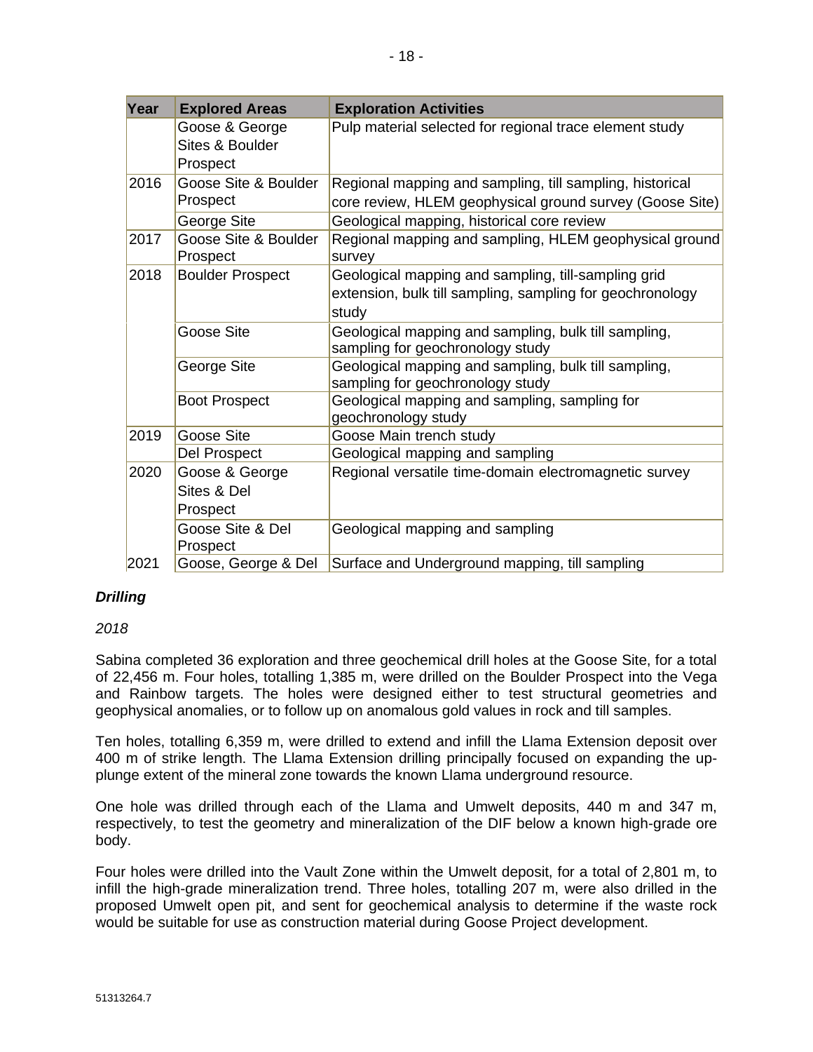| Year | <b>Explored Areas</b>                         | <b>Exploration Activities</b>                                                                                             |
|------|-----------------------------------------------|---------------------------------------------------------------------------------------------------------------------------|
|      | Goose & George<br>Sites & Boulder<br>Prospect | Pulp material selected for regional trace element study                                                                   |
| 2016 | Goose Site & Boulder<br>Prospect              | Regional mapping and sampling, till sampling, historical<br>core review, HLEM geophysical ground survey (Goose Site)      |
|      | George Site                                   | Geological mapping, historical core review                                                                                |
| 2017 | Goose Site & Boulder<br>Prospect              | Regional mapping and sampling, HLEM geophysical ground<br>survey                                                          |
| 2018 | <b>Boulder Prospect</b>                       | Geological mapping and sampling, till-sampling grid<br>extension, bulk till sampling, sampling for geochronology<br>study |
|      | Goose Site                                    | Geological mapping and sampling, bulk till sampling,<br>sampling for geochronology study                                  |
|      | George Site                                   | Geological mapping and sampling, bulk till sampling,<br>sampling for geochronology study                                  |
|      | <b>Boot Prospect</b>                          | Geological mapping and sampling, sampling for<br>geochronology study                                                      |
| 2019 | Goose Site                                    | Goose Main trench study                                                                                                   |
|      | Del Prospect                                  | Geological mapping and sampling                                                                                           |
| 2020 | Goose & George<br>Sites & Del<br>Prospect     | Regional versatile time-domain electromagnetic survey                                                                     |
|      | Goose Site & Del<br>Prospect                  | Geological mapping and sampling                                                                                           |
| 2021 | Goose, George & Del                           | Surface and Underground mapping, till sampling                                                                            |

# *Drilling*

#### *2018*

Sabina completed 36 exploration and three geochemical drill holes at the Goose Site, for a total of 22,456 m. Four holes, totalling 1,385 m, were drilled on the Boulder Prospect into the Vega and Rainbow targets. The holes were designed either to test structural geometries and geophysical anomalies, or to follow up on anomalous gold values in rock and till samples.

Ten holes, totalling 6,359 m, were drilled to extend and infill the Llama Extension deposit over 400 m of strike length. The Llama Extension drilling principally focused on expanding the upplunge extent of the mineral zone towards the known Llama underground resource.

One hole was drilled through each of the Llama and Umwelt deposits, 440 m and 347 m, respectively, to test the geometry and mineralization of the DIF below a known high-grade ore body.

Four holes were drilled into the Vault Zone within the Umwelt deposit, for a total of 2,801 m, to infill the high-grade mineralization trend. Three holes, totalling 207 m, were also drilled in the proposed Umwelt open pit, and sent for geochemical analysis to determine if the waste rock would be suitable for use as construction material during Goose Project development.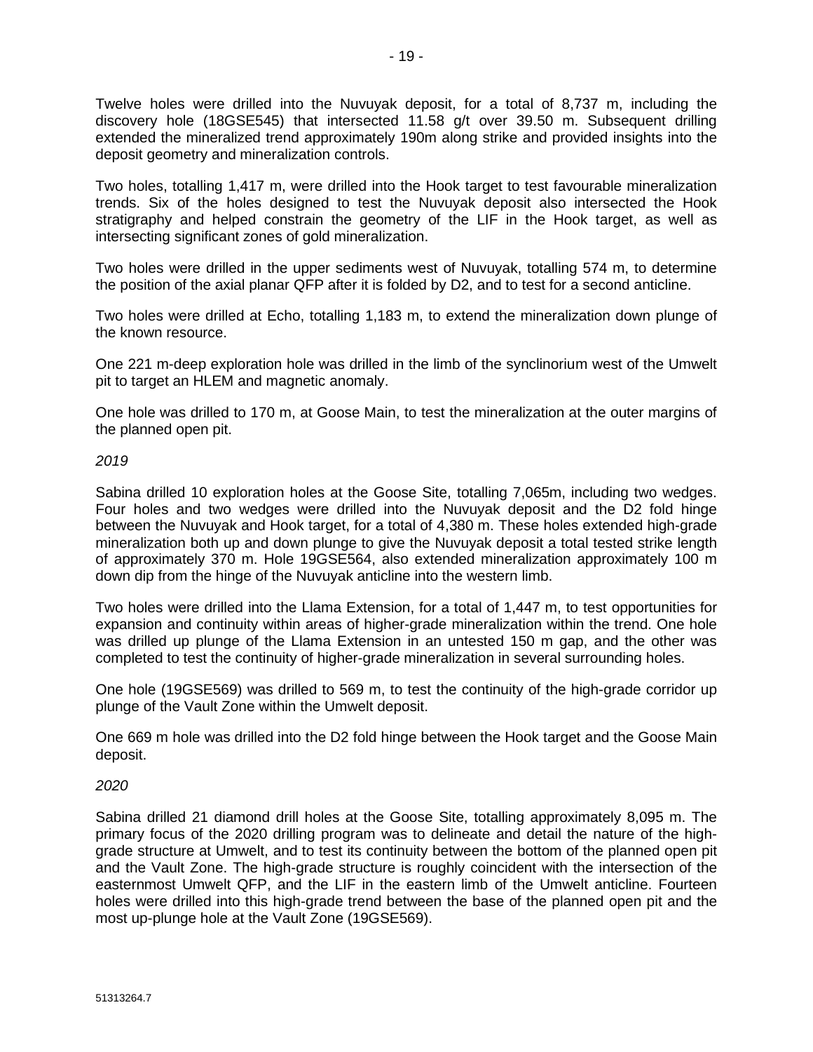Twelve holes were drilled into the Nuvuyak deposit, for a total of 8,737 m, including the discovery hole (18GSE545) that intersected 11.58 g/t over 39.50 m. Subsequent drilling extended the mineralized trend approximately 190m along strike and provided insights into the deposit geometry and mineralization controls.

Two holes, totalling 1,417 m, were drilled into the Hook target to test favourable mineralization trends. Six of the holes designed to test the Nuvuyak deposit also intersected the Hook stratigraphy and helped constrain the geometry of the LIF in the Hook target, as well as intersecting significant zones of gold mineralization.

Two holes were drilled in the upper sediments west of Nuvuyak, totalling 574 m, to determine the position of the axial planar QFP after it is folded by D2, and to test for a second anticline.

Two holes were drilled at Echo, totalling 1,183 m, to extend the mineralization down plunge of the known resource.

One 221 m-deep exploration hole was drilled in the limb of the synclinorium west of the Umwelt pit to target an HLEM and magnetic anomaly.

One hole was drilled to 170 m, at Goose Main, to test the mineralization at the outer margins of the planned open pit.

#### *2019*

Sabina drilled 10 exploration holes at the Goose Site, totalling 7,065m, including two wedges. Four holes and two wedges were drilled into the Nuvuyak deposit and the D2 fold hinge between the Nuvuyak and Hook target, for a total of 4,380 m. These holes extended high-grade mineralization both up and down plunge to give the Nuvuyak deposit a total tested strike length of approximately 370 m. Hole 19GSE564, also extended mineralization approximately 100 m down dip from the hinge of the Nuvuyak anticline into the western limb.

Two holes were drilled into the Llama Extension, for a total of 1,447 m, to test opportunities for expansion and continuity within areas of higher-grade mineralization within the trend. One hole was drilled up plunge of the Llama Extension in an untested 150 m gap, and the other was completed to test the continuity of higher-grade mineralization in several surrounding holes.

One hole (19GSE569) was drilled to 569 m, to test the continuity of the high-grade corridor up plunge of the Vault Zone within the Umwelt deposit.

One 669 m hole was drilled into the D2 fold hinge between the Hook target and the Goose Main deposit.

#### *2020*

Sabina drilled 21 diamond drill holes at the Goose Site, totalling approximately 8,095 m. The primary focus of the 2020 drilling program was to delineate and detail the nature of the highgrade structure at Umwelt, and to test its continuity between the bottom of the planned open pit and the Vault Zone. The high-grade structure is roughly coincident with the intersection of the easternmost Umwelt QFP, and the LIF in the eastern limb of the Umwelt anticline. Fourteen holes were drilled into this high-grade trend between the base of the planned open pit and the most up-plunge hole at the Vault Zone (19GSE569).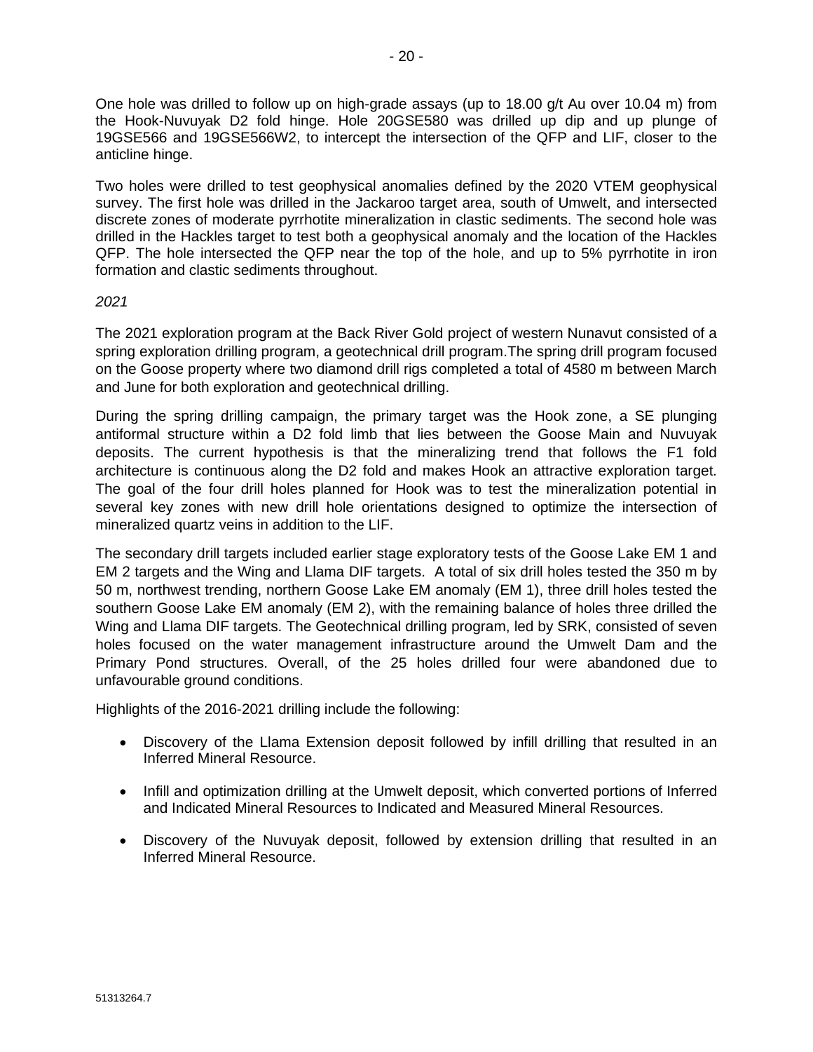One hole was drilled to follow up on high-grade assays (up to 18.00 g/t Au over 10.04 m) from the Hook-Nuvuyak D2 fold hinge. Hole 20GSE580 was drilled up dip and up plunge of 19GSE566 and 19GSE566W2, to intercept the intersection of the QFP and LIF, closer to the anticline hinge.

Two holes were drilled to test geophysical anomalies defined by the 2020 VTEM geophysical survey. The first hole was drilled in the Jackaroo target area, south of Umwelt, and intersected discrete zones of moderate pyrrhotite mineralization in clastic sediments. The second hole was drilled in the Hackles target to test both a geophysical anomaly and the location of the Hackles QFP. The hole intersected the QFP near the top of the hole, and up to 5% pyrrhotite in iron formation and clastic sediments throughout.

#### *2021*

The 2021 exploration program at the Back River Gold project of western Nunavut consisted of a spring exploration drilling program, a geotechnical drill program.The spring drill program focused on the Goose property where two diamond drill rigs completed a total of 4580 m between March and June for both exploration and geotechnical drilling.

During the spring drilling campaign, the primary target was the Hook zone, a SE plunging antiformal structure within a D2 fold limb that lies between the Goose Main and Nuvuyak deposits. The current hypothesis is that the mineralizing trend that follows the F1 fold architecture is continuous along the D2 fold and makes Hook an attractive exploration target. The goal of the four drill holes planned for Hook was to test the mineralization potential in several key zones with new drill hole orientations designed to optimize the intersection of mineralized quartz veins in addition to the LIF.

The secondary drill targets included earlier stage exploratory tests of the Goose Lake EM 1 and EM 2 targets and the Wing and Llama DIF targets. A total of six drill holes tested the 350 m by 50 m, northwest trending, northern Goose Lake EM anomaly (EM 1), three drill holes tested the southern Goose Lake EM anomaly (EM 2), with the remaining balance of holes three drilled the Wing and Llama DIF targets. The Geotechnical drilling program, led by SRK, consisted of seven holes focused on the water management infrastructure around the Umwelt Dam and the Primary Pond structures. Overall, of the 25 holes drilled four were abandoned due to unfavourable ground conditions.

Highlights of the 2016-2021 drilling include the following:

- Discovery of the Llama Extension deposit followed by infill drilling that resulted in an Inferred Mineral Resource.
- Infill and optimization drilling at the Umwelt deposit, which converted portions of Inferred and Indicated Mineral Resources to Indicated and Measured Mineral Resources.
- Discovery of the Nuvuyak deposit, followed by extension drilling that resulted in an Inferred Mineral Resource.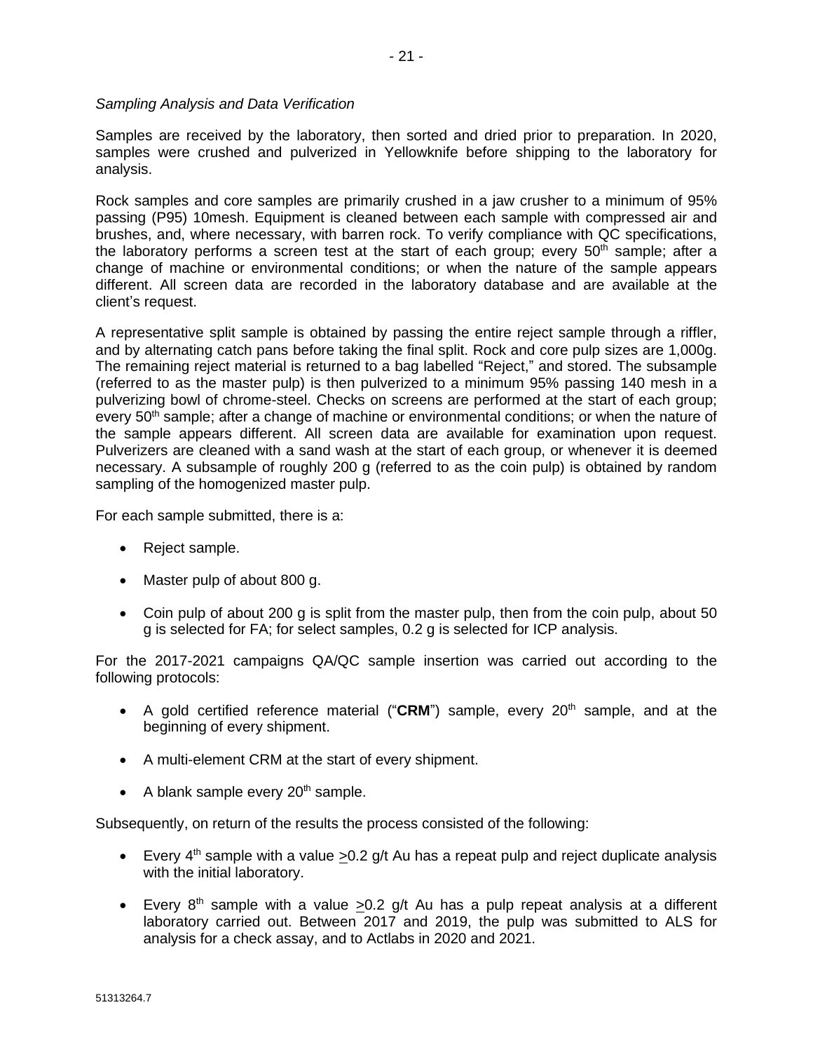*Sampling Analysis and Data Verification* 

Samples are received by the laboratory, then sorted and dried prior to preparation. In 2020, samples were crushed and pulverized in Yellowknife before shipping to the laboratory for analysis.

Rock samples and core samples are primarily crushed in a jaw crusher to a minimum of 95% passing (P95) 10mesh. Equipment is cleaned between each sample with compressed air and brushes, and, where necessary, with barren rock. To verify compliance with QC specifications, the laboratory performs a screen test at the start of each group; every  $50<sup>th</sup>$  sample; after a change of machine or environmental conditions; or when the nature of the sample appears different. All screen data are recorded in the laboratory database and are available at the client's request.

A representative split sample is obtained by passing the entire reject sample through a riffler, and by alternating catch pans before taking the final split. Rock and core pulp sizes are 1,000g. The remaining reject material is returned to a bag labelled "Reject," and stored. The subsample (referred to as the master pulp) is then pulverized to a minimum 95% passing 140 mesh in a pulverizing bowl of chrome-steel. Checks on screens are performed at the start of each group; every 50<sup>th</sup> sample; after a change of machine or environmental conditions; or when the nature of the sample appears different. All screen data are available for examination upon request. Pulverizers are cleaned with a sand wash at the start of each group, or whenever it is deemed necessary. A subsample of roughly 200 g (referred to as the coin pulp) is obtained by random sampling of the homogenized master pulp.

For each sample submitted, there is a:

- Reject sample.
- Master pulp of about 800 g.
- Coin pulp of about 200 g is split from the master pulp, then from the coin pulp, about 50 g is selected for FA; for select samples, 0.2 g is selected for ICP analysis.

For the 2017-2021 campaigns QA/QC sample insertion was carried out according to the following protocols:

- A gold certified reference material ("CRM") sample, every 20<sup>th</sup> sample, and at the beginning of every shipment.
- A multi-element CRM at the start of every shipment.
- A blank sample every  $20<sup>th</sup>$  sample.

Subsequently, on return of the results the process consisted of the following:

- Every  $4<sup>th</sup>$  sample with a value  $>0.2$  g/t Au has a repeat pulp and reject duplicate analysis with the initial laboratory.
- Every  $8<sup>th</sup>$  sample with a value >0.2 g/t Au has a pulp repeat analysis at a different laboratory carried out. Between 2017 and 2019, the pulp was submitted to ALS for analysis for a check assay, and to Actlabs in 2020 and 2021.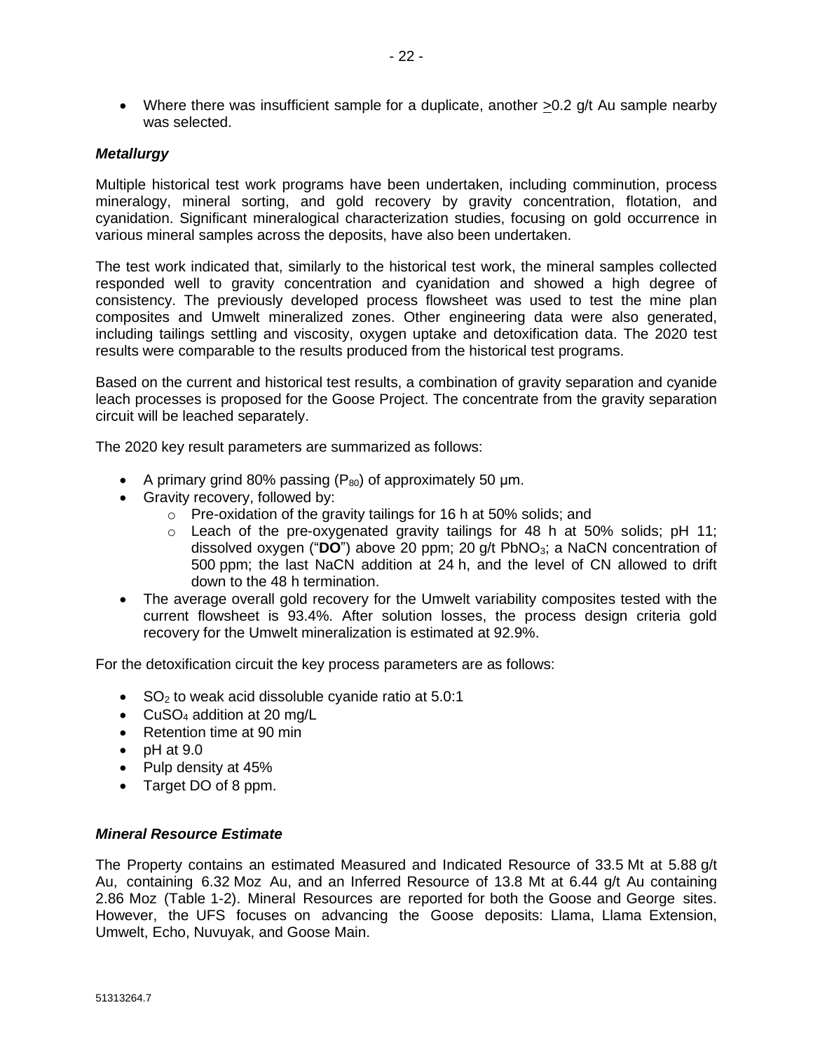• Where there was insufficient sample for a duplicate, another >0.2 g/t Au sample nearby was selected.

### *Metallurgy*

Multiple historical test work programs have been undertaken, including comminution, process mineralogy, mineral sorting, and gold recovery by gravity concentration, flotation, and cyanidation. Significant mineralogical characterization studies, focusing on gold occurrence in various mineral samples across the deposits, have also been undertaken.

The test work indicated that, similarly to the historical test work, the mineral samples collected responded well to gravity concentration and cyanidation and showed a high degree of consistency. The previously developed process flowsheet was used to test the mine plan composites and Umwelt mineralized zones. Other engineering data were also generated, including tailings settling and viscosity, oxygen uptake and detoxification data. The 2020 test results were comparable to the results produced from the historical test programs.

Based on the current and historical test results, a combination of gravity separation and cyanide leach processes is proposed for the Goose Project. The concentrate from the gravity separation circuit will be leached separately.

The 2020 key result parameters are summarized as follows:

- A primary grind 80% passing  $(P_{80})$  of approximately 50  $\mu$ m.
- Gravity recovery, followed by:
	- $\circ$  Pre-oxidation of the gravity tailings for 16 h at 50% solids; and
	- $\circ$  Leach of the pre-oxygenated gravity tailings for 48 h at 50% solids; pH 11; dissolved oxygen ("**DO**") above 20 ppm; 20 g/t PbNO3; a NaCN concentration of 500 ppm; the last NaCN addition at 24 h, and the level of CN allowed to drift down to the 48 h termination.
- The average overall gold recovery for the Umwelt variability composites tested with the current flowsheet is 93.4%. After solution losses, the process design criteria gold recovery for the Umwelt mineralization is estimated at 92.9%.

For the detoxification circuit the key process parameters are as follows:

- $SO<sub>2</sub>$  to weak acid dissoluble cyanide ratio at 5.0:1
- CuSO<sub>4</sub> addition at 20 mg/L
- Retention time at 90 min
- $\bullet$  pH at 9.0
- Pulp density at 45%
- Target DO of 8 ppm.

#### *Mineral Resource Estimate*

The Property contains an estimated Measured and Indicated Resource of 33.5 Mt at 5.88 g/t Au, containing 6.32 Moz Au, and an Inferred Resource of 13.8 Mt at 6.44 g/t Au containing 2.86 Moz (Table 1-2). Mineral Resources are reported for both the Goose and George sites. However, the UFS focuses on advancing the Goose deposits: Llama, Llama Extension, Umwelt, Echo, Nuvuyak, and Goose Main.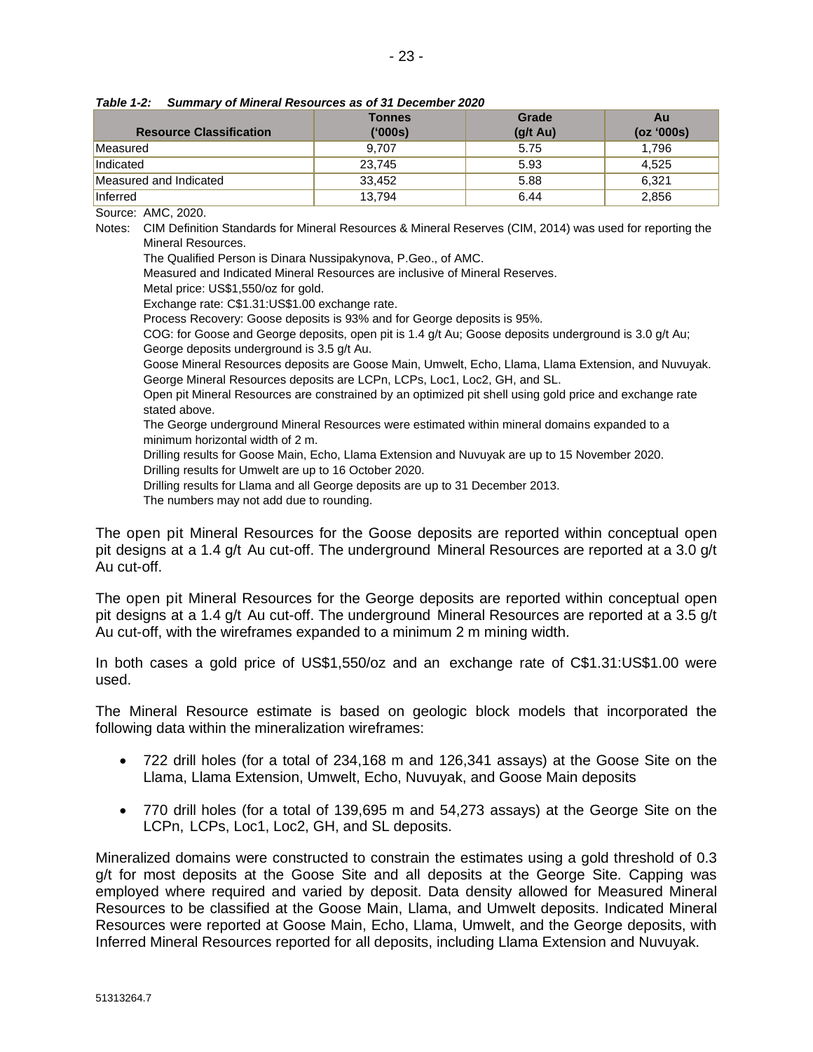| <b>Resource Classification</b> | <b>Tonnes</b><br>('000s) | Grade<br>$(g/t \text{ Au})$ | Au<br>(oz '000s) |
|--------------------------------|--------------------------|-----------------------------|------------------|
| Measured                       | 9.707                    | 5.75                        | 1,796            |
| Indicated                      | 23.745                   | 5.93                        | 4,525            |
| Measured and Indicated         | 33.452                   | 5.88                        | 6.321            |
| Inferred                       | 13.794                   | 6.44                        | 2,856            |

*Table 1-2: Summary of Mineral Resources as of 31 December 2020*

Source: AMC, 2020.

Notes: CIM Definition Standards for Mineral Resources & Mineral Reserves (CIM, 2014) was used for reporting the Mineral Resources.

The Qualified Person is Dinara Nussipakynova, P.Geo., of AMC.

Measured and Indicated Mineral Resources are inclusive of Mineral Reserves.

Metal price: US\$1,550/oz for gold.

Exchange rate: C\$1.31:US\$1.00 exchange rate.

Process Recovery: Goose deposits is 93% and for George deposits is 95%.

COG: for Goose and George deposits, open pit is 1.4 g/t Au; Goose deposits underground is 3.0 g/t Au; George deposits underground is 3.5 g/t Au.

Goose Mineral Resources deposits are Goose Main, Umwelt, Echo, Llama, Llama Extension, and Nuvuyak. George Mineral Resources deposits are LCPn, LCPs, Loc1, Loc2, GH, and SL.

Open pit Mineral Resources are constrained by an optimized pit shell using gold price and exchange rate stated above.

The George underground Mineral Resources were estimated within mineral domains expanded to a minimum horizontal width of 2 m.

Drilling results for Goose Main, Echo, Llama Extension and Nuvuyak are up to 15 November 2020.

Drilling results for Umwelt are up to 16 October 2020.

Drilling results for Llama and all George deposits are up to 31 December 2013.

The numbers may not add due to rounding.

The open pit Mineral Resources for the Goose deposits are reported within conceptual open pit designs at a 1.4 g/t Au cut-off. The underground Mineral Resources are reported at a 3.0 g/t Au cut-off.

The open pit Mineral Resources for the George deposits are reported within conceptual open pit designs at a 1.4 g/t Au cut-off. The underground Mineral Resources are reported at a 3.5 g/t Au cut-off, with the wireframes expanded to a minimum 2 m mining width.

In both cases a gold price of US\$1,550/oz and an exchange rate of C\$1.31:US\$1.00 were used.

The Mineral Resource estimate is based on geologic block models that incorporated the following data within the mineralization wireframes:

- 722 drill holes (for a total of 234,168 m and 126,341 assays) at the Goose Site on the Llama, Llama Extension, Umwelt, Echo, Nuvuyak, and Goose Main deposits
- 770 drill holes (for a total of 139,695 m and 54,273 assays) at the George Site on the LCPn, LCPs, Loc1, Loc2, GH, and SL deposits.

Mineralized domains were constructed to constrain the estimates using a gold threshold of 0.3 g/t for most deposits at the Goose Site and all deposits at the George Site. Capping was employed where required and varied by deposit. Data density allowed for Measured Mineral Resources to be classified at the Goose Main, Llama, and Umwelt deposits. Indicated Mineral Resources were reported at Goose Main, Echo, Llama, Umwelt, and the George deposits, with Inferred Mineral Resources reported for all deposits, including Llama Extension and Nuvuyak.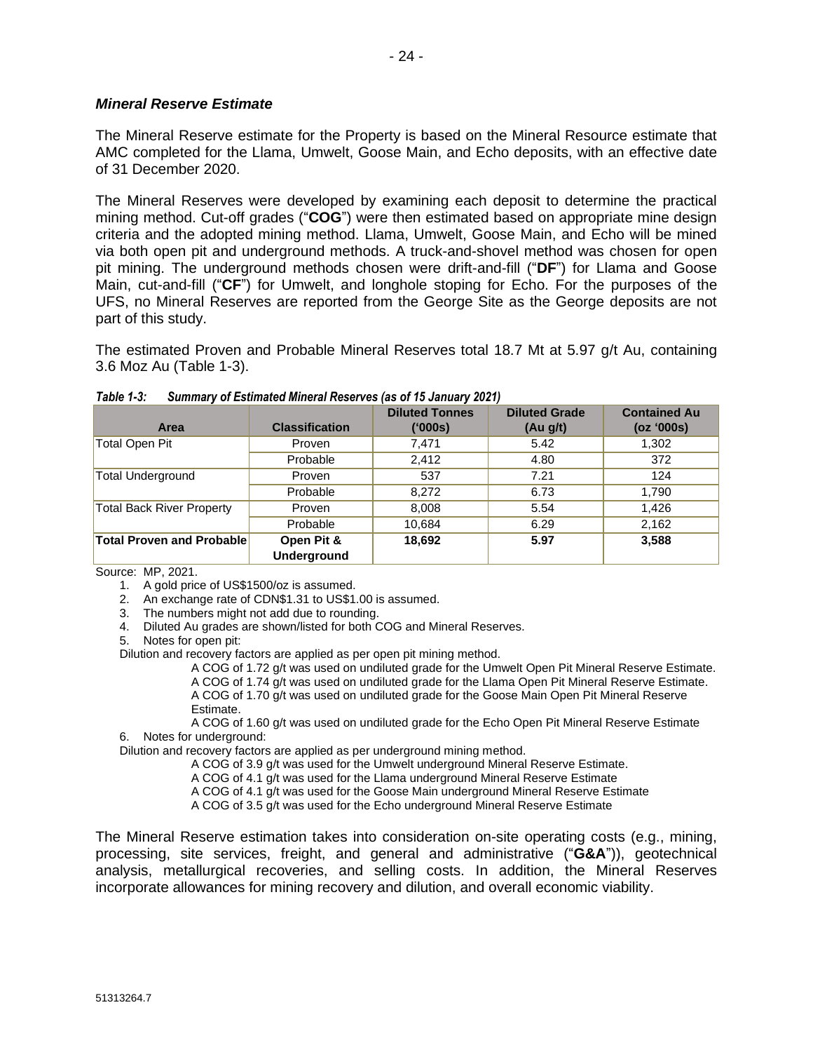### *Mineral Reserve Estimate*

The Mineral Reserve estimate for the Property is based on the Mineral Resource estimate that AMC completed for the Llama, Umwelt, Goose Main, and Echo deposits, with an effective date of 31 December 2020.

The Mineral Reserves were developed by examining each deposit to determine the practical mining method. Cut-off grades ("**COG**") were then estimated based on appropriate mine design criteria and the adopted mining method. Llama, Umwelt, Goose Main, and Echo will be mined via both open pit and underground methods. A truck-and-shovel method was chosen for open pit mining. The underground methods chosen were drift-and-fill ("**DF**") for Llama and Goose Main, cut-and-fill ("**CF**") for Umwelt, and longhole stoping for Echo. For the purposes of the UFS, no Mineral Reserves are reported from the George Site as the George deposits are not part of this study.

The estimated Proven and Probable Mineral Reserves total 18.7 Mt at 5.97 g/t Au, containing 3.6 Moz Au (Table 1-3).

| Area                             | <b>Classification</b>     | <b>Diluted Tonnes</b><br>(000s) | <b>Diluted Grade</b><br>(Au g/t) | <b>Contained Au</b><br>(oz '000s) |
|----------------------------------|---------------------------|---------------------------------|----------------------------------|-----------------------------------|
| <b>Total Open Pit</b>            | Proven                    | 7.471                           | 5.42                             | 1,302                             |
|                                  | Probable                  | 2.412                           | 4.80                             | 372                               |
| <b>Total Underground</b>         | Proven                    | 537                             | 7.21                             | 124                               |
|                                  | Probable                  | 8,272                           | 6.73                             | 1,790                             |
| <b>Total Back River Property</b> | Proven                    | 8,008                           | 5.54                             | 1.426                             |
|                                  | Probable                  | 10,684                          | 6.29                             | 2,162                             |
| <b>Total Proven and Probable</b> | Open Pit &<br>Underground | 18,692                          | 5.97                             | 3,588                             |

| <b>Table 1-3:</b> |  |  | Summary of Estimated Mineral Reserves (as of 15 January 2021) |
|-------------------|--|--|---------------------------------------------------------------|
|                   |  |  |                                                               |

Source: MP, 2021.

2. An exchange rate of CDN\$1.31 to US\$1.00 is assumed.

- 3. The numbers might not add due to rounding.
- 4. Diluted Au grades are shown/listed for both COG and Mineral Reserves.

5. Notes for open pit:

Dilution and recovery factors are applied as per open pit mining method.

A COG of 1.72 g/t was used on undiluted grade for the Umwelt Open Pit Mineral Reserve Estimate.

A COG of 1.74 g/t was used on undiluted grade for the Llama Open Pit Mineral Reserve Estimate.

A COG of 1.70 g/t was used on undiluted grade for the Goose Main Open Pit Mineral Reserve Estimate.

A COG of 1.60 g/t was used on undiluted grade for the Echo Open Pit Mineral Reserve Estimate 6. Notes for underground:

Dilution and recovery factors are applied as per underground mining method.

A COG of 3.9 g/t was used for the Umwelt underground Mineral Reserve Estimate.

A COG of 4.1 g/t was used for the Llama underground Mineral Reserve Estimate

A COG of 4.1 g/t was used for the Goose Main underground Mineral Reserve Estimate

A COG of 3.5 g/t was used for the Echo underground Mineral Reserve Estimate

The Mineral Reserve estimation takes into consideration on-site operating costs (e.g., mining, processing, site services, freight, and general and administrative ("**G&A**")), geotechnical analysis, metallurgical recoveries, and selling costs. In addition, the Mineral Reserves incorporate allowances for mining recovery and dilution, and overall economic viability.

<sup>1.</sup> A gold price of US\$1500/oz is assumed.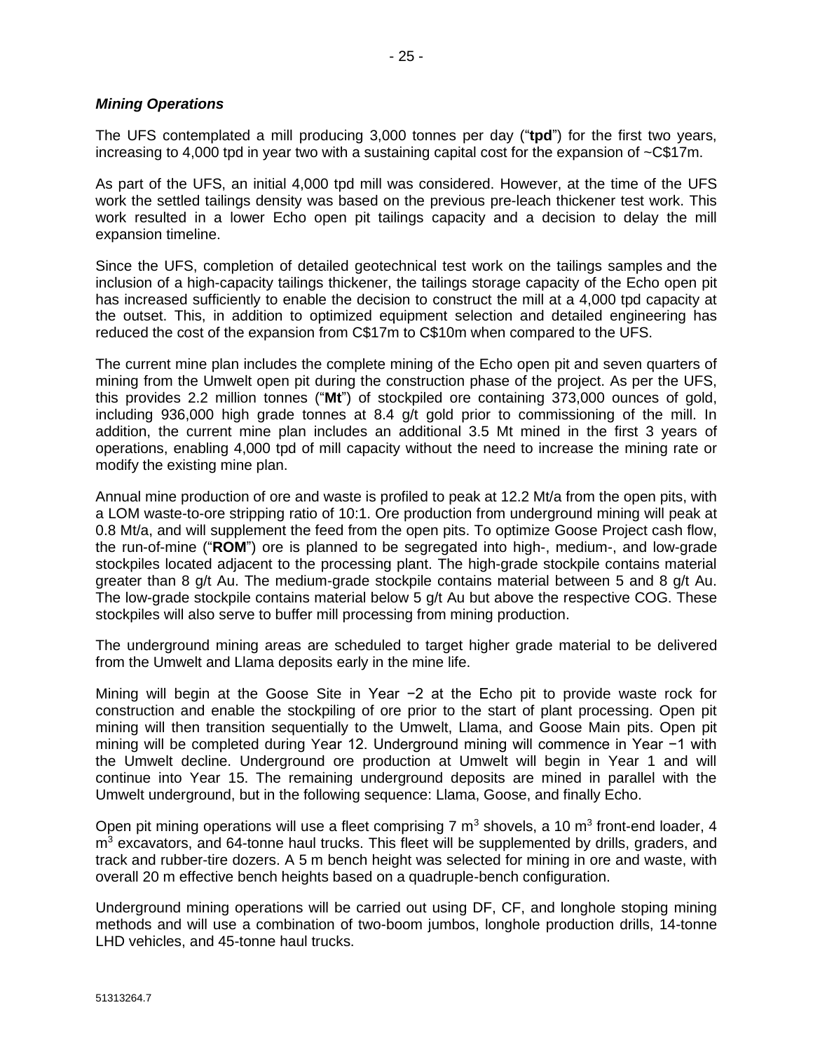The UFS contemplated a mill producing 3,000 tonnes per day ("**tpd**") for the first two years, increasing to 4,000 tpd in year two with a sustaining capital cost for the expansion of ~C\$17m.

As part of the UFS, an initial 4,000 tpd mill was considered. However, at the time of the UFS work the settled tailings density was based on the previous pre-leach thickener test work. This work resulted in a lower Echo open pit tailings capacity and a decision to delay the mill expansion timeline.

Since the UFS, completion of detailed geotechnical test work on the tailings samples and the inclusion of a high-capacity tailings thickener, the tailings storage capacity of the Echo open pit has increased sufficiently to enable the decision to construct the mill at a 4,000 tpd capacity at the outset. This, in addition to optimized equipment selection and detailed engineering has reduced the cost of the expansion from C\$17m to C\$10m when compared to the UFS.

The current mine plan includes the complete mining of the Echo open pit and seven quarters of mining from the Umwelt open pit during the construction phase of the project. As per the UFS, this provides 2.2 million tonnes ("**Mt**") of stockpiled ore containing 373,000 ounces of gold, including 936,000 high grade tonnes at 8.4 g/t gold prior to commissioning of the mill. In addition, the current mine plan includes an additional 3.5 Mt mined in the first 3 years of operations, enabling 4,000 tpd of mill capacity without the need to increase the mining rate or modify the existing mine plan.

Annual mine production of ore and waste is profiled to peak at 12.2 Mt/a from the open pits, with a LOM waste-to-ore stripping ratio of 10:1. Ore production from underground mining will peak at 0.8 Mt/a, and will supplement the feed from the open pits. To optimize Goose Project cash flow, the run-of-mine ("**ROM**") ore is planned to be segregated into high-, medium-, and low-grade stockpiles located adjacent to the processing plant. The high-grade stockpile contains material greater than 8 g/t Au. The medium-grade stockpile contains material between 5 and 8 g/t Au. The low-grade stockpile contains material below 5 g/t Au but above the respective COG. These stockpiles will also serve to buffer mill processing from mining production.

The underground mining areas are scheduled to target higher grade material to be delivered from the Umwelt and Llama deposits early in the mine life.

Mining will begin at the Goose Site in Year −2 at the Echo pit to provide waste rock for construction and enable the stockpiling of ore prior to the start of plant processing. Open pit mining will then transition sequentially to the Umwelt, Llama, and Goose Main pits. Open pit mining will be completed during Year 12. Underground mining will commence in Year −1 with the Umwelt decline. Underground ore production at Umwelt will begin in Year 1 and will continue into Year 15. The remaining underground deposits are mined in parallel with the Umwelt underground, but in the following sequence: Llama, Goose, and finally Echo.

Open pit mining operations will use a fleet comprising 7  $m^3$  shovels, a 10  $m^3$  front-end loader, 4  $m<sup>3</sup>$  excavators, and 64-tonne haul trucks. This fleet will be supplemented by drills, graders, and track and rubber-tire dozers. A 5 m bench height was selected for mining in ore and waste, with overall 20 m effective bench heights based on a quadruple-bench configuration.

Underground mining operations will be carried out using DF, CF, and longhole stoping mining methods and will use a combination of two-boom jumbos, longhole production drills, 14-tonne LHD vehicles, and 45-tonne haul trucks.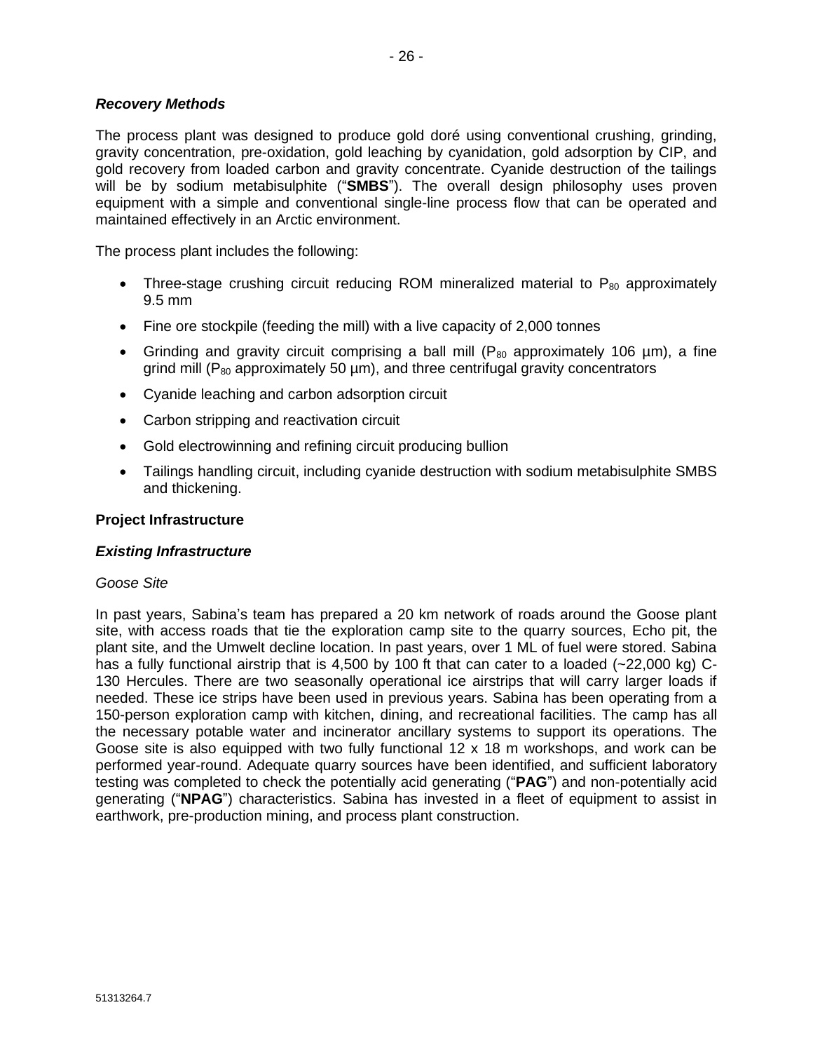# *Recovery Methods*

The process plant was designed to produce gold doré using conventional crushing, grinding, gravity concentration, pre-oxidation, gold leaching by cyanidation, gold adsorption by CIP, and gold recovery from loaded carbon and gravity concentrate. Cyanide destruction of the tailings will be by sodium metabisulphite ("**SMBS**"). The overall design philosophy uses proven equipment with a simple and conventional single-line process flow that can be operated and maintained effectively in an Arctic environment.

The process plant includes the following:

- Three-stage crushing circuit reducing ROM mineralized material to  $P_{80}$  approximately 9.5 mm
- Fine ore stockpile (feeding the mill) with a live capacity of 2,000 tonnes
- Grinding and gravity circuit comprising a ball mill ( $P_{80}$  approximately 106  $\mu$ m), a fine grind mill ( $P_{80}$  approximately 50  $\mu$ m), and three centrifugal gravity concentrators
- Cyanide leaching and carbon adsorption circuit
- Carbon stripping and reactivation circuit
- Gold electrowinning and refining circuit producing bullion
- Tailings handling circuit, including cyanide destruction with sodium metabisulphite SMBS and thickening.

#### **Project Infrastructure**

#### *Existing Infrastructure*

#### *Goose Site*

In past years, Sabina's team has prepared a 20 km network of roads around the Goose plant site, with access roads that tie the exploration camp site to the quarry sources, Echo pit, the plant site, and the Umwelt decline location. In past years, over 1 ML of fuel were stored. Sabina has a fully functional airstrip that is 4,500 by 100 ft that can cater to a loaded (~22,000 kg) C-130 Hercules. There are two seasonally operational ice airstrips that will carry larger loads if needed. These ice strips have been used in previous years. Sabina has been operating from a 150-person exploration camp with kitchen, dining, and recreational facilities. The camp has all the necessary potable water and incinerator ancillary systems to support its operations. The Goose site is also equipped with two fully functional 12 x 18 m workshops, and work can be performed year-round. Adequate quarry sources have been identified, and sufficient laboratory testing was completed to check the potentially acid generating ("**PAG**") and non-potentially acid generating ("**NPAG**") characteristics. Sabina has invested in a fleet of equipment to assist in earthwork, pre-production mining, and process plant construction.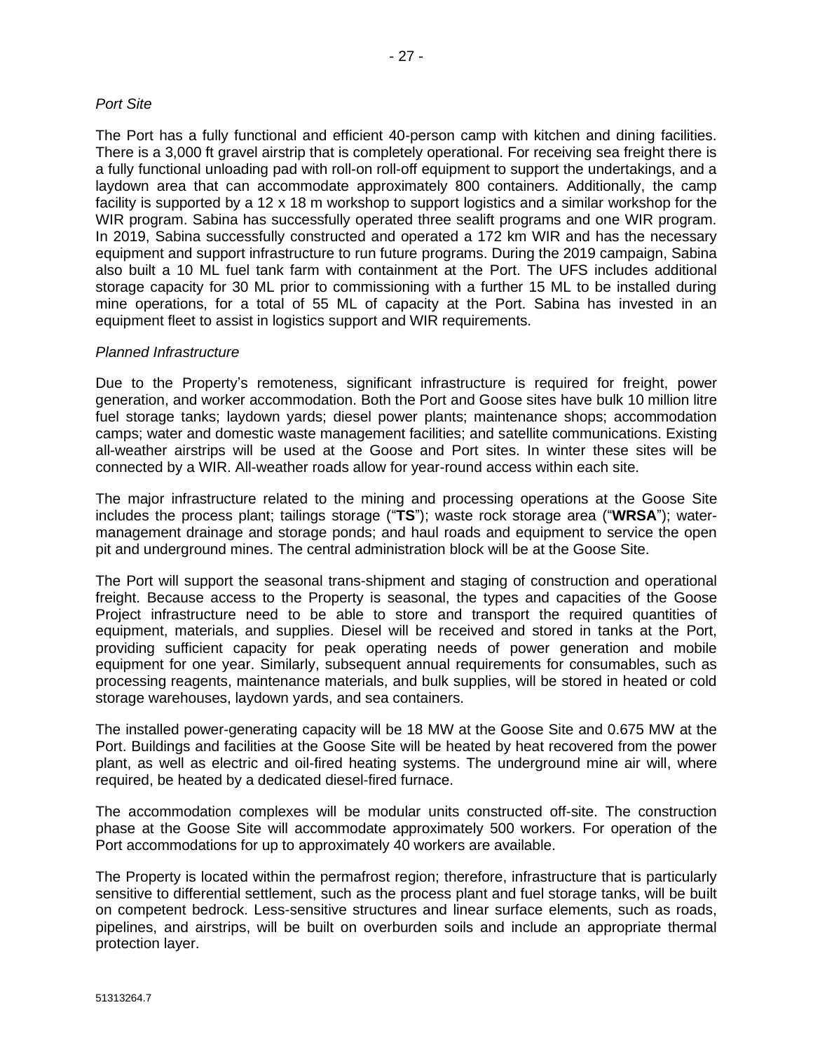The Port has a fully functional and efficient 40-person camp with kitchen and dining facilities. There is a 3,000 ft gravel airstrip that is completely operational. For receiving sea freight there is a fully functional unloading pad with roll-on roll-off equipment to support the undertakings, and a laydown area that can accommodate approximately 800 containers. Additionally, the camp facility is supported by a 12 x 18 m workshop to support logistics and a similar workshop for the WIR program. Sabina has successfully operated three sealift programs and one WIR program. In 2019, Sabina successfully constructed and operated a 172 km WIR and has the necessary equipment and support infrastructure to run future programs. During the 2019 campaign, Sabina also built a 10 ML fuel tank farm with containment at the Port. The UFS includes additional storage capacity for 30 ML prior to commissioning with a further 15 ML to be installed during mine operations, for a total of 55 ML of capacity at the Port. Sabina has invested in an equipment fleet to assist in logistics support and WIR requirements.

#### *Planned Infrastructure*

Due to the Property's remoteness, significant infrastructure is required for freight, power generation, and worker accommodation. Both the Port and Goose sites have bulk 10 million litre fuel storage tanks; laydown yards; diesel power plants; maintenance shops; accommodation camps; water and domestic waste management facilities; and satellite communications. Existing all-weather airstrips will be used at the Goose and Port sites. In winter these sites will be connected by a WIR. All-weather roads allow for year-round access within each site.

The major infrastructure related to the mining and processing operations at the Goose Site includes the process plant; tailings storage ("**TS**"); waste rock storage area ("**WRSA**"); watermanagement drainage and storage ponds; and haul roads and equipment to service the open pit and underground mines. The central administration block will be at the Goose Site.

The Port will support the seasonal trans-shipment and staging of construction and operational freight. Because access to the Property is seasonal, the types and capacities of the Goose Project infrastructure need to be able to store and transport the required quantities of equipment, materials, and supplies. Diesel will be received and stored in tanks at the Port, providing sufficient capacity for peak operating needs of power generation and mobile equipment for one year. Similarly, subsequent annual requirements for consumables, such as processing reagents, maintenance materials, and bulk supplies, will be stored in heated or cold storage warehouses, laydown yards, and sea containers.

The installed power-generating capacity will be 18 MW at the Goose Site and 0.675 MW at the Port. Buildings and facilities at the Goose Site will be heated by heat recovered from the power plant, as well as electric and oil-fired heating systems. The underground mine air will, where required, be heated by a dedicated diesel-fired furnace.

The accommodation complexes will be modular units constructed off-site. The construction phase at the Goose Site will accommodate approximately 500 workers. For operation of the Port accommodations for up to approximately 40 workers are available.

The Property is located within the permafrost region; therefore, infrastructure that is particularly sensitive to differential settlement, such as the process plant and fuel storage tanks, will be built on competent bedrock. Less-sensitive structures and linear surface elements, such as roads, pipelines, and airstrips, will be built on overburden soils and include an appropriate thermal protection layer.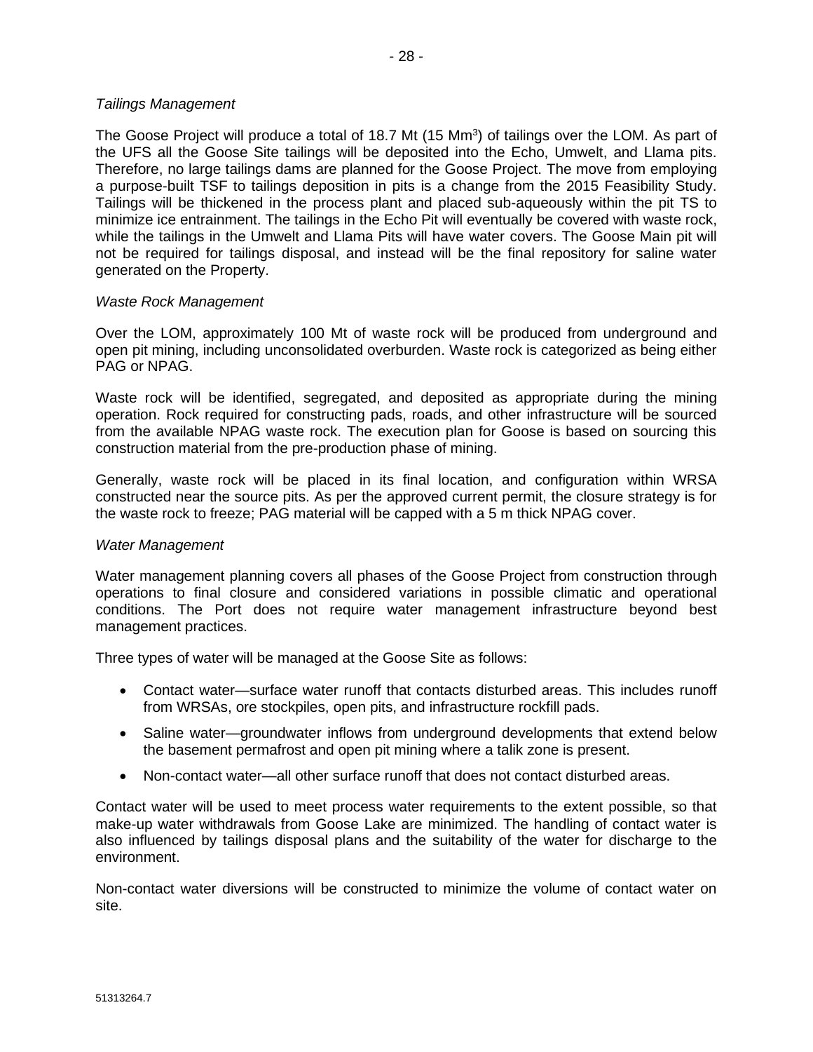The Goose Project will produce a total of 18.7 Mt (15 Mm<sup>3</sup>) of tailings over the LOM. As part of the UFS all the Goose Site tailings will be deposited into the Echo, Umwelt, and Llama pits. Therefore, no large tailings dams are planned for the Goose Project. The move from employing a purpose-built TSF to tailings deposition in pits is a change from the 2015 Feasibility Study. Tailings will be thickened in the process plant and placed sub-aqueously within the pit TS to minimize ice entrainment. The tailings in the Echo Pit will eventually be covered with waste rock, while the tailings in the Umwelt and Llama Pits will have water covers. The Goose Main pit will not be required for tailings disposal, and instead will be the final repository for saline water generated on the Property.

#### *Waste Rock Management*

*Tailings Management*

Over the LOM, approximately 100 Mt of waste rock will be produced from underground and open pit mining, including unconsolidated overburden. Waste rock is categorized as being either PAG or NPAG.

Waste rock will be identified, segregated, and deposited as appropriate during the mining operation. Rock required for constructing pads, roads, and other infrastructure will be sourced from the available NPAG waste rock. The execution plan for Goose is based on sourcing this construction material from the pre-production phase of mining.

Generally, waste rock will be placed in its final location, and configuration within WRSA constructed near the source pits. As per the approved current permit, the closure strategy is for the waste rock to freeze; PAG material will be capped with a 5 m thick NPAG cover.

#### *Water Management*

Water management planning covers all phases of the Goose Project from construction through operations to final closure and considered variations in possible climatic and operational conditions. The Port does not require water management infrastructure beyond best management practices.

Three types of water will be managed at the Goose Site as follows:

- Contact water—surface water runoff that contacts disturbed areas. This includes runoff from WRSAs, ore stockpiles, open pits, and infrastructure rockfill pads.
- Saline water—groundwater inflows from underground developments that extend below the basement permafrost and open pit mining where a talik zone is present.
- Non-contact water—all other surface runoff that does not contact disturbed areas.

Contact water will be used to meet process water requirements to the extent possible, so that make-up water withdrawals from Goose Lake are minimized. The handling of contact water is also influenced by tailings disposal plans and the suitability of the water for discharge to the environment.

Non-contact water diversions will be constructed to minimize the volume of contact water on site.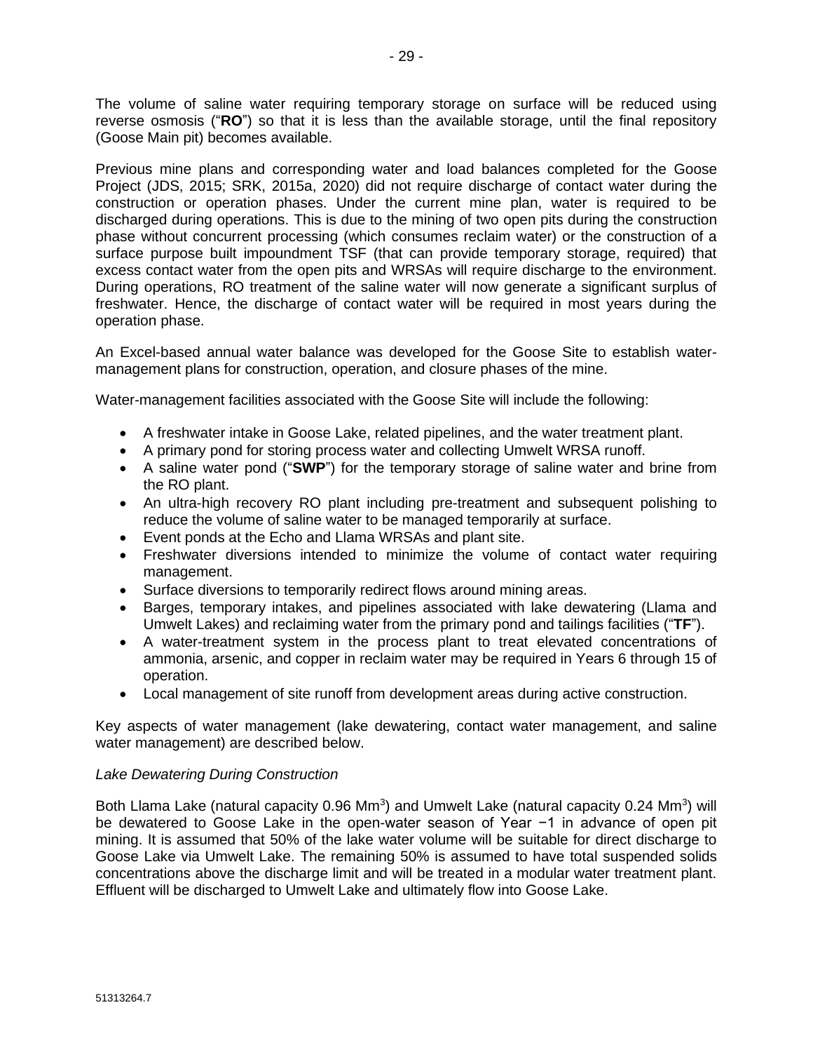The volume of saline water requiring temporary storage on surface will be reduced using reverse osmosis ("**RO**") so that it is less than the available storage, until the final repository (Goose Main pit) becomes available.

Previous mine plans and corresponding water and load balances completed for the Goose Project (JDS, 2015; SRK, 2015a, 2020) did not require discharge of contact water during the construction or operation phases. Under the current mine plan, water is required to be discharged during operations. This is due to the mining of two open pits during the construction phase without concurrent processing (which consumes reclaim water) or the construction of a surface purpose built impoundment TSF (that can provide temporary storage, required) that excess contact water from the open pits and WRSAs will require discharge to the environment. During operations, RO treatment of the saline water will now generate a significant surplus of freshwater. Hence, the discharge of contact water will be required in most years during the operation phase.

An Excel-based annual water balance was developed for the Goose Site to establish watermanagement plans for construction, operation, and closure phases of the mine.

Water-management facilities associated with the Goose Site will include the following:

- A freshwater intake in Goose Lake, related pipelines, and the water treatment plant.
- A primary pond for storing process water and collecting Umwelt WRSA runoff.
- A saline water pond ("**SWP**") for the temporary storage of saline water and brine from the RO plant.
- An ultra-high recovery RO plant including pre-treatment and subsequent polishing to reduce the volume of saline water to be managed temporarily at surface.
- Event ponds at the Echo and Llama WRSAs and plant site.
- Freshwater diversions intended to minimize the volume of contact water requiring management.
- Surface diversions to temporarily redirect flows around mining areas.
- Barges, temporary intakes, and pipelines associated with lake dewatering (Llama and Umwelt Lakes) and reclaiming water from the primary pond and tailings facilities ("**TF**").
- A water-treatment system in the process plant to treat elevated concentrations of ammonia, arsenic, and copper in reclaim water may be required in Years 6 through 15 of operation.
- Local management of site runoff from development areas during active construction.

Key aspects of water management (lake dewatering, contact water management, and saline water management) are described below.

#### *Lake Dewatering During Construction*

Both Llama Lake (natural capacity 0.96 Mm<sup>3</sup>) and Umwelt Lake (natural capacity 0.24 Mm<sup>3</sup>) will be dewatered to Goose Lake in the open-water season of Year −1 in advance of open pit mining. It is assumed that 50% of the lake water volume will be suitable for direct discharge to Goose Lake via Umwelt Lake. The remaining 50% is assumed to have total suspended solids concentrations above the discharge limit and will be treated in a modular water treatment plant. Effluent will be discharged to Umwelt Lake and ultimately flow into Goose Lake.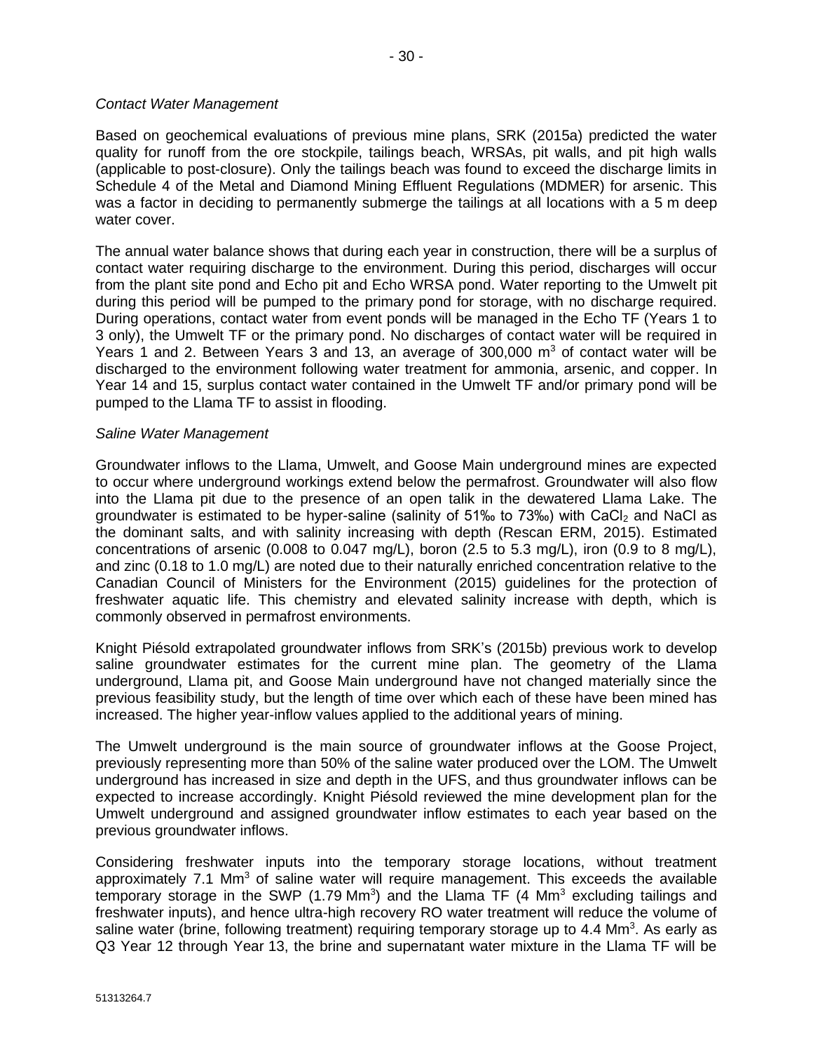### *Contact Water Management*

Based on geochemical evaluations of previous mine plans, SRK (2015a) predicted the water quality for runoff from the ore stockpile, tailings beach, WRSAs, pit walls, and pit high walls (applicable to post-closure). Only the tailings beach was found to exceed the discharge limits in Schedule 4 of the Metal and Diamond Mining Effluent Regulations (MDMER) for arsenic. This was a factor in deciding to permanently submerge the tailings at all locations with a 5 m deep water cover.

The annual water balance shows that during each year in construction, there will be a surplus of contact water requiring discharge to the environment. During this period, discharges will occur from the plant site pond and Echo pit and Echo WRSA pond. Water reporting to the Umwelt pit during this period will be pumped to the primary pond for storage, with no discharge required. During operations, contact water from event ponds will be managed in the Echo TF (Years 1 to 3 only), the Umwelt TF or the primary pond. No discharges of contact water will be required in Years 1 and 2. Between Years 3 and 13, an average of 300,000  $m<sup>3</sup>$  of contact water will be discharged to the environment following water treatment for ammonia, arsenic, and copper. In Year 14 and 15, surplus contact water contained in the Umwelt TF and/or primary pond will be pumped to the Llama TF to assist in flooding.

# *Saline Water Management*

Groundwater inflows to the Llama, Umwelt, and Goose Main underground mines are expected to occur where underground workings extend below the permafrost. Groundwater will also flow into the Llama pit due to the presence of an open talik in the dewatered Llama Lake. The groundwater is estimated to be hyper-saline (salinity of  $51\%$  to  $73\%$ ) with CaCl<sub>2</sub> and NaCl as the dominant salts, and with salinity increasing with depth (Rescan ERM, 2015). Estimated concentrations of arsenic (0.008 to 0.047 mg/L), boron (2.5 to 5.3 mg/L), iron (0.9 to 8 mg/L), and zinc (0.18 to 1.0 mg/L) are noted due to their naturally enriched concentration relative to the Canadian Council of Ministers for the Environment (2015) guidelines for the protection of freshwater aquatic life. This chemistry and elevated salinity increase with depth, which is commonly observed in permafrost environments.

Knight Piésold extrapolated groundwater inflows from SRK's (2015b) previous work to develop saline groundwater estimates for the current mine plan. The geometry of the Llama underground, Llama pit, and Goose Main underground have not changed materially since the previous feasibility study, but the length of time over which each of these have been mined has increased. The higher year-inflow values applied to the additional years of mining.

The Umwelt underground is the main source of groundwater inflows at the Goose Project, previously representing more than 50% of the saline water produced over the LOM. The Umwelt underground has increased in size and depth in the UFS, and thus groundwater inflows can be expected to increase accordingly. Knight Piésold reviewed the mine development plan for the Umwelt underground and assigned groundwater inflow estimates to each year based on the previous groundwater inflows.

Considering freshwater inputs into the temporary storage locations, without treatment approximately  $7.1 \text{ Mm}^3$  of saline water will require management. This exceeds the available temporary storage in the SWP (1.79 Mm<sup>3</sup>) and the Llama TF (4 Mm<sup>3</sup> excluding tailings and freshwater inputs), and hence ultra-high recovery RO water treatment will reduce the volume of saline water (brine, following treatment) requiring temporary storage up to 4.4 Mm<sup>3</sup>. As early as Q3 Year 12 through Year 13, the brine and supernatant water mixture in the Llama TF will be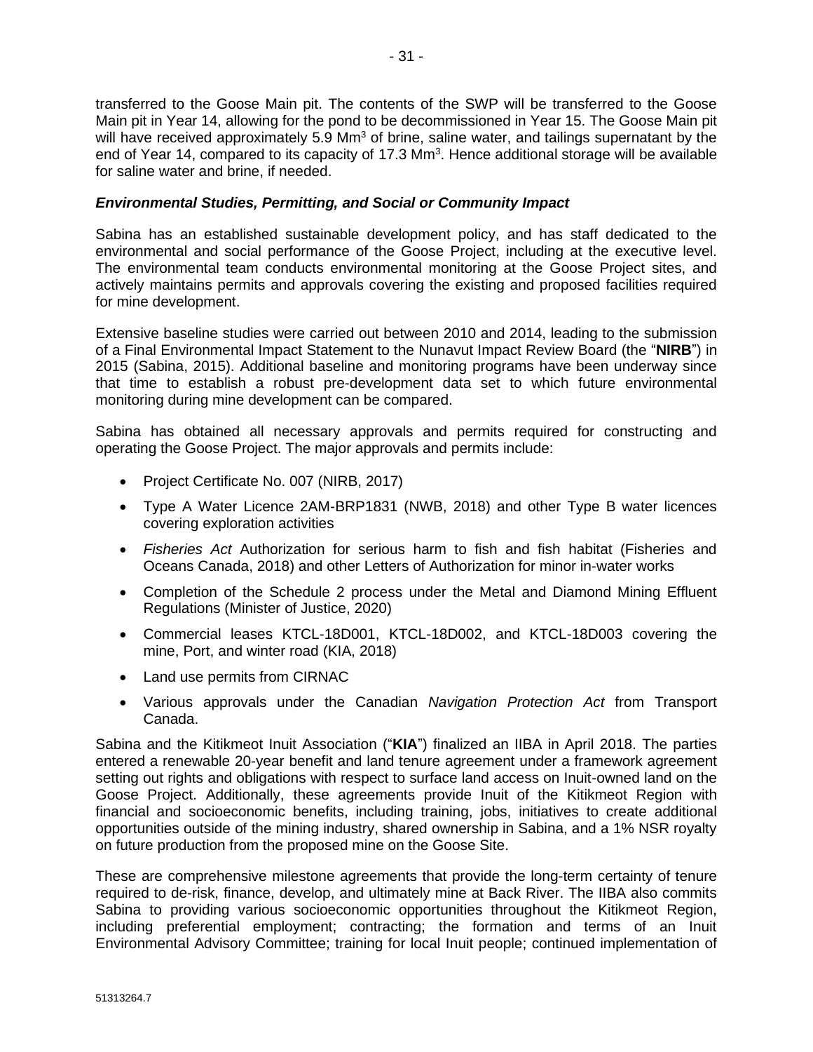transferred to the Goose Main pit. The contents of the SWP will be transferred to the Goose Main pit in Year 14, allowing for the pond to be decommissioned in Year 15. The Goose Main pit will have received approximately 5.9 Mm<sup>3</sup> of brine, saline water, and tailings supernatant by the end of Year 14, compared to its capacity of 17.3 Mm<sup>3</sup>. Hence additional storage will be available for saline water and brine, if needed.

# *Environmental Studies, Permitting, and Social or Community Impact*

Sabina has an established sustainable development policy, and has staff dedicated to the environmental and social performance of the Goose Project, including at the executive level. The environmental team conducts environmental monitoring at the Goose Project sites, and actively maintains permits and approvals covering the existing and proposed facilities required for mine development.

Extensive baseline studies were carried out between 2010 and 2014, leading to the submission of a Final Environmental Impact Statement to the Nunavut Impact Review Board (the "**NIRB**") in 2015 (Sabina, 2015). Additional baseline and monitoring programs have been underway since that time to establish a robust pre-development data set to which future environmental monitoring during mine development can be compared.

Sabina has obtained all necessary approvals and permits required for constructing and operating the Goose Project. The major approvals and permits include:

- Project Certificate No. 007 (NIRB, 2017)
- Type A Water Licence 2AM-BRP1831 (NWB, 2018) and other Type B water licences covering exploration activities
- *Fisheries Act* Authorization for serious harm to fish and fish habitat (Fisheries and Oceans Canada, 2018) and other Letters of Authorization for minor in-water works
- Completion of the Schedule 2 process under the Metal and Diamond Mining Effluent Regulations (Minister of Justice, 2020)
- Commercial leases KTCL-18D001, KTCL-18D002, and KTCL-18D003 covering the mine, Port, and winter road (KIA, 2018)
- Land use permits from CIRNAC
- Various approvals under the Canadian *Navigation Protection Act* from Transport Canada.

Sabina and the Kitikmeot Inuit Association ("**KIA**") finalized an IIBA in April 2018. The parties entered a renewable 20-year benefit and land tenure agreement under a framework agreement setting out rights and obligations with respect to surface land access on Inuit-owned land on the Goose Project. Additionally, these agreements provide Inuit of the Kitikmeot Region with financial and socioeconomic benefits, including training, jobs, initiatives to create additional opportunities outside of the mining industry, shared ownership in Sabina, and a 1% NSR royalty on future production from the proposed mine on the Goose Site.

These are comprehensive milestone agreements that provide the long-term certainty of tenure required to de-risk, finance, develop, and ultimately mine at Back River. The IIBA also commits Sabina to providing various socioeconomic opportunities throughout the Kitikmeot Region, including preferential employment; contracting; the formation and terms of an Inuit Environmental Advisory Committee; training for local Inuit people; continued implementation of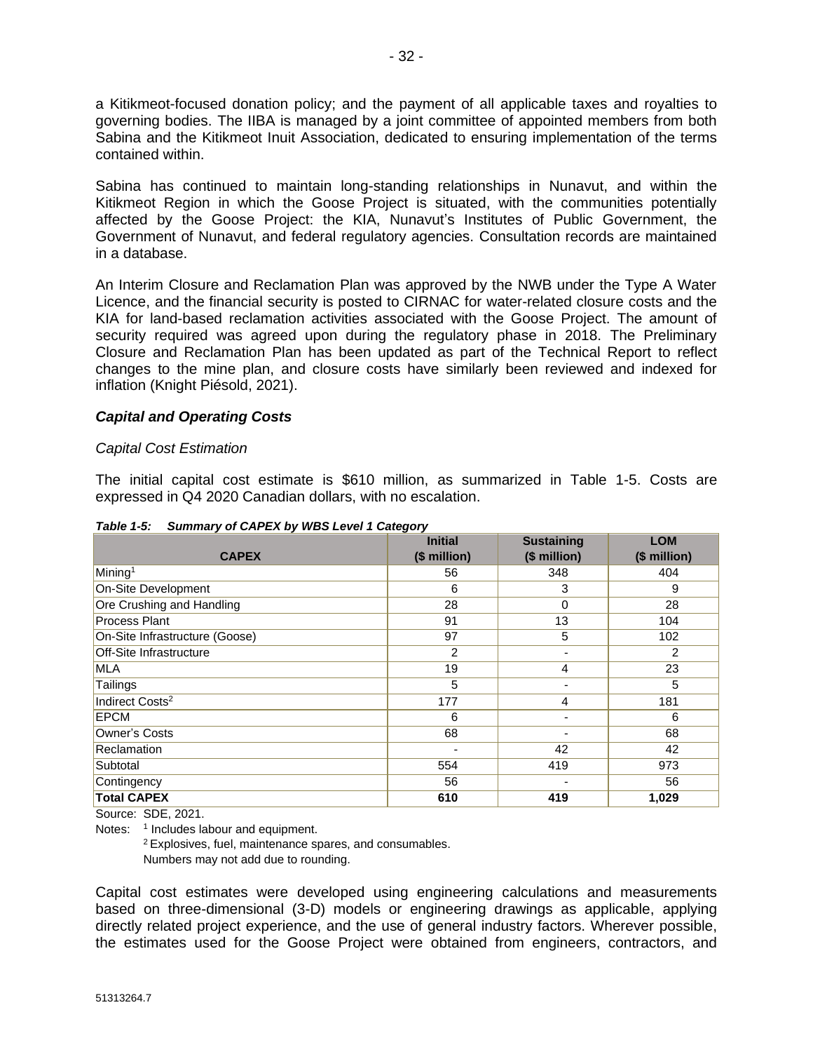a Kitikmeot-focused donation policy; and the payment of all applicable taxes and royalties to governing bodies. The IIBA is managed by a joint committee of appointed members from both Sabina and the Kitikmeot Inuit Association, dedicated to ensuring implementation of the terms contained within.

Sabina has continued to maintain long-standing relationships in Nunavut, and within the Kitikmeot Region in which the Goose Project is situated, with the communities potentially affected by the Goose Project: the KIA, Nunavut's Institutes of Public Government, the Government of Nunavut, and federal regulatory agencies. Consultation records are maintained in a database.

An Interim Closure and Reclamation Plan was approved by the NWB under the Type A Water Licence, and the financial security is posted to CIRNAC for water-related closure costs and the KIA for land-based reclamation activities associated with the Goose Project. The amount of security required was agreed upon during the regulatory phase in 2018. The Preliminary Closure and Reclamation Plan has been updated as part of the Technical Report to reflect changes to the mine plan, and closure costs have similarly been reviewed and indexed for inflation (Knight Piésold, 2021).

# *Capital and Operating Costs*

#### *Capital Cost Estimation*

The initial capital cost estimate is \$610 million, as summarized in Table 1-5. Costs are expressed in Q4 2020 Canadian dollars, with no escalation.

| <b>CAPEX</b>                   | <b>Initial</b><br>(\$ million) | <b>Sustaining</b><br>(\$ million) | <b>LOM</b><br>(\$ million) |
|--------------------------------|--------------------------------|-----------------------------------|----------------------------|
| Mining <sup>1</sup>            | 56                             | 348                               | 404                        |
| On-Site Development            | 6                              | 3                                 | 9                          |
| Ore Crushing and Handling      | 28                             | $\mathbf 0$                       | 28                         |
| <b>Process Plant</b>           | 91                             | 13                                | 104                        |
| On-Site Infrastructure (Goose) | 97                             | 5                                 | 102                        |
| <b>Off-Site Infrastructure</b> | 2                              | $\overline{\phantom{a}}$          | 2                          |
| <b>MLA</b>                     | 19                             | 4                                 | 23                         |
| Tailings                       | 5                              | $\overline{\phantom{a}}$          | 5                          |
| Indirect Costs <sup>2</sup>    | 177                            | 4                                 | 181                        |
| <b>EPCM</b>                    | 6                              | ٠                                 | 6                          |
| Owner's Costs                  | 68                             |                                   | 68                         |
| Reclamation                    |                                | 42                                | 42                         |
| Subtotal                       | 554                            | 419                               | 973                        |
| Contingency                    | 56                             | ٠                                 | 56                         |
| <b>Total CAPEX</b>             | 610                            | 419                               | 1,029                      |

*Table 1-5: Summary of CAPEX by WBS Level 1 Category*

Source: SDE, 2021.

Notes: <sup>1</sup> Includes labour and equipment.

<sup>2</sup>Explosives, fuel, maintenance spares, and consumables. Numbers may not add due to rounding.

Capital cost estimates were developed using engineering calculations and measurements based on three-dimensional (3-D) models or engineering drawings as applicable, applying directly related project experience, and the use of general industry factors. Wherever possible, the estimates used for the Goose Project were obtained from engineers, contractors, and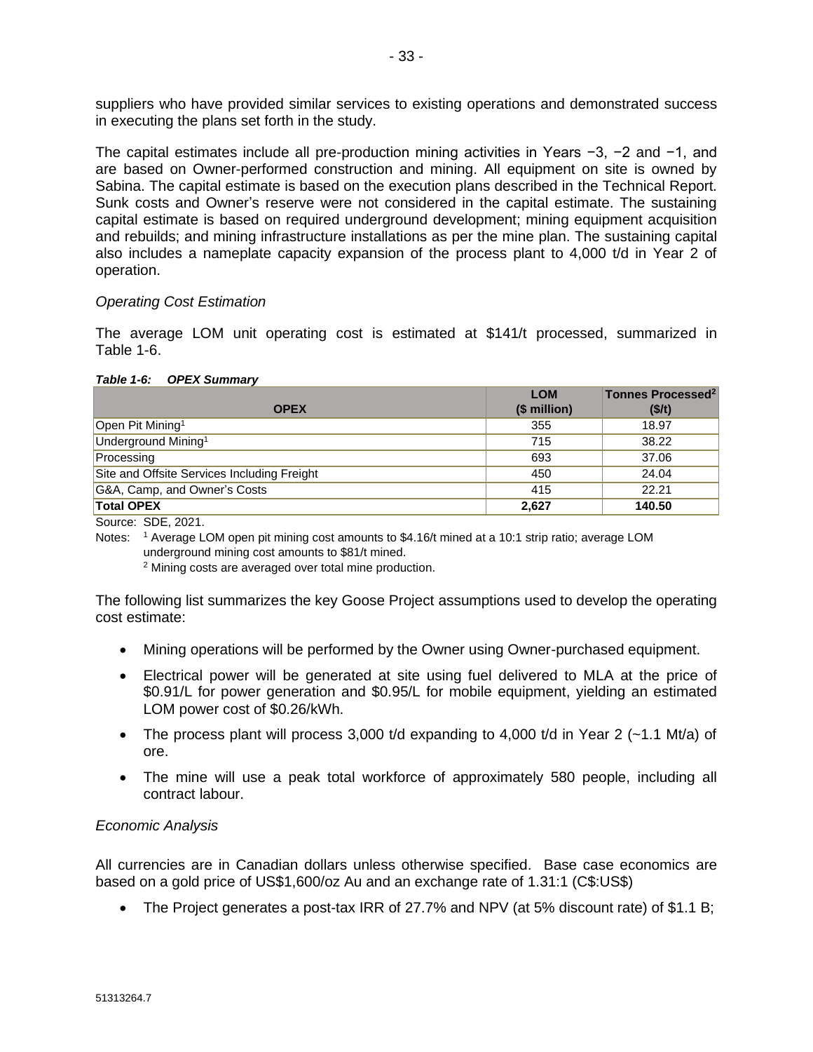suppliers who have provided similar services to existing operations and demonstrated success in executing the plans set forth in the study.

The capital estimates include all pre-production mining activities in Years −3, −2 and −1, and are based on Owner-performed construction and mining. All equipment on site is owned by Sabina. The capital estimate is based on the execution plans described in the Technical Report. Sunk costs and Owner's reserve were not considered in the capital estimate. The sustaining capital estimate is based on required underground development; mining equipment acquisition and rebuilds; and mining infrastructure installations as per the mine plan. The sustaining capital also includes a nameplate capacity expansion of the process plant to 4,000 t/d in Year 2 of operation.

#### *Operating Cost Estimation*

The average LOM unit operating cost is estimated at \$141/t processed, summarized in Table 1-6.

| Table 1-6: |  | <b>OPEX Summary</b> |
|------------|--|---------------------|
|            |  |                     |

|                                             | <b>LOM</b>   | Tonnes Processed <sup>2</sup> |
|---------------------------------------------|--------------|-------------------------------|
| <b>OPEX</b>                                 | $$$ million) | (\$/t)                        |
| Open Pit Mining <sup>1</sup>                | 355          | 18.97                         |
| Underground Mining <sup>1</sup>             | 715          | 38.22                         |
| Processing                                  | 693          | 37.06                         |
| Site and Offsite Services Including Freight | 450          | 24.04                         |
| G&A, Camp, and Owner's Costs                | 415          | 22.21                         |
| <b>Total OPEX</b>                           | 2,627        | 140.50                        |

Source: SDE, 2021.

Notes: <sup>1</sup> Average LOM open pit mining cost amounts to \$4.16/t mined at a 10:1 strip ratio; average LOM underground mining cost amounts to \$81/t mined.

<sup>2</sup> Mining costs are averaged over total mine production.

The following list summarizes the key Goose Project assumptions used to develop the operating cost estimate:

- Mining operations will be performed by the Owner using Owner-purchased equipment.
- Electrical power will be generated at site using fuel delivered to MLA at the price of \$0.91/L for power generation and \$0.95/L for mobile equipment, yielding an estimated LOM power cost of \$0.26/kWh.
- The process plant will process 3,000 t/d expanding to 4,000 t/d in Year 2 ( $\sim$ 1.1 Mt/a) of ore.
- The mine will use a peak total workforce of approximately 580 people, including all contract labour.

#### *Economic Analysis*

All currencies are in Canadian dollars unless otherwise specified. Base case economics are based on a gold price of US\$1,600/oz Au and an exchange rate of 1.31:1 (C\$:US\$)

• The Project generates a post-tax IRR of 27.7% and NPV (at 5% discount rate) of \$1.1 B;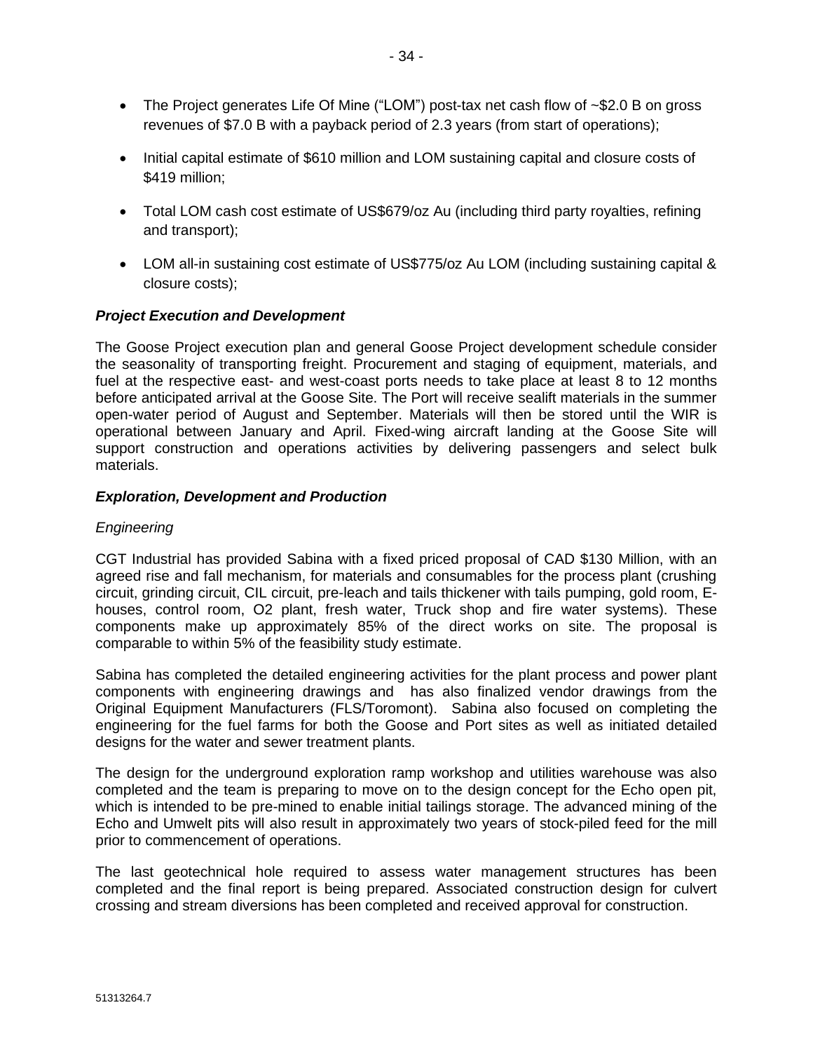- The Project generates Life Of Mine ("LOM") post-tax net cash flow of ~\$2.0 B on gross revenues of \$7.0 B with a payback period of 2.3 years (from start of operations);
- Initial capital estimate of \$610 million and LOM sustaining capital and closure costs of \$419 million;
- Total LOM cash cost estimate of US\$679/oz Au (including third party royalties, refining and transport);
- LOM all-in sustaining cost estimate of US\$775/oz Au LOM (including sustaining capital & closure costs);

# *Project Execution and Development*

The Goose Project execution plan and general Goose Project development schedule consider the seasonality of transporting freight. Procurement and staging of equipment, materials, and fuel at the respective east- and west-coast ports needs to take place at least 8 to 12 months before anticipated arrival at the Goose Site. The Port will receive sealift materials in the summer open-water period of August and September. Materials will then be stored until the WIR is operational between January and April. Fixed-wing aircraft landing at the Goose Site will support construction and operations activities by delivering passengers and select bulk materials.

# *Exploration, Development and Production*

#### *Engineering*

CGT Industrial has provided Sabina with a fixed priced proposal of CAD \$130 Million, with an agreed rise and fall mechanism, for materials and consumables for the process plant (crushing circuit, grinding circuit, CIL circuit, pre-leach and tails thickener with tails pumping, gold room, Ehouses, control room, O2 plant, fresh water, Truck shop and fire water systems). These components make up approximately 85% of the direct works on site. The proposal is comparable to within 5% of the feasibility study estimate.

Sabina has completed the detailed engineering activities for the plant process and power plant components with engineering drawings and has also finalized vendor drawings from the Original Equipment Manufacturers (FLS/Toromont). Sabina also focused on completing the engineering for the fuel farms for both the Goose and Port sites as well as initiated detailed designs for the water and sewer treatment plants.

The design for the underground exploration ramp workshop and utilities warehouse was also completed and the team is preparing to move on to the design concept for the Echo open pit, which is intended to be pre-mined to enable initial tailings storage. The advanced mining of the Echo and Umwelt pits will also result in approximately two years of stock-piled feed for the mill prior to commencement of operations.

The last geotechnical hole required to assess water management structures has been completed and the final report is being prepared. Associated construction design for culvert crossing and stream diversions has been completed and received approval for construction.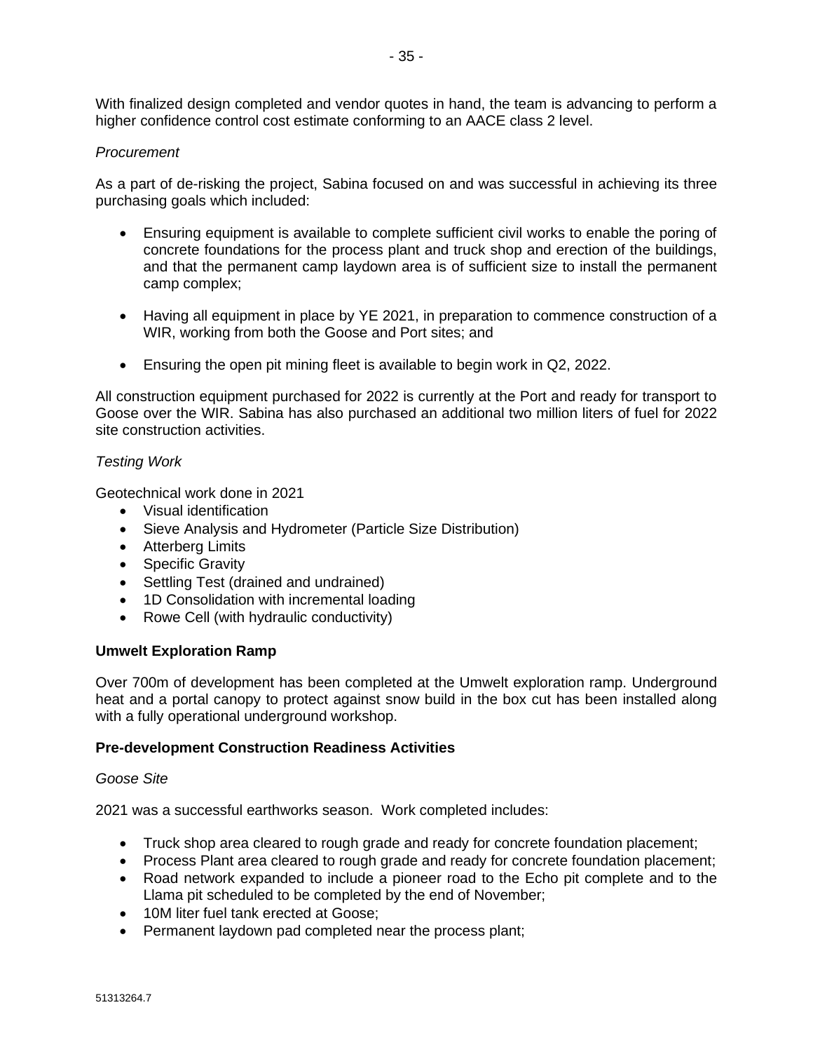- 35 -

With finalized design completed and vendor quotes in hand, the team is advancing to perform a higher confidence control cost estimate conforming to an AACE class 2 level.

#### *Procurement*

As a part of de-risking the project, Sabina focused on and was successful in achieving its three purchasing goals which included:

- Ensuring equipment is available to complete sufficient civil works to enable the poring of concrete foundations for the process plant and truck shop and erection of the buildings, and that the permanent camp laydown area is of sufficient size to install the permanent camp complex;
- Having all equipment in place by YE 2021, in preparation to commence construction of a WIR, working from both the Goose and Port sites; and
- Ensuring the open pit mining fleet is available to begin work in Q2, 2022.

All construction equipment purchased for 2022 is currently at the Port and ready for transport to Goose over the WIR. Sabina has also purchased an additional two million liters of fuel for 2022 site construction activities.

#### *Testing Work*

Geotechnical work done in 2021

- Visual identification
- Sieve Analysis and Hydrometer (Particle Size Distribution)
- Atterberg Limits
- Specific Gravity
- Settling Test (drained and undrained)
- 1D Consolidation with incremental loading
- Rowe Cell (with hydraulic conductivity)

#### **Umwelt Exploration Ramp**

Over 700m of development has been completed at the Umwelt exploration ramp. Underground heat and a portal canopy to protect against snow build in the box cut has been installed along with a fully operational underground workshop.

#### **Pre-development Construction Readiness Activities**

#### *Goose Site*

2021 was a successful earthworks season. Work completed includes:

- Truck shop area cleared to rough grade and ready for concrete foundation placement;
- Process Plant area cleared to rough grade and ready for concrete foundation placement;
- Road network expanded to include a pioneer road to the Echo pit complete and to the Llama pit scheduled to be completed by the end of November;
- 10M liter fuel tank erected at Goose;
- Permanent laydown pad completed near the process plant;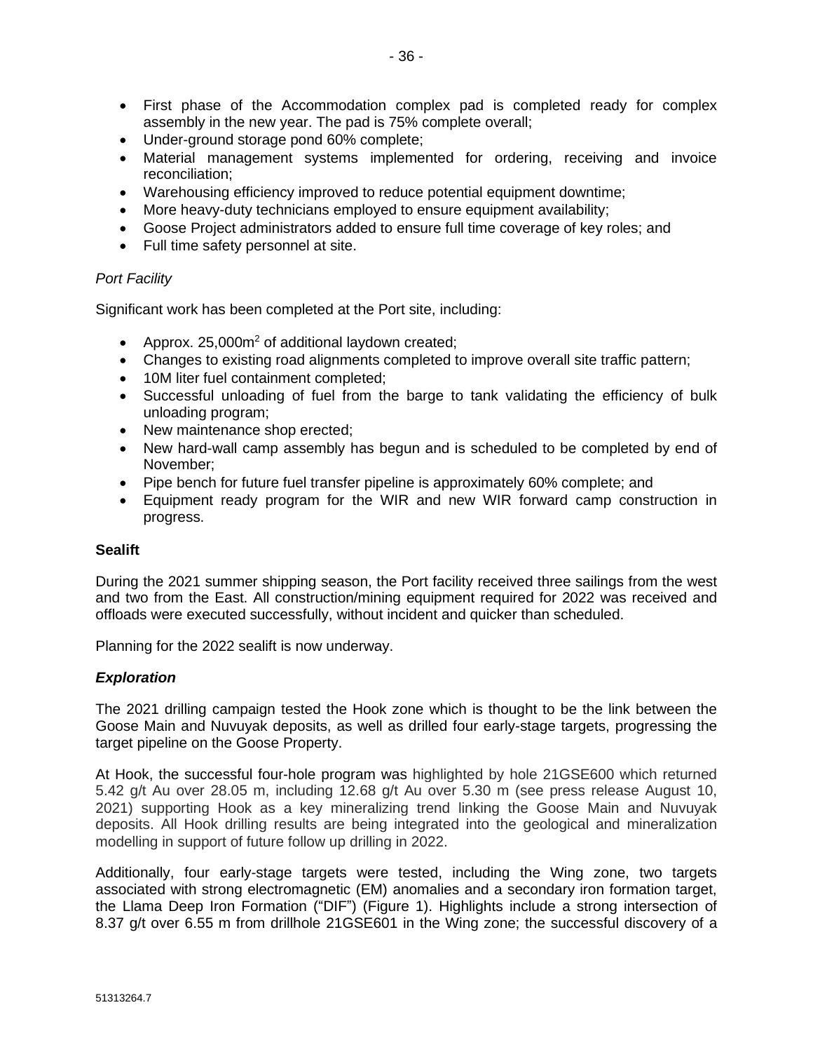- First phase of the Accommodation complex pad is completed ready for complex assembly in the new year. The pad is 75% complete overall;
- Under-ground storage pond 60% complete;
- Material management systems implemented for ordering, receiving and invoice reconciliation;
- Warehousing efficiency improved to reduce potential equipment downtime;
- More heavy-duty technicians employed to ensure equipment availability;
- Goose Project administrators added to ensure full time coverage of key roles; and
- Full time safety personnel at site.

#### *Port Facility*

Significant work has been completed at the Port site, including:

- Approx. 25,000m<sup>2</sup> of additional laydown created;
- Changes to existing road alignments completed to improve overall site traffic pattern;
- 10M liter fuel containment completed;
- Successful unloading of fuel from the barge to tank validating the efficiency of bulk unloading program;
- New maintenance shop erected;
- New hard-wall camp assembly has begun and is scheduled to be completed by end of November;
- Pipe bench for future fuel transfer pipeline is approximately 60% complete; and
- Equipment ready program for the WIR and new WIR forward camp construction in progress.

#### **Sealift**

During the 2021 summer shipping season, the Port facility received three sailings from the west and two from the East. All construction/mining equipment required for 2022 was received and offloads were executed successfully, without incident and quicker than scheduled.

Planning for the 2022 sealift is now underway.

#### *Exploration*

The 2021 drilling campaign tested the Hook zone which is thought to be the link between the Goose Main and Nuvuyak deposits, as well as drilled four early-stage targets, progressing the target pipeline on the Goose Property.

At Hook, the successful four-hole program was highlighted by hole 21GSE600 which returned 5.42 g/t Au over 28.05 m, including 12.68 g/t Au over 5.30 m (see press release August 10, 2021) supporting Hook as a key mineralizing trend linking the Goose Main and Nuvuyak deposits. All Hook drilling results are being integrated into the geological and mineralization modelling in support of future follow up drilling in 2022.

Additionally, four early-stage targets were tested, including the Wing zone, two targets associated with strong electromagnetic (EM) anomalies and a secondary iron formation target, the Llama Deep Iron Formation ("DIF") (Figure 1). Highlights include a strong intersection of 8.37 g/t over 6.55 m from drillhole 21GSE601 in the Wing zone; the successful discovery of a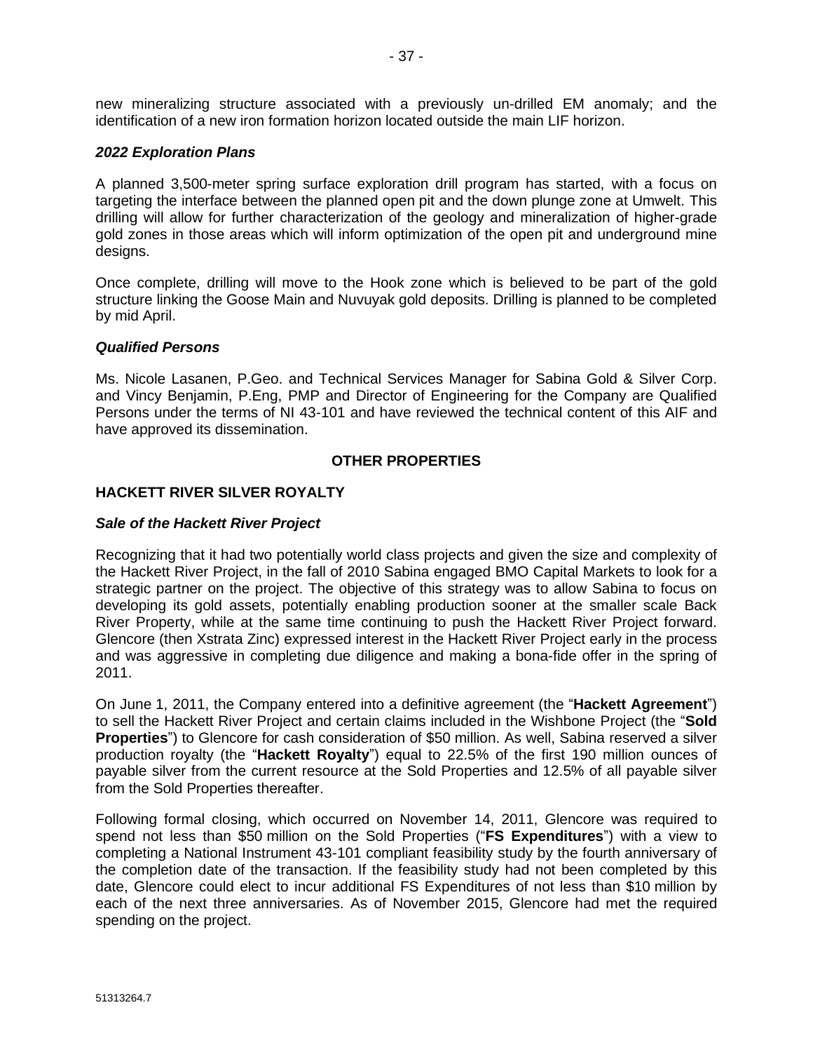new mineralizing structure associated with a previously un-drilled EM anomaly; and the identification of a new iron formation horizon located outside the main LIF horizon.

#### *2022 Exploration Plans*

A planned 3,500-meter spring surface exploration drill program has started, with a focus on targeting the interface between the planned open pit and the down plunge zone at Umwelt. This drilling will allow for further characterization of the geology and mineralization of higher-grade gold zones in those areas which will inform optimization of the open pit and underground mine designs.

Once complete, drilling will move to the Hook zone which is believed to be part of the gold structure linking the Goose Main and Nuvuyak gold deposits. Drilling is planned to be completed by mid April.

#### *Qualified Persons*

Ms. Nicole Lasanen, P.Geo. and Technical Services Manager for Sabina Gold & Silver Corp. and Vincy Benjamin, P.Eng, PMP and Director of Engineering for the Company are Qualified Persons under the terms of NI 43-101 and have reviewed the technical content of this AIF and have approved its dissemination.

#### **OTHER PROPERTIES**

# **HACKETT RIVER SILVER ROYALTY**

#### *Sale of the Hackett River Project*

Recognizing that it had two potentially world class projects and given the size and complexity of the Hackett River Project, in the fall of 2010 Sabina engaged BMO Capital Markets to look for a strategic partner on the project. The objective of this strategy was to allow Sabina to focus on developing its gold assets, potentially enabling production sooner at the smaller scale Back River Property, while at the same time continuing to push the Hackett River Project forward. Glencore (then Xstrata Zinc) expressed interest in the Hackett River Project early in the process and was aggressive in completing due diligence and making a bona-fide offer in the spring of 2011.

On June 1, 2011, the Company entered into a definitive agreement (the "**Hackett Agreement**") to sell the Hackett River Project and certain claims included in the Wishbone Project (the "**Sold Properties**") to Glencore for cash consideration of \$50 million. As well, Sabina reserved a silver production royalty (the "**Hackett Royalty**") equal to 22.5% of the first 190 million ounces of payable silver from the current resource at the Sold Properties and 12.5% of all payable silver from the Sold Properties thereafter.

Following formal closing, which occurred on November 14, 2011, Glencore was required to spend not less than \$50 million on the Sold Properties ("**FS Expenditures**") with a view to completing a National Instrument 43-101 compliant feasibility study by the fourth anniversary of the completion date of the transaction. If the feasibility study had not been completed by this date, Glencore could elect to incur additional FS Expenditures of not less than \$10 million by each of the next three anniversaries. As of November 2015, Glencore had met the required spending on the project.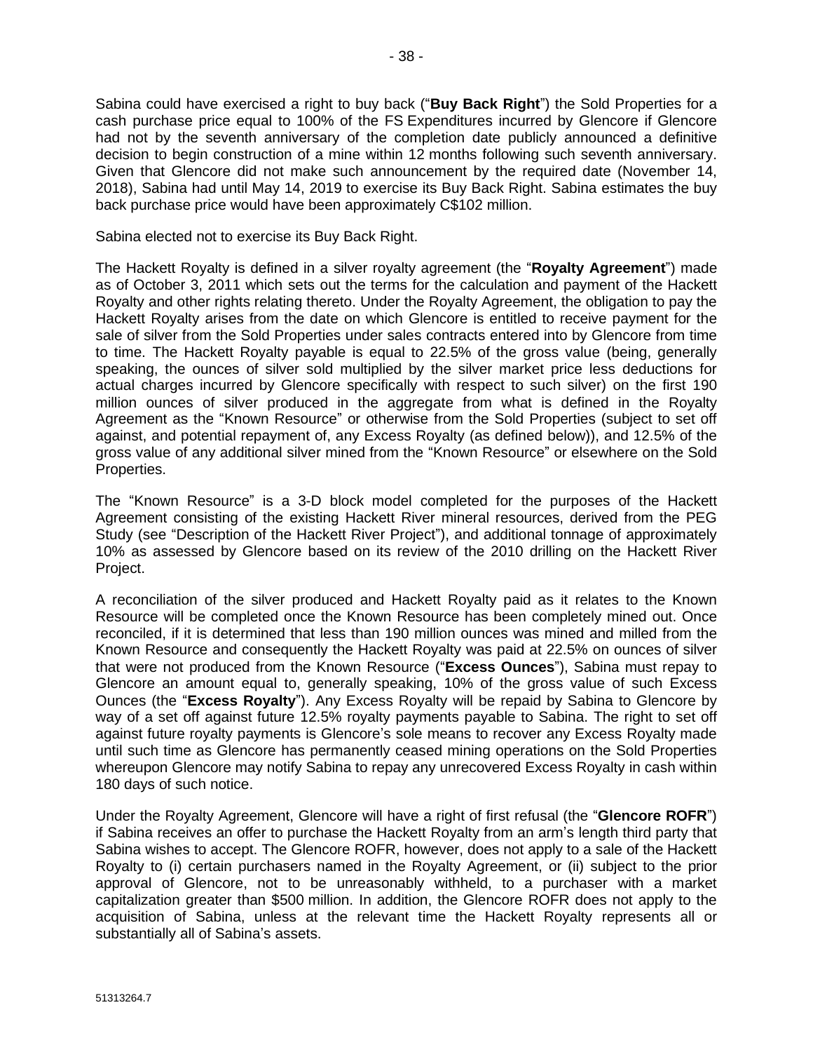Sabina could have exercised a right to buy back ("**Buy Back Right**") the Sold Properties for a cash purchase price equal to 100% of the FS Expenditures incurred by Glencore if Glencore had not by the seventh anniversary of the completion date publicly announced a definitive decision to begin construction of a mine within 12 months following such seventh anniversary. Given that Glencore did not make such announcement by the required date (November 14, 2018), Sabina had until May 14, 2019 to exercise its Buy Back Right. Sabina estimates the buy back purchase price would have been approximately C\$102 million.

Sabina elected not to exercise its Buy Back Right.

The Hackett Royalty is defined in a silver royalty agreement (the "**Royalty Agreement**") made as of October 3, 2011 which sets out the terms for the calculation and payment of the Hackett Royalty and other rights relating thereto. Under the Royalty Agreement, the obligation to pay the Hackett Royalty arises from the date on which Glencore is entitled to receive payment for the sale of silver from the Sold Properties under sales contracts entered into by Glencore from time to time. The Hackett Royalty payable is equal to 22.5% of the gross value (being, generally speaking, the ounces of silver sold multiplied by the silver market price less deductions for actual charges incurred by Glencore specifically with respect to such silver) on the first 190 million ounces of silver produced in the aggregate from what is defined in the Royalty Agreement as the "Known Resource" or otherwise from the Sold Properties (subject to set off against, and potential repayment of, any Excess Royalty (as defined below)), and 12.5% of the gross value of any additional silver mined from the "Known Resource" or elsewhere on the Sold Properties.

The "Known Resource" is a 3-D block model completed for the purposes of the Hackett Agreement consisting of the existing Hackett River mineral resources, derived from the PEG Study (see "Description of the Hackett River Project"), and additional tonnage of approximately 10% as assessed by Glencore based on its review of the 2010 drilling on the Hackett River Project.

A reconciliation of the silver produced and Hackett Royalty paid as it relates to the Known Resource will be completed once the Known Resource has been completely mined out. Once reconciled, if it is determined that less than 190 million ounces was mined and milled from the Known Resource and consequently the Hackett Royalty was paid at 22.5% on ounces of silver that were not produced from the Known Resource ("**Excess Ounces**"), Sabina must repay to Glencore an amount equal to, generally speaking, 10% of the gross value of such Excess Ounces (the "**Excess Royalty**"). Any Excess Royalty will be repaid by Sabina to Glencore by way of a set off against future 12.5% royalty payments payable to Sabina. The right to set off against future royalty payments is Glencore's sole means to recover any Excess Royalty made until such time as Glencore has permanently ceased mining operations on the Sold Properties whereupon Glencore may notify Sabina to repay any unrecovered Excess Royalty in cash within 180 days of such notice.

Under the Royalty Agreement, Glencore will have a right of first refusal (the "**Glencore ROFR**") if Sabina receives an offer to purchase the Hackett Royalty from an arm's length third party that Sabina wishes to accept. The Glencore ROFR, however, does not apply to a sale of the Hackett Royalty to (i) certain purchasers named in the Royalty Agreement, or (ii) subject to the prior approval of Glencore, not to be unreasonably withheld, to a purchaser with a market capitalization greater than \$500 million. In addition, the Glencore ROFR does not apply to the acquisition of Sabina, unless at the relevant time the Hackett Royalty represents all or substantially all of Sabina's assets.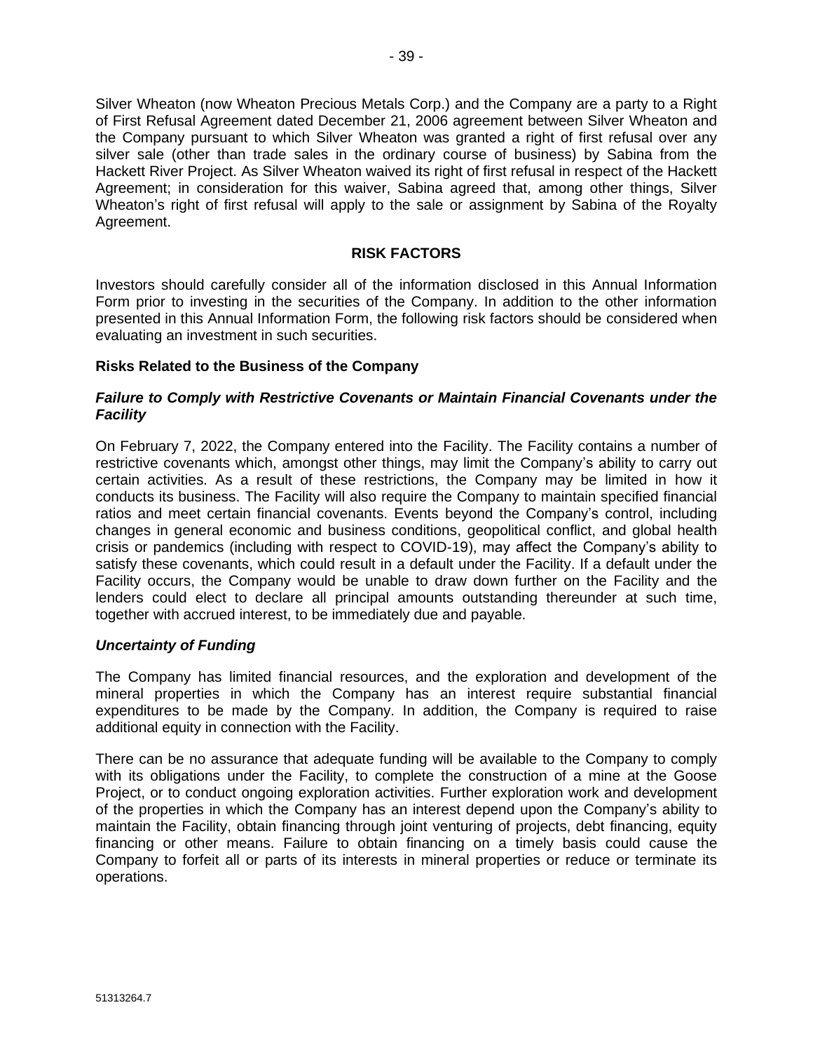Silver Wheaton (now Wheaton Precious Metals Corp.) and the Company are a party to a Right of First Refusal Agreement dated December 21, 2006 agreement between Silver Wheaton and the Company pursuant to which Silver Wheaton was granted a right of first refusal over any silver sale (other than trade sales in the ordinary course of business) by Sabina from the Hackett River Project. As Silver Wheaton waived its right of first refusal in respect of the Hackett Agreement; in consideration for this waiver, Sabina agreed that, among other things, Silver Wheaton's right of first refusal will apply to the sale or assignment by Sabina of the Royalty Agreement.

# **RISK FACTORS**

Investors should carefully consider all of the information disclosed in this Annual Information Form prior to investing in the securities of the Company. In addition to the other information presented in this Annual Information Form, the following risk factors should be considered when evaluating an investment in such securities.

# **Risks Related to the Business of the Company**

# *Failure to Comply with Restrictive Covenants or Maintain Financial Covenants under the Facility*

On February 7, 2022, the Company entered into the Facility. The Facility contains a number of restrictive covenants which, amongst other things, may limit the Company's ability to carry out certain activities. As a result of these restrictions, the Company may be limited in how it conducts its business. The Facility will also require the Company to maintain specified financial ratios and meet certain financial covenants. Events beyond the Company's control, including changes in general economic and business conditions, geopolitical conflict, and global health crisis or pandemics (including with respect to COVID-19), may affect the Company's ability to satisfy these covenants, which could result in a default under the Facility. If a default under the Facility occurs, the Company would be unable to draw down further on the Facility and the lenders could elect to declare all principal amounts outstanding thereunder at such time, together with accrued interest, to be immediately due and payable.

#### *Uncertainty of Funding*

The Company has limited financial resources, and the exploration and development of the mineral properties in which the Company has an interest require substantial financial expenditures to be made by the Company. In addition, the Company is required to raise additional equity in connection with the Facility.

There can be no assurance that adequate funding will be available to the Company to comply with its obligations under the Facility, to complete the construction of a mine at the Goose Project, or to conduct ongoing exploration activities. Further exploration work and development of the properties in which the Company has an interest depend upon the Company's ability to maintain the Facility, obtain financing through joint venturing of projects, debt financing, equity financing or other means. Failure to obtain financing on a timely basis could cause the Company to forfeit all or parts of its interests in mineral properties or reduce or terminate its operations.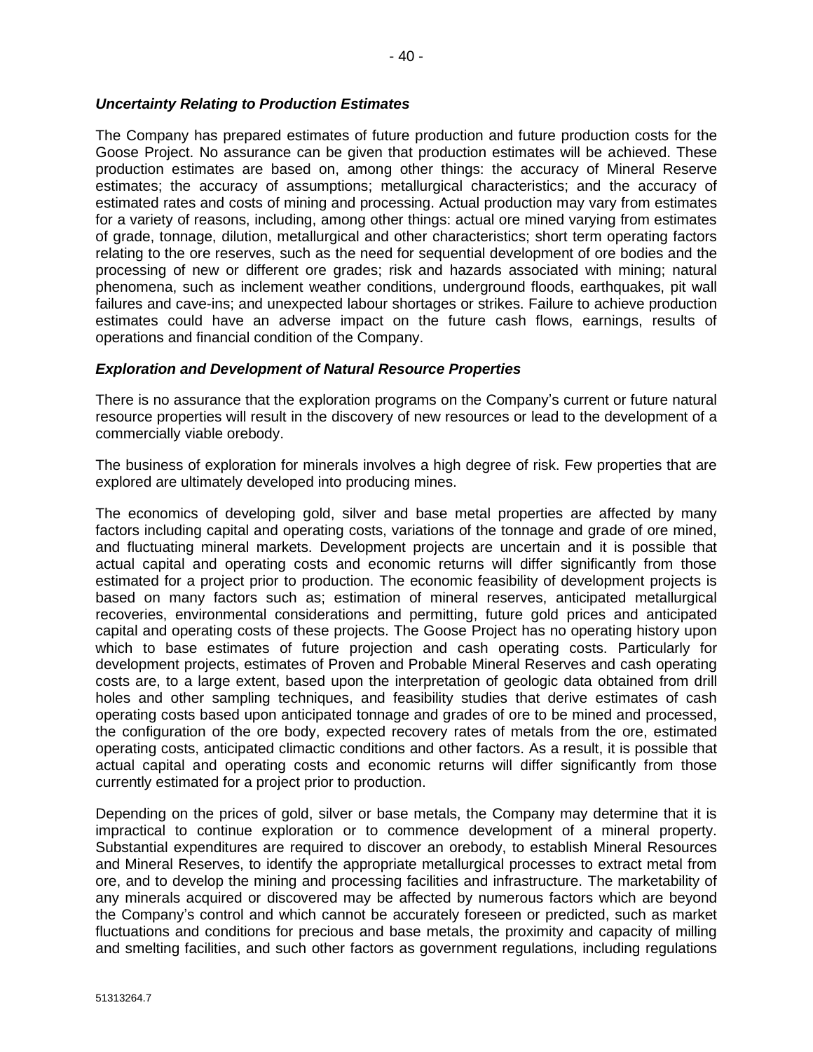### *Uncertainty Relating to Production Estimates*

The Company has prepared estimates of future production and future production costs for the Goose Project. No assurance can be given that production estimates will be achieved. These production estimates are based on, among other things: the accuracy of Mineral Reserve estimates; the accuracy of assumptions; metallurgical characteristics; and the accuracy of estimated rates and costs of mining and processing. Actual production may vary from estimates for a variety of reasons, including, among other things: actual ore mined varying from estimates of grade, tonnage, dilution, metallurgical and other characteristics; short term operating factors relating to the ore reserves, such as the need for sequential development of ore bodies and the processing of new or different ore grades; risk and hazards associated with mining; natural phenomena, such as inclement weather conditions, underground floods, earthquakes, pit wall failures and cave-ins; and unexpected labour shortages or strikes. Failure to achieve production estimates could have an adverse impact on the future cash flows, earnings, results of operations and financial condition of the Company.

# *Exploration and Development of Natural Resource Properties*

There is no assurance that the exploration programs on the Company's current or future natural resource properties will result in the discovery of new resources or lead to the development of a commercially viable orebody.

The business of exploration for minerals involves a high degree of risk. Few properties that are explored are ultimately developed into producing mines.

The economics of developing gold, silver and base metal properties are affected by many factors including capital and operating costs, variations of the tonnage and grade of ore mined, and fluctuating mineral markets. Development projects are uncertain and it is possible that actual capital and operating costs and economic returns will differ significantly from those estimated for a project prior to production. The economic feasibility of development projects is based on many factors such as; estimation of mineral reserves, anticipated metallurgical recoveries, environmental considerations and permitting, future gold prices and anticipated capital and operating costs of these projects. The Goose Project has no operating history upon which to base estimates of future projection and cash operating costs. Particularly for development projects, estimates of Proven and Probable Mineral Reserves and cash operating costs are, to a large extent, based upon the interpretation of geologic data obtained from drill holes and other sampling techniques, and feasibility studies that derive estimates of cash operating costs based upon anticipated tonnage and grades of ore to be mined and processed, the configuration of the ore body, expected recovery rates of metals from the ore, estimated operating costs, anticipated climactic conditions and other factors. As a result, it is possible that actual capital and operating costs and economic returns will differ significantly from those currently estimated for a project prior to production.

Depending on the prices of gold, silver or base metals, the Company may determine that it is impractical to continue exploration or to commence development of a mineral property. Substantial expenditures are required to discover an orebody, to establish Mineral Resources and Mineral Reserves, to identify the appropriate metallurgical processes to extract metal from ore, and to develop the mining and processing facilities and infrastructure. The marketability of any minerals acquired or discovered may be affected by numerous factors which are beyond the Company's control and which cannot be accurately foreseen or predicted, such as market fluctuations and conditions for precious and base metals, the proximity and capacity of milling and smelting facilities, and such other factors as government regulations, including regulations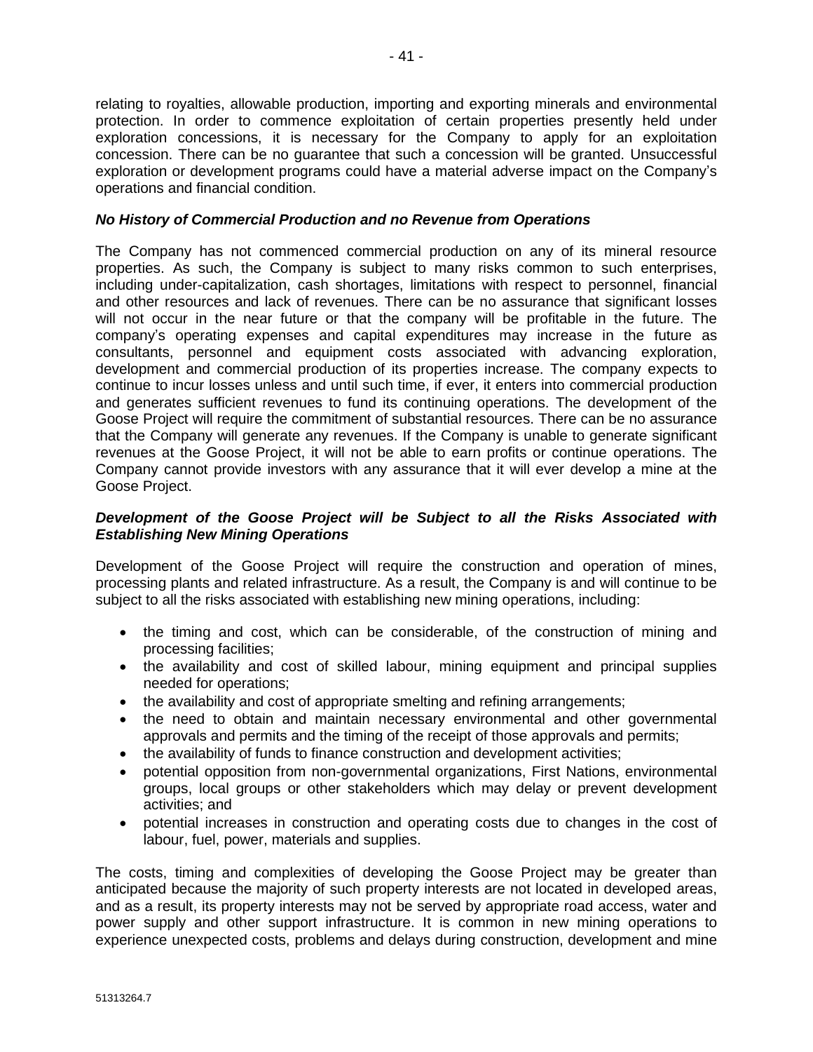relating to royalties, allowable production, importing and exporting minerals and environmental protection. In order to commence exploitation of certain properties presently held under exploration concessions, it is necessary for the Company to apply for an exploitation concession. There can be no guarantee that such a concession will be granted. Unsuccessful exploration or development programs could have a material adverse impact on the Company's operations and financial condition.

### *No History of Commercial Production and no Revenue from Operations*

The Company has not commenced commercial production on any of its mineral resource properties. As such, the Company is subject to many risks common to such enterprises, including under-capitalization, cash shortages, limitations with respect to personnel, financial and other resources and lack of revenues. There can be no assurance that significant losses will not occur in the near future or that the company will be profitable in the future. The company's operating expenses and capital expenditures may increase in the future as consultants, personnel and equipment costs associated with advancing exploration, development and commercial production of its properties increase. The company expects to continue to incur losses unless and until such time, if ever, it enters into commercial production and generates sufficient revenues to fund its continuing operations. The development of the Goose Project will require the commitment of substantial resources. There can be no assurance that the Company will generate any revenues. If the Company is unable to generate significant revenues at the Goose Project, it will not be able to earn profits or continue operations. The Company cannot provide investors with any assurance that it will ever develop a mine at the Goose Project.

### *Development of the Goose Project will be Subject to all the Risks Associated with Establishing New Mining Operations*

Development of the Goose Project will require the construction and operation of mines, processing plants and related infrastructure. As a result, the Company is and will continue to be subject to all the risks associated with establishing new mining operations, including:

- the timing and cost, which can be considerable, of the construction of mining and processing facilities;
- the availability and cost of skilled labour, mining equipment and principal supplies needed for operations;
- the availability and cost of appropriate smelting and refining arrangements;
- the need to obtain and maintain necessary environmental and other governmental approvals and permits and the timing of the receipt of those approvals and permits;
- the availability of funds to finance construction and development activities;
- potential opposition from non-governmental organizations, First Nations, environmental groups, local groups or other stakeholders which may delay or prevent development activities; and
- potential increases in construction and operating costs due to changes in the cost of labour, fuel, power, materials and supplies.

The costs, timing and complexities of developing the Goose Project may be greater than anticipated because the majority of such property interests are not located in developed areas, and as a result, its property interests may not be served by appropriate road access, water and power supply and other support infrastructure. It is common in new mining operations to experience unexpected costs, problems and delays during construction, development and mine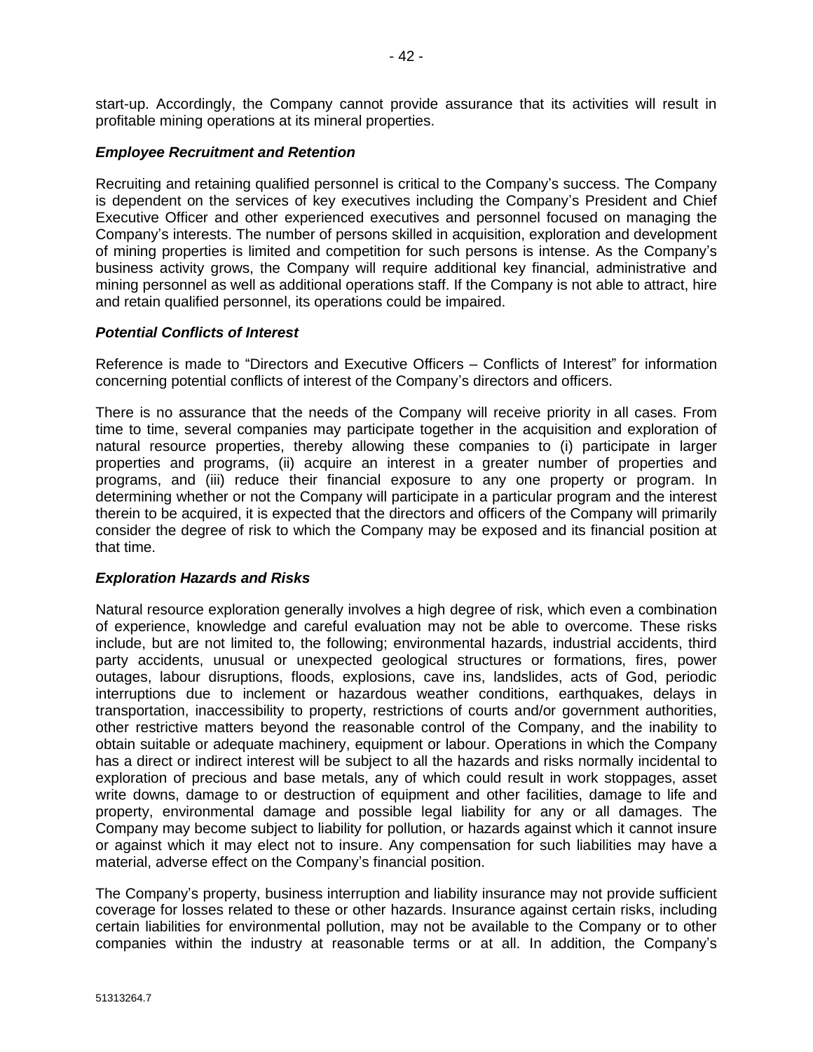start-up. Accordingly, the Company cannot provide assurance that its activities will result in profitable mining operations at its mineral properties.

#### *Employee Recruitment and Retention*

Recruiting and retaining qualified personnel is critical to the Company's success. The Company is dependent on the services of key executives including the Company's President and Chief Executive Officer and other experienced executives and personnel focused on managing the Company's interests. The number of persons skilled in acquisition, exploration and development of mining properties is limited and competition for such persons is intense. As the Company's business activity grows, the Company will require additional key financial, administrative and mining personnel as well as additional operations staff. If the Company is not able to attract, hire and retain qualified personnel, its operations could be impaired.

#### *Potential Conflicts of Interest*

Reference is made to "Directors and Executive Officers – Conflicts of Interest" for information concerning potential conflicts of interest of the Company's directors and officers.

There is no assurance that the needs of the Company will receive priority in all cases. From time to time, several companies may participate together in the acquisition and exploration of natural resource properties, thereby allowing these companies to (i) participate in larger properties and programs, (ii) acquire an interest in a greater number of properties and programs, and (iii) reduce their financial exposure to any one property or program. In determining whether or not the Company will participate in a particular program and the interest therein to be acquired, it is expected that the directors and officers of the Company will primarily consider the degree of risk to which the Company may be exposed and its financial position at that time.

#### *Exploration Hazards and Risks*

Natural resource exploration generally involves a high degree of risk, which even a combination of experience, knowledge and careful evaluation may not be able to overcome. These risks include, but are not limited to, the following; environmental hazards, industrial accidents, third party accidents, unusual or unexpected geological structures or formations, fires, power outages, labour disruptions, floods, explosions, cave ins, landslides, acts of God, periodic interruptions due to inclement or hazardous weather conditions, earthquakes, delays in transportation, inaccessibility to property, restrictions of courts and/or government authorities, other restrictive matters beyond the reasonable control of the Company, and the inability to obtain suitable or adequate machinery, equipment or labour. Operations in which the Company has a direct or indirect interest will be subject to all the hazards and risks normally incidental to exploration of precious and base metals, any of which could result in work stoppages, asset write downs, damage to or destruction of equipment and other facilities, damage to life and property, environmental damage and possible legal liability for any or all damages. The Company may become subject to liability for pollution, or hazards against which it cannot insure or against which it may elect not to insure. Any compensation for such liabilities may have a material, adverse effect on the Company's financial position.

The Company's property, business interruption and liability insurance may not provide sufficient coverage for losses related to these or other hazards. Insurance against certain risks, including certain liabilities for environmental pollution, may not be available to the Company or to other companies within the industry at reasonable terms or at all. In addition, the Company's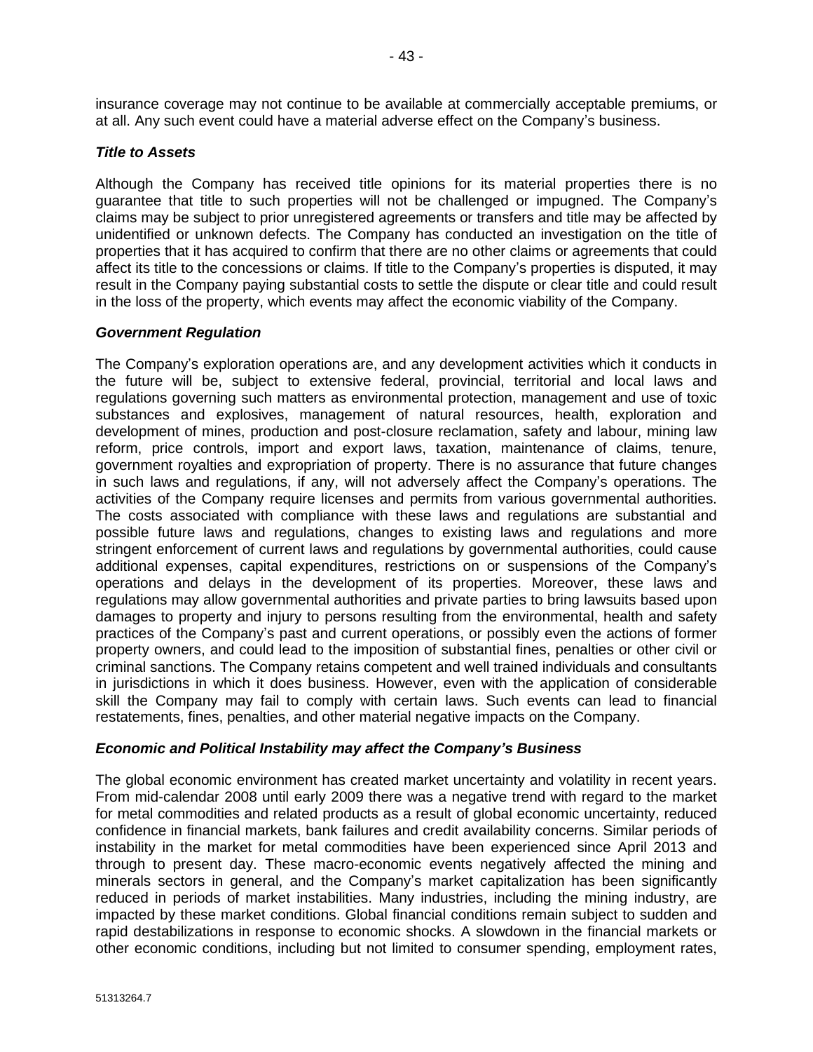insurance coverage may not continue to be available at commercially acceptable premiums, or at all. Any such event could have a material adverse effect on the Company's business.

# *Title to Assets*

Although the Company has received title opinions for its material properties there is no guarantee that title to such properties will not be challenged or impugned. The Company's claims may be subject to prior unregistered agreements or transfers and title may be affected by unidentified or unknown defects. The Company has conducted an investigation on the title of properties that it has acquired to confirm that there are no other claims or agreements that could affect its title to the concessions or claims. If title to the Company's properties is disputed, it may result in the Company paying substantial costs to settle the dispute or clear title and could result in the loss of the property, which events may affect the economic viability of the Company.

# *Government Regulation*

The Company's exploration operations are, and any development activities which it conducts in the future will be, subject to extensive federal, provincial, territorial and local laws and regulations governing such matters as environmental protection, management and use of toxic substances and explosives, management of natural resources, health, exploration and development of mines, production and post-closure reclamation, safety and labour, mining law reform, price controls, import and export laws, taxation, maintenance of claims, tenure, government royalties and expropriation of property. There is no assurance that future changes in such laws and regulations, if any, will not adversely affect the Company's operations. The activities of the Company require licenses and permits from various governmental authorities. The costs associated with compliance with these laws and regulations are substantial and possible future laws and regulations, changes to existing laws and regulations and more stringent enforcement of current laws and regulations by governmental authorities, could cause additional expenses, capital expenditures, restrictions on or suspensions of the Company's operations and delays in the development of its properties. Moreover, these laws and regulations may allow governmental authorities and private parties to bring lawsuits based upon damages to property and injury to persons resulting from the environmental, health and safety practices of the Company's past and current operations, or possibly even the actions of former property owners, and could lead to the imposition of substantial fines, penalties or other civil or criminal sanctions. The Company retains competent and well trained individuals and consultants in jurisdictions in which it does business. However, even with the application of considerable skill the Company may fail to comply with certain laws. Such events can lead to financial restatements, fines, penalties, and other material negative impacts on the Company.

#### *Economic and Political Instability may affect the Company's Business*

The global economic environment has created market uncertainty and volatility in recent years. From mid-calendar 2008 until early 2009 there was a negative trend with regard to the market for metal commodities and related products as a result of global economic uncertainty, reduced confidence in financial markets, bank failures and credit availability concerns. Similar periods of instability in the market for metal commodities have been experienced since April 2013 and through to present day. These macro-economic events negatively affected the mining and minerals sectors in general, and the Company's market capitalization has been significantly reduced in periods of market instabilities. Many industries, including the mining industry, are impacted by these market conditions. Global financial conditions remain subject to sudden and rapid destabilizations in response to economic shocks. A slowdown in the financial markets or other economic conditions, including but not limited to consumer spending, employment rates,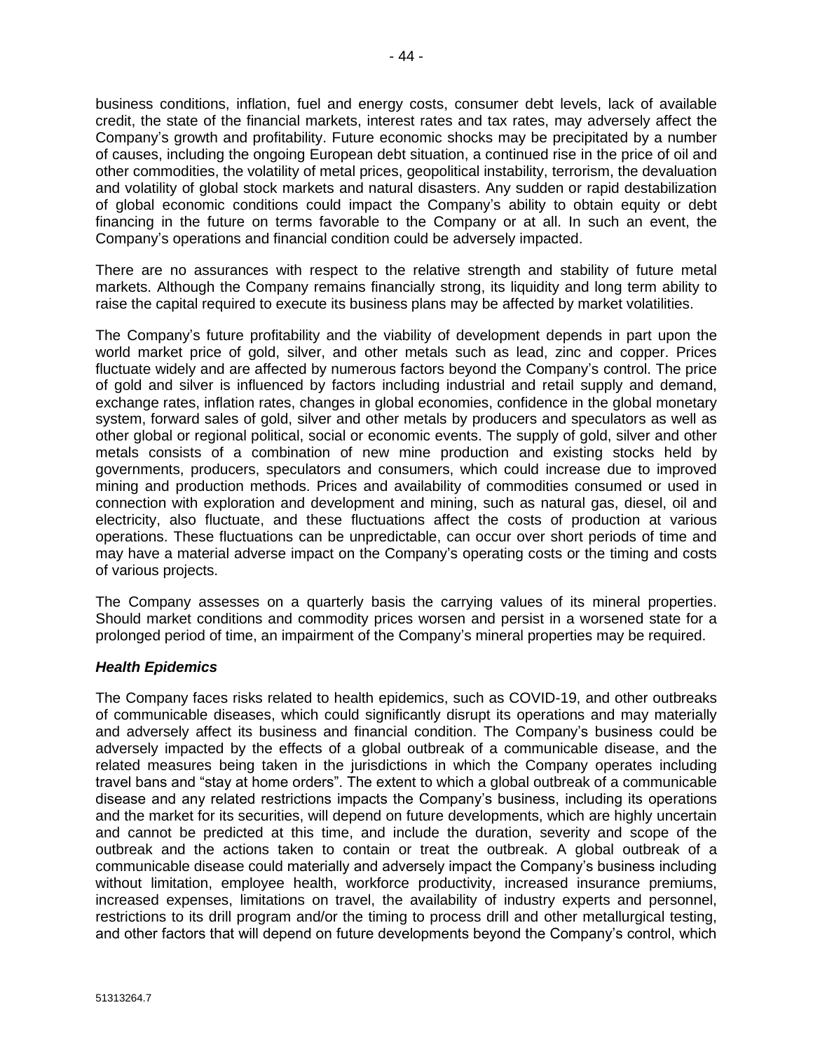business conditions, inflation, fuel and energy costs, consumer debt levels, lack of available credit, the state of the financial markets, interest rates and tax rates, may adversely affect the Company's growth and profitability. Future economic shocks may be precipitated by a number of causes, including the ongoing European debt situation, a continued rise in the price of oil and other commodities, the volatility of metal prices, geopolitical instability, terrorism, the devaluation and volatility of global stock markets and natural disasters. Any sudden or rapid destabilization of global economic conditions could impact the Company's ability to obtain equity or debt financing in the future on terms favorable to the Company or at all. In such an event, the Company's operations and financial condition could be adversely impacted.

There are no assurances with respect to the relative strength and stability of future metal markets. Although the Company remains financially strong, its liquidity and long term ability to raise the capital required to execute its business plans may be affected by market volatilities.

The Company's future profitability and the viability of development depends in part upon the world market price of gold, silver, and other metals such as lead, zinc and copper. Prices fluctuate widely and are affected by numerous factors beyond the Company's control. The price of gold and silver is influenced by factors including industrial and retail supply and demand, exchange rates, inflation rates, changes in global economies, confidence in the global monetary system, forward sales of gold, silver and other metals by producers and speculators as well as other global or regional political, social or economic events. The supply of gold, silver and other metals consists of a combination of new mine production and existing stocks held by governments, producers, speculators and consumers, which could increase due to improved mining and production methods. Prices and availability of commodities consumed or used in connection with exploration and development and mining, such as natural gas, diesel, oil and electricity, also fluctuate, and these fluctuations affect the costs of production at various operations. These fluctuations can be unpredictable, can occur over short periods of time and may have a material adverse impact on the Company's operating costs or the timing and costs of various projects.

The Company assesses on a quarterly basis the carrying values of its mineral properties. Should market conditions and commodity prices worsen and persist in a worsened state for a prolonged period of time, an impairment of the Company's mineral properties may be required.

#### *Health Epidemics*

The Company faces risks related to health epidemics, such as COVID-19, and other outbreaks of communicable diseases, which could significantly disrupt its operations and may materially and adversely affect its business and financial condition. The Company's business could be adversely impacted by the effects of a global outbreak of a communicable disease, and the related measures being taken in the jurisdictions in which the Company operates including travel bans and "stay at home orders". The extent to which a global outbreak of a communicable disease and any related restrictions impacts the Company's business, including its operations and the market for its securities, will depend on future developments, which are highly uncertain and cannot be predicted at this time, and include the duration, severity and scope of the outbreak and the actions taken to contain or treat the outbreak. A global outbreak of a communicable disease could materially and adversely impact the Company's business including without limitation, employee health, workforce productivity, increased insurance premiums, increased expenses, limitations on travel, the availability of industry experts and personnel, restrictions to its drill program and/or the timing to process drill and other metallurgical testing, and other factors that will depend on future developments beyond the Company's control, which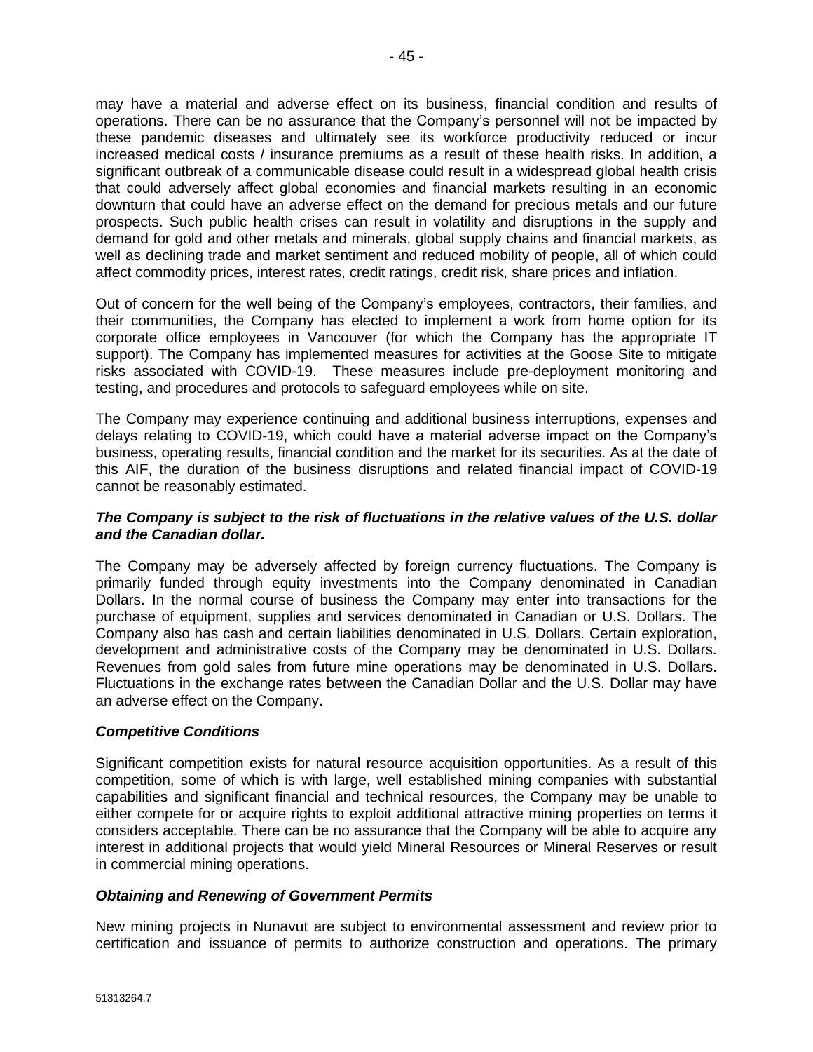may have a material and adverse effect on its business, financial condition and results of operations. There can be no assurance that the Company's personnel will not be impacted by these pandemic diseases and ultimately see its workforce productivity reduced or incur increased medical costs / insurance premiums as a result of these health risks. In addition, a significant outbreak of a communicable disease could result in a widespread global health crisis that could adversely affect global economies and financial markets resulting in an economic downturn that could have an adverse effect on the demand for precious metals and our future prospects. Such public health crises can result in volatility and disruptions in the supply and demand for gold and other metals and minerals, global supply chains and financial markets, as well as declining trade and market sentiment and reduced mobility of people, all of which could affect commodity prices, interest rates, credit ratings, credit risk, share prices and inflation.

Out of concern for the well being of the Company's employees, contractors, their families, and their communities, the Company has elected to implement a work from home option for its corporate office employees in Vancouver (for which the Company has the appropriate IT support). The Company has implemented measures for activities at the Goose Site to mitigate risks associated with COVID-19. These measures include pre-deployment monitoring and testing, and procedures and protocols to safeguard employees while on site.

The Company may experience continuing and additional business interruptions, expenses and delays relating to COVID-19, which could have a material adverse impact on the Company's business, operating results, financial condition and the market for its securities. As at the date of this AIF, the duration of the business disruptions and related financial impact of COVID-19 cannot be reasonably estimated.

# *The Company is subject to the risk of fluctuations in the relative values of the U.S. dollar and the Canadian dollar.*

The Company may be adversely affected by foreign currency fluctuations. The Company is primarily funded through equity investments into the Company denominated in Canadian Dollars. In the normal course of business the Company may enter into transactions for the purchase of equipment, supplies and services denominated in Canadian or U.S. Dollars. The Company also has cash and certain liabilities denominated in U.S. Dollars. Certain exploration, development and administrative costs of the Company may be denominated in U.S. Dollars. Revenues from gold sales from future mine operations may be denominated in U.S. Dollars. Fluctuations in the exchange rates between the Canadian Dollar and the U.S. Dollar may have an adverse effect on the Company.

#### *Competitive Conditions*

Significant competition exists for natural resource acquisition opportunities. As a result of this competition, some of which is with large, well established mining companies with substantial capabilities and significant financial and technical resources, the Company may be unable to either compete for or acquire rights to exploit additional attractive mining properties on terms it considers acceptable. There can be no assurance that the Company will be able to acquire any interest in additional projects that would yield Mineral Resources or Mineral Reserves or result in commercial mining operations.

# *Obtaining and Renewing of Government Permits*

New mining projects in Nunavut are subject to environmental assessment and review prior to certification and issuance of permits to authorize construction and operations. The primary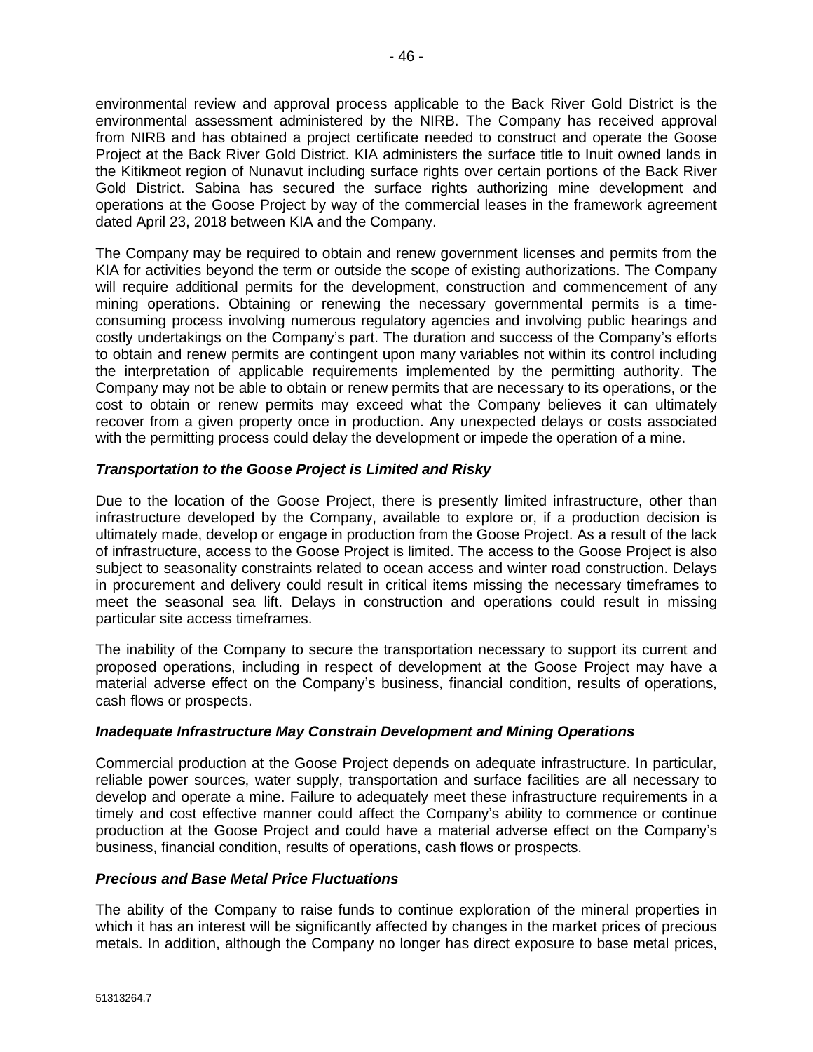environmental review and approval process applicable to the Back River Gold District is the environmental assessment administered by the NIRB. The Company has received approval from NIRB and has obtained a project certificate needed to construct and operate the Goose Project at the Back River Gold District. KIA administers the surface title to Inuit owned lands in the Kitikmeot region of Nunavut including surface rights over certain portions of the Back River Gold District. Sabina has secured the surface rights authorizing mine development and operations at the Goose Project by way of the commercial leases in the framework agreement dated April 23, 2018 between KIA and the Company.

The Company may be required to obtain and renew government licenses and permits from the KIA for activities beyond the term or outside the scope of existing authorizations. The Company will require additional permits for the development, construction and commencement of any mining operations. Obtaining or renewing the necessary governmental permits is a timeconsuming process involving numerous regulatory agencies and involving public hearings and costly undertakings on the Company's part. The duration and success of the Company's efforts to obtain and renew permits are contingent upon many variables not within its control including the interpretation of applicable requirements implemented by the permitting authority. The Company may not be able to obtain or renew permits that are necessary to its operations, or the cost to obtain or renew permits may exceed what the Company believes it can ultimately recover from a given property once in production. Any unexpected delays or costs associated with the permitting process could delay the development or impede the operation of a mine.

#### *Transportation to the Goose Project is Limited and Risky*

Due to the location of the Goose Project, there is presently limited infrastructure, other than infrastructure developed by the Company, available to explore or, if a production decision is ultimately made, develop or engage in production from the Goose Project. As a result of the lack of infrastructure, access to the Goose Project is limited. The access to the Goose Project is also subject to seasonality constraints related to ocean access and winter road construction. Delays in procurement and delivery could result in critical items missing the necessary timeframes to meet the seasonal sea lift. Delays in construction and operations could result in missing particular site access timeframes.

The inability of the Company to secure the transportation necessary to support its current and proposed operations, including in respect of development at the Goose Project may have a material adverse effect on the Company's business, financial condition, results of operations, cash flows or prospects.

#### *Inadequate Infrastructure May Constrain Development and Mining Operations*

Commercial production at the Goose Project depends on adequate infrastructure. In particular, reliable power sources, water supply, transportation and surface facilities are all necessary to develop and operate a mine. Failure to adequately meet these infrastructure requirements in a timely and cost effective manner could affect the Company's ability to commence or continue production at the Goose Project and could have a material adverse effect on the Company's business, financial condition, results of operations, cash flows or prospects.

#### *Precious and Base Metal Price Fluctuations*

The ability of the Company to raise funds to continue exploration of the mineral properties in which it has an interest will be significantly affected by changes in the market prices of precious metals. In addition, although the Company no longer has direct exposure to base metal prices,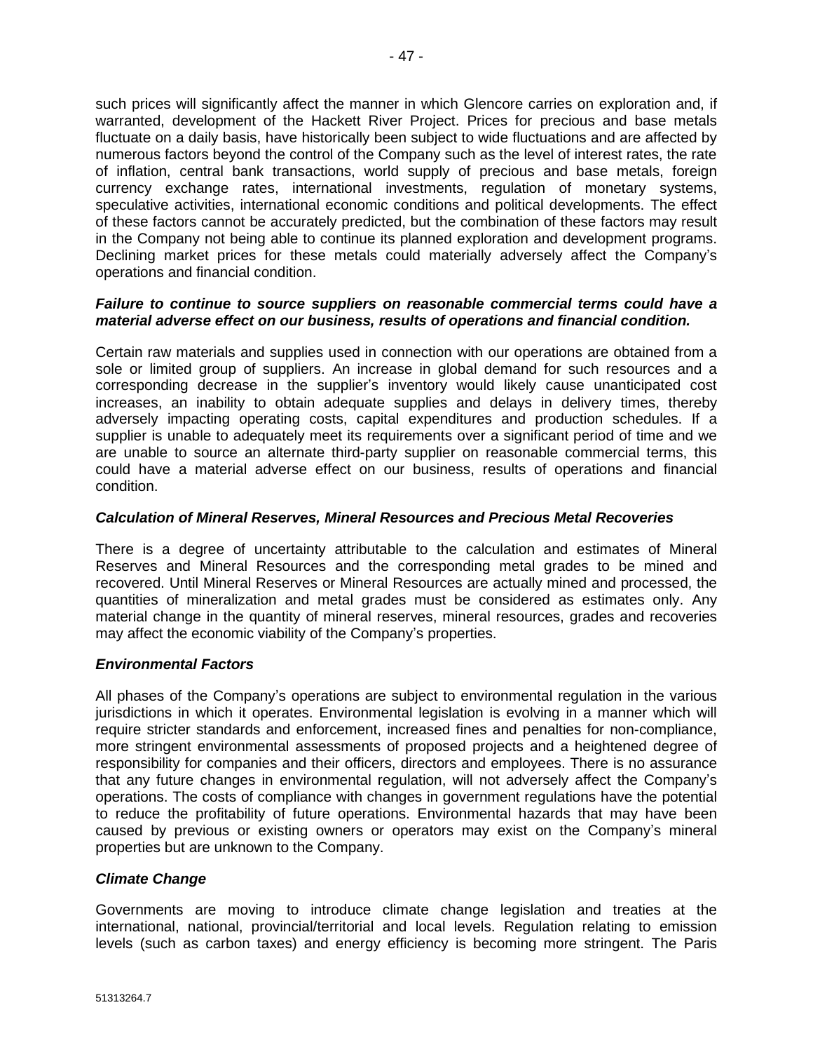such prices will significantly affect the manner in which Glencore carries on exploration and, if warranted, development of the Hackett River Project. Prices for precious and base metals fluctuate on a daily basis, have historically been subject to wide fluctuations and are affected by numerous factors beyond the control of the Company such as the level of interest rates, the rate of inflation, central bank transactions, world supply of precious and base metals, foreign currency exchange rates, international investments, regulation of monetary systems, speculative activities, international economic conditions and political developments. The effect of these factors cannot be accurately predicted, but the combination of these factors may result in the Company not being able to continue its planned exploration and development programs. Declining market prices for these metals could materially adversely affect the Company's operations and financial condition.

#### *Failure to continue to source suppliers on reasonable commercial terms could have a material adverse effect on our business, results of operations and financial condition.*

Certain raw materials and supplies used in connection with our operations are obtained from a sole or limited group of suppliers. An increase in global demand for such resources and a corresponding decrease in the supplier's inventory would likely cause unanticipated cost increases, an inability to obtain adequate supplies and delays in delivery times, thereby adversely impacting operating costs, capital expenditures and production schedules. If a supplier is unable to adequately meet its requirements over a significant period of time and we are unable to source an alternate third-party supplier on reasonable commercial terms, this could have a material adverse effect on our business, results of operations and financial condition.

# *Calculation of Mineral Reserves, Mineral Resources and Precious Metal Recoveries*

There is a degree of uncertainty attributable to the calculation and estimates of Mineral Reserves and Mineral Resources and the corresponding metal grades to be mined and recovered. Until Mineral Reserves or Mineral Resources are actually mined and processed, the quantities of mineralization and metal grades must be considered as estimates only. Any material change in the quantity of mineral reserves, mineral resources, grades and recoveries may affect the economic viability of the Company's properties.

#### *Environmental Factors*

All phases of the Company's operations are subject to environmental regulation in the various jurisdictions in which it operates. Environmental legislation is evolving in a manner which will require stricter standards and enforcement, increased fines and penalties for non-compliance, more stringent environmental assessments of proposed projects and a heightened degree of responsibility for companies and their officers, directors and employees. There is no assurance that any future changes in environmental regulation, will not adversely affect the Company's operations. The costs of compliance with changes in government regulations have the potential to reduce the profitability of future operations. Environmental hazards that may have been caused by previous or existing owners or operators may exist on the Company's mineral properties but are unknown to the Company.

#### *Climate Change*

Governments are moving to introduce climate change legislation and treaties at the international, national, provincial/territorial and local levels. Regulation relating to emission levels (such as carbon taxes) and energy efficiency is becoming more stringent. The Paris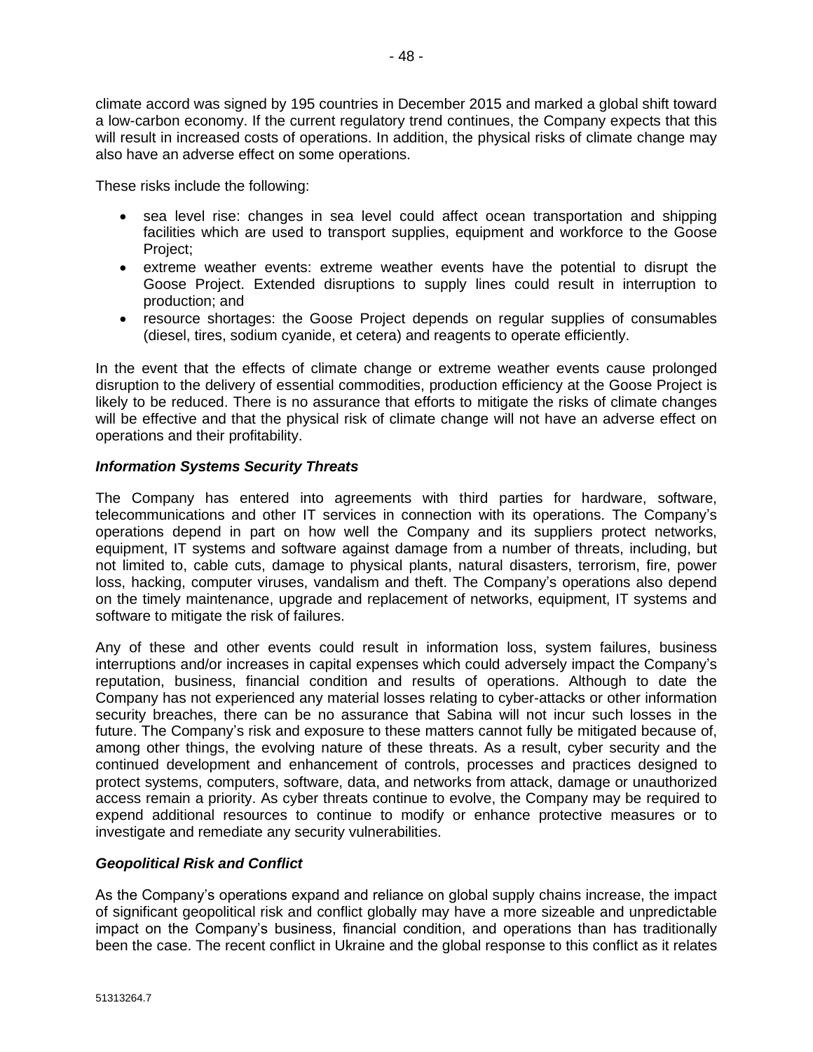climate accord was signed by 195 countries in December 2015 and marked a global shift toward a low-carbon economy. If the current regulatory trend continues, the Company expects that this will result in increased costs of operations. In addition, the physical risks of climate change may also have an adverse effect on some operations.

These risks include the following:

- sea level rise: changes in sea level could affect ocean transportation and shipping facilities which are used to transport supplies, equipment and workforce to the Goose Project;
- extreme weather events: extreme weather events have the potential to disrupt the Goose Project. Extended disruptions to supply lines could result in interruption to production; and
- resource shortages: the Goose Project depends on regular supplies of consumables (diesel, tires, sodium cyanide, et cetera) and reagents to operate efficiently.

In the event that the effects of climate change or extreme weather events cause prolonged disruption to the delivery of essential commodities, production efficiency at the Goose Project is likely to be reduced. There is no assurance that efforts to mitigate the risks of climate changes will be effective and that the physical risk of climate change will not have an adverse effect on operations and their profitability.

# *Information Systems Security Threats*

The Company has entered into agreements with third parties for hardware, software, telecommunications and other IT services in connection with its operations. The Company's operations depend in part on how well the Company and its suppliers protect networks, equipment, IT systems and software against damage from a number of threats, including, but not limited to, cable cuts, damage to physical plants, natural disasters, terrorism, fire, power loss, hacking, computer viruses, vandalism and theft. The Company's operations also depend on the timely maintenance, upgrade and replacement of networks, equipment, IT systems and software to mitigate the risk of failures.

Any of these and other events could result in information loss, system failures, business interruptions and/or increases in capital expenses which could adversely impact the Company's reputation, business, financial condition and results of operations. Although to date the Company has not experienced any material losses relating to cyber-attacks or other information security breaches, there can be no assurance that Sabina will not incur such losses in the future. The Company's risk and exposure to these matters cannot fully be mitigated because of, among other things, the evolving nature of these threats. As a result, cyber security and the continued development and enhancement of controls, processes and practices designed to protect systems, computers, software, data, and networks from attack, damage or unauthorized access remain a priority. As cyber threats continue to evolve, the Company may be required to expend additional resources to continue to modify or enhance protective measures or to investigate and remediate any security vulnerabilities.

#### *Geopolitical Risk and Conflict*

As the Company's operations expand and reliance on global supply chains increase, the impact of significant geopolitical risk and conflict globally may have a more sizeable and unpredictable impact on the Company's business, financial condition, and operations than has traditionally been the case. The recent conflict in Ukraine and the global response to this conflict as it relates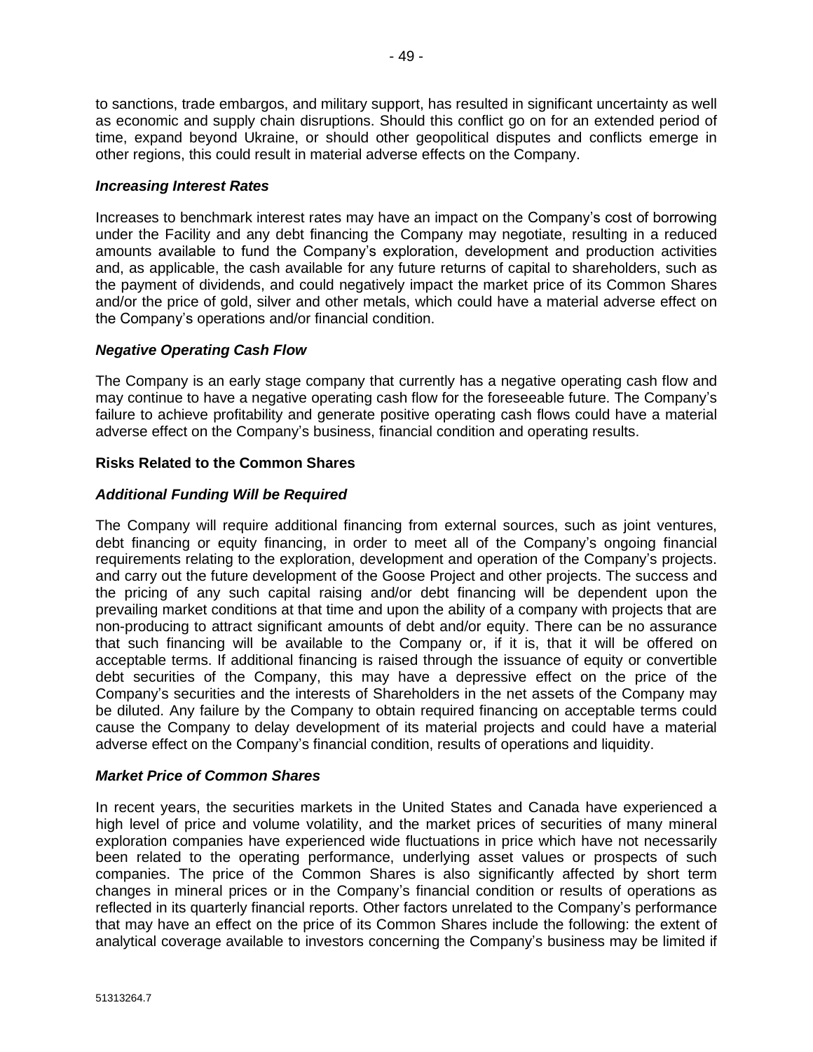to sanctions, trade embargos, and military support, has resulted in significant uncertainty as well as economic and supply chain disruptions. Should this conflict go on for an extended period of time, expand beyond Ukraine, or should other geopolitical disputes and conflicts emerge in other regions, this could result in material adverse effects on the Company.

# *Increasing Interest Rates*

Increases to benchmark interest rates may have an impact on the Company's cost of borrowing under the Facility and any debt financing the Company may negotiate, resulting in a reduced amounts available to fund the Company's exploration, development and production activities and, as applicable, the cash available for any future returns of capital to shareholders, such as the payment of dividends, and could negatively impact the market price of its Common Shares and/or the price of gold, silver and other metals, which could have a material adverse effect on the Company's operations and/or financial condition.

# *Negative Operating Cash Flow*

The Company is an early stage company that currently has a negative operating cash flow and may continue to have a negative operating cash flow for the foreseeable future. The Company's failure to achieve profitability and generate positive operating cash flows could have a material adverse effect on the Company's business, financial condition and operating results.

# **Risks Related to the Common Shares**

# *Additional Funding Will be Required*

The Company will require additional financing from external sources, such as joint ventures, debt financing or equity financing, in order to meet all of the Company's ongoing financial requirements relating to the exploration, development and operation of the Company's projects. and carry out the future development of the Goose Project and other projects. The success and the pricing of any such capital raising and/or debt financing will be dependent upon the prevailing market conditions at that time and upon the ability of a company with projects that are non-producing to attract significant amounts of debt and/or equity. There can be no assurance that such financing will be available to the Company or, if it is, that it will be offered on acceptable terms. If additional financing is raised through the issuance of equity or convertible debt securities of the Company, this may have a depressive effect on the price of the Company's securities and the interests of Shareholders in the net assets of the Company may be diluted. Any failure by the Company to obtain required financing on acceptable terms could cause the Company to delay development of its material projects and could have a material adverse effect on the Company's financial condition, results of operations and liquidity.

#### *Market Price of Common Shares*

In recent years, the securities markets in the United States and Canada have experienced a high level of price and volume volatility, and the market prices of securities of many mineral exploration companies have experienced wide fluctuations in price which have not necessarily been related to the operating performance, underlying asset values or prospects of such companies. The price of the Common Shares is also significantly affected by short term changes in mineral prices or in the Company's financial condition or results of operations as reflected in its quarterly financial reports. Other factors unrelated to the Company's performance that may have an effect on the price of its Common Shares include the following: the extent of analytical coverage available to investors concerning the Company's business may be limited if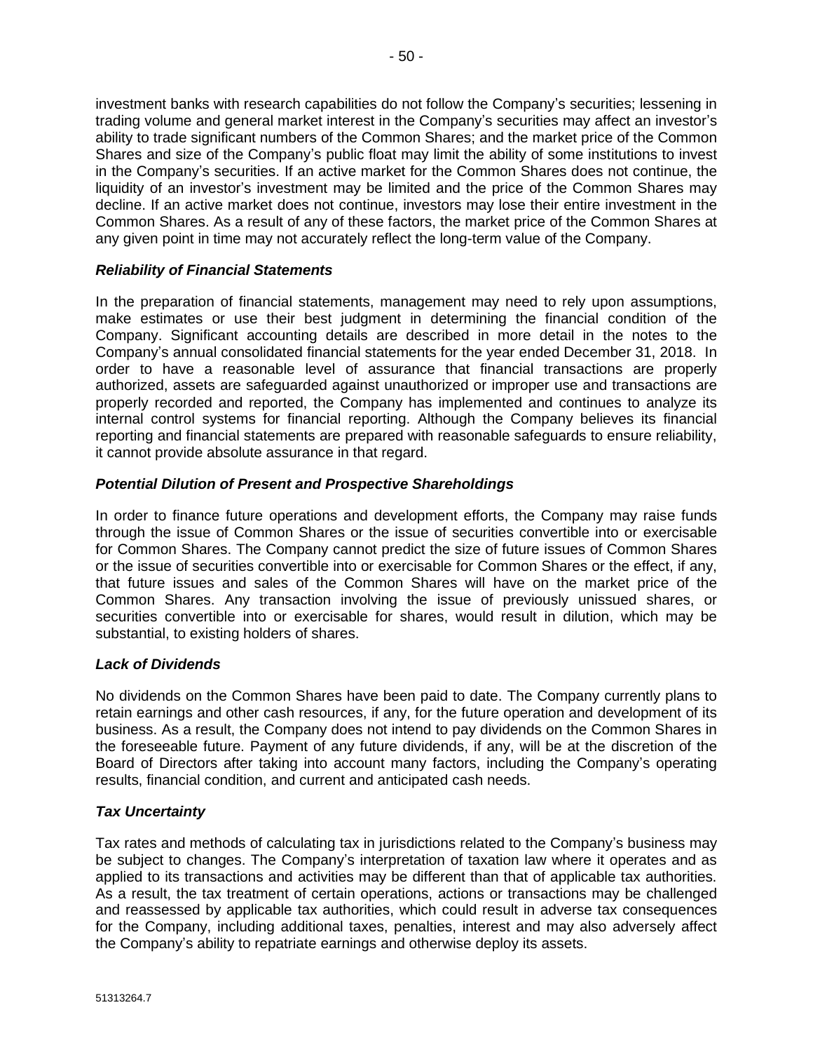investment banks with research capabilities do not follow the Company's securities; lessening in trading volume and general market interest in the Company's securities may affect an investor's ability to trade significant numbers of the Common Shares; and the market price of the Common Shares and size of the Company's public float may limit the ability of some institutions to invest in the Company's securities. If an active market for the Common Shares does not continue, the liquidity of an investor's investment may be limited and the price of the Common Shares may decline. If an active market does not continue, investors may lose their entire investment in the Common Shares. As a result of any of these factors, the market price of the Common Shares at any given point in time may not accurately reflect the long-term value of the Company.

# *Reliability of Financial Statements*

In the preparation of financial statements, management may need to rely upon assumptions, make estimates or use their best judgment in determining the financial condition of the Company. Significant accounting details are described in more detail in the notes to the Company's annual consolidated financial statements for the year ended December 31, 2018. In order to have a reasonable level of assurance that financial transactions are properly authorized, assets are safeguarded against unauthorized or improper use and transactions are properly recorded and reported, the Company has implemented and continues to analyze its internal control systems for financial reporting. Although the Company believes its financial reporting and financial statements are prepared with reasonable safeguards to ensure reliability, it cannot provide absolute assurance in that regard.

# *Potential Dilution of Present and Prospective Shareholdings*

In order to finance future operations and development efforts, the Company may raise funds through the issue of Common Shares or the issue of securities convertible into or exercisable for Common Shares. The Company cannot predict the size of future issues of Common Shares or the issue of securities convertible into or exercisable for Common Shares or the effect, if any, that future issues and sales of the Common Shares will have on the market price of the Common Shares. Any transaction involving the issue of previously unissued shares, or securities convertible into or exercisable for shares, would result in dilution, which may be substantial, to existing holders of shares.

# *Lack of Dividends*

No dividends on the Common Shares have been paid to date. The Company currently plans to retain earnings and other cash resources, if any, for the future operation and development of its business. As a result, the Company does not intend to pay dividends on the Common Shares in the foreseeable future. Payment of any future dividends, if any, will be at the discretion of the Board of Directors after taking into account many factors, including the Company's operating results, financial condition, and current and anticipated cash needs.

# *Tax Uncertainty*

Tax rates and methods of calculating tax in jurisdictions related to the Company's business may be subject to changes. The Company's interpretation of taxation law where it operates and as applied to its transactions and activities may be different than that of applicable tax authorities. As a result, the tax treatment of certain operations, actions or transactions may be challenged and reassessed by applicable tax authorities, which could result in adverse tax consequences for the Company, including additional taxes, penalties, interest and may also adversely affect the Company's ability to repatriate earnings and otherwise deploy its assets.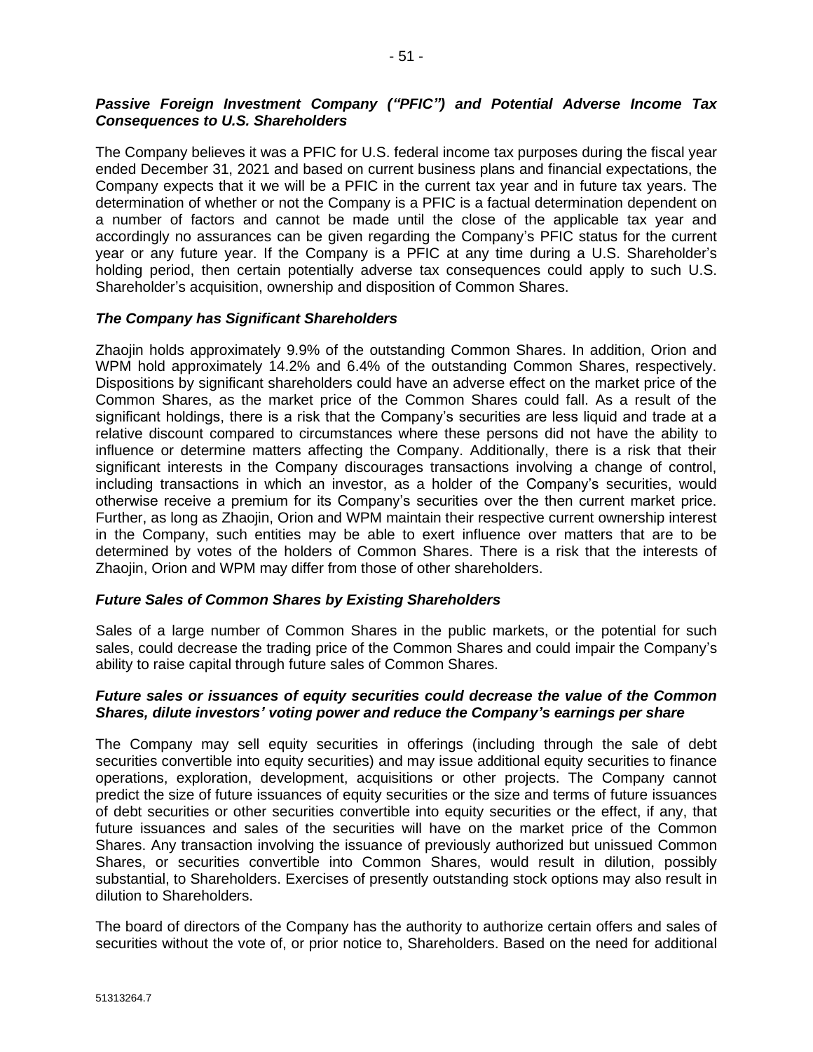# *Passive Foreign Investment Company ("PFIC") and Potential Adverse Income Tax Consequences to U.S. Shareholders*

The Company believes it was a PFIC for U.S. federal income tax purposes during the fiscal year ended December 31, 2021 and based on current business plans and financial expectations, the Company expects that it we will be a PFIC in the current tax year and in future tax years. The determination of whether or not the Company is a PFIC is a factual determination dependent on a number of factors and cannot be made until the close of the applicable tax year and accordingly no assurances can be given regarding the Company's PFIC status for the current year or any future year. If the Company is a PFIC at any time during a U.S. Shareholder's holding period, then certain potentially adverse tax consequences could apply to such U.S. Shareholder's acquisition, ownership and disposition of Common Shares.

#### *The Company has Significant Shareholders*

Zhaojin holds approximately 9.9% of the outstanding Common Shares. In addition, Orion and WPM hold approximately 14.2% and 6.4% of the outstanding Common Shares, respectively. Dispositions by significant shareholders could have an adverse effect on the market price of the Common Shares, as the market price of the Common Shares could fall. As a result of the significant holdings, there is a risk that the Company's securities are less liquid and trade at a relative discount compared to circumstances where these persons did not have the ability to influence or determine matters affecting the Company. Additionally, there is a risk that their significant interests in the Company discourages transactions involving a change of control, including transactions in which an investor, as a holder of the Company's securities, would otherwise receive a premium for its Company's securities over the then current market price. Further, as long as Zhaojin, Orion and WPM maintain their respective current ownership interest in the Company, such entities may be able to exert influence over matters that are to be determined by votes of the holders of Common Shares. There is a risk that the interests of Zhaojin, Orion and WPM may differ from those of other shareholders.

#### *Future Sales of Common Shares by Existing Shareholders*

Sales of a large number of Common Shares in the public markets, or the potential for such sales, could decrease the trading price of the Common Shares and could impair the Company's ability to raise capital through future sales of Common Shares.

#### *Future sales or issuances of equity securities could decrease the value of the Common Shares, dilute investors' voting power and reduce the Company's earnings per share*

The Company may sell equity securities in offerings (including through the sale of debt securities convertible into equity securities) and may issue additional equity securities to finance operations, exploration, development, acquisitions or other projects. The Company cannot predict the size of future issuances of equity securities or the size and terms of future issuances of debt securities or other securities convertible into equity securities or the effect, if any, that future issuances and sales of the securities will have on the market price of the Common Shares. Any transaction involving the issuance of previously authorized but unissued Common Shares, or securities convertible into Common Shares, would result in dilution, possibly substantial, to Shareholders. Exercises of presently outstanding stock options may also result in dilution to Shareholders.

The board of directors of the Company has the authority to authorize certain offers and sales of securities without the vote of, or prior notice to, Shareholders. Based on the need for additional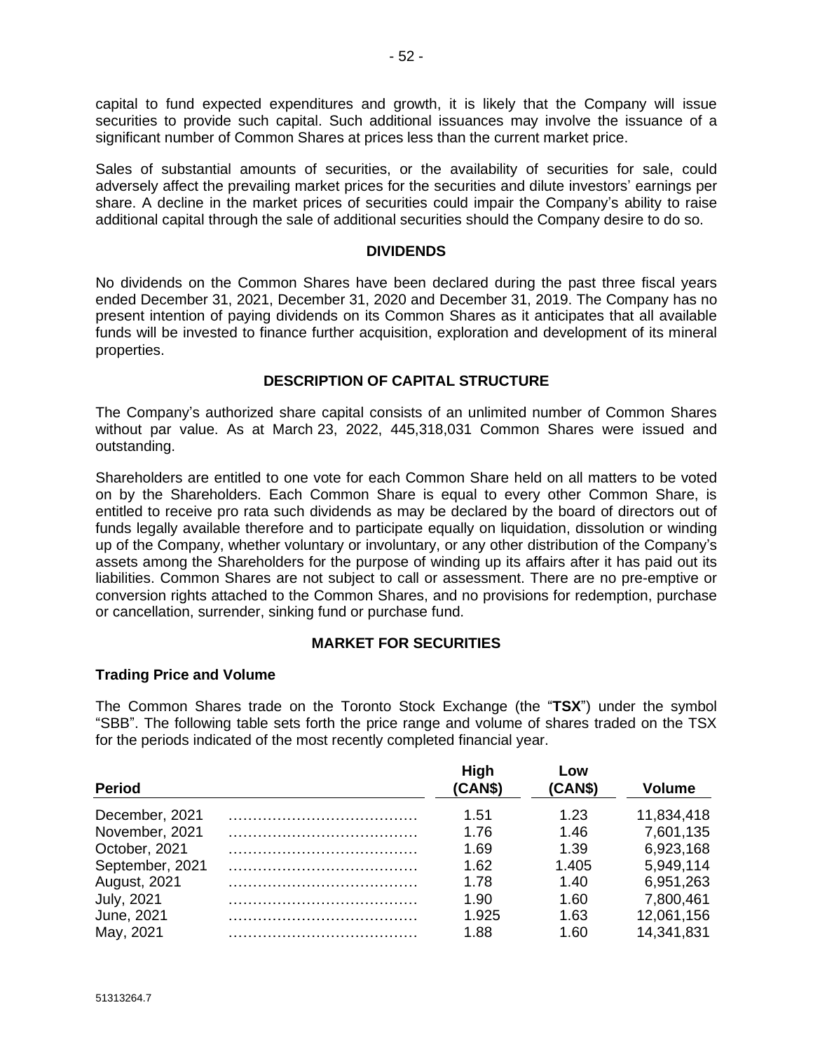capital to fund expected expenditures and growth, it is likely that the Company will issue securities to provide such capital. Such additional issuances may involve the issuance of a significant number of Common Shares at prices less than the current market price.

Sales of substantial amounts of securities, or the availability of securities for sale, could adversely affect the prevailing market prices for the securities and dilute investors' earnings per share. A decline in the market prices of securities could impair the Company's ability to raise additional capital through the sale of additional securities should the Company desire to do so.

### **DIVIDENDS**

No dividends on the Common Shares have been declared during the past three fiscal years ended December 31, 2021, December 31, 2020 and December 31, 2019. The Company has no present intention of paying dividends on its Common Shares as it anticipates that all available funds will be invested to finance further acquisition, exploration and development of its mineral properties.

# **DESCRIPTION OF CAPITAL STRUCTURE**

The Company's authorized share capital consists of an unlimited number of Common Shares without par value. As at March 23, 2022, 445,318,031 Common Shares were issued and outstanding.

Shareholders are entitled to one vote for each Common Share held on all matters to be voted on by the Shareholders. Each Common Share is equal to every other Common Share, is entitled to receive pro rata such dividends as may be declared by the board of directors out of funds legally available therefore and to participate equally on liquidation, dissolution or winding up of the Company, whether voluntary or involuntary, or any other distribution of the Company's assets among the Shareholders for the purpose of winding up its affairs after it has paid out its liabilities. Common Shares are not subject to call or assessment. There are no pre-emptive or conversion rights attached to the Common Shares, and no provisions for redemption, purchase or cancellation, surrender, sinking fund or purchase fund.

#### **MARKET FOR SECURITIES**

#### **Trading Price and Volume**

The Common Shares trade on the Toronto Stock Exchange (the "**TSX**") under the symbol "SBB". The following table sets forth the price range and volume of shares traded on the TSX for the periods indicated of the most recently completed financial year.

| <b>Period</b>       | High<br>(CAN\$) | Low<br>(CAN\$) | <b>Volume</b> |
|---------------------|-----------------|----------------|---------------|
| December, 2021      | 1.51            | 1.23           | 11,834,418    |
| November, 2021      | 1.76            | 1.46           | 7,601,135     |
| October, 2021       | 1.69            | 1.39           | 6,923,168     |
| September, 2021     | 1.62            | 1.405          | 5,949,114     |
| <b>August, 2021</b> | 1.78            | 1.40           | 6,951,263     |
| <b>July, 2021</b>   | 1.90            | 1.60           | 7,800,461     |
| June, 2021          | 1.925           | 1.63           | 12,061,156    |
| May, 2021           | 1.88            | 1.60           | 14,341,831    |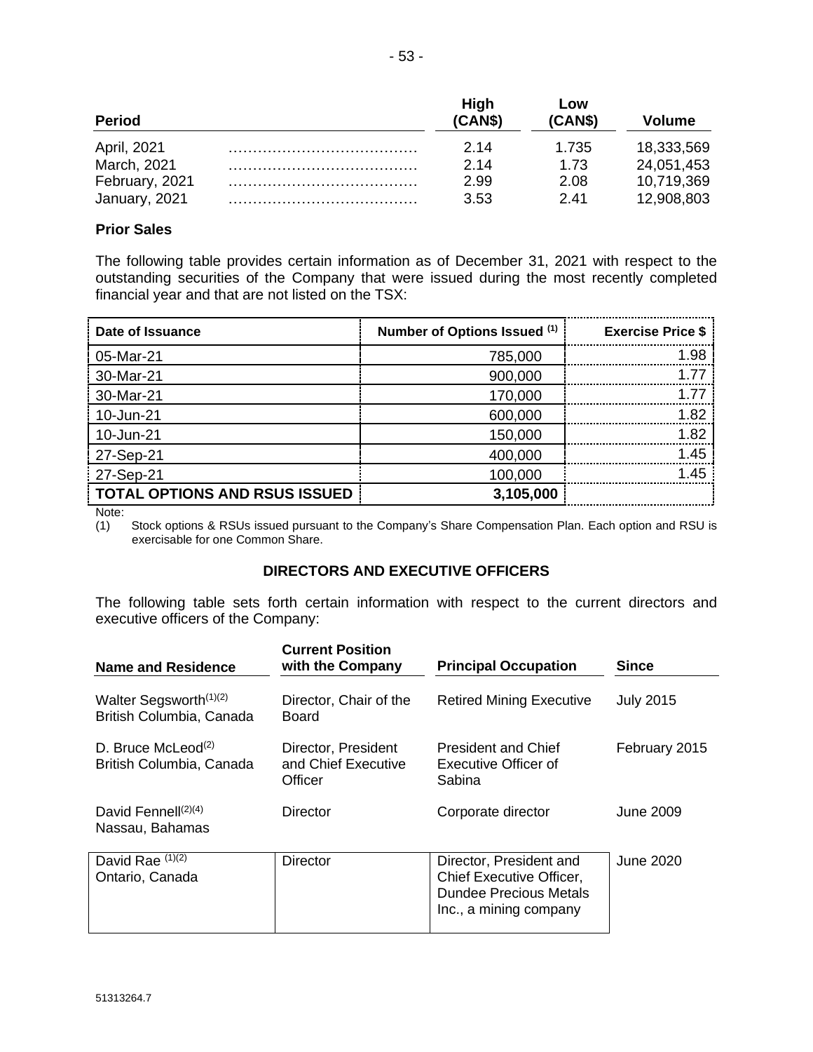| <b>Period</b>  | High<br>(CAN\$) | Low<br>(CAN\$) | Volume     |
|----------------|-----------------|----------------|------------|
| April, 2021    | 2.14            | 1.735          | 18,333,569 |
| March, 2021    | 2.14            | 1.73           | 24,051,453 |
| February, 2021 | 2.99            | 2.08           | 10,719,369 |
| January, 2021  | 3.53            | 2.41           | 12,908,803 |

# **Prior Sales**

The following table provides certain information as of December 31, 2021 with respect to the outstanding securities of the Company that were issued during the most recently completed financial year and that are not listed on the TSX:

| Date of Issuance                     | Number of Options Issued (1) | <b>Exercise Price \$</b> |
|--------------------------------------|------------------------------|--------------------------|
| 05-Mar-21                            | 785,000                      | 1.98                     |
| 30-Mar-21                            | 900,000                      | 1.77                     |
| 30-Mar-21                            | 170,000                      | 1.77                     |
| 10-Jun-21                            | 600,000                      | 1.82                     |
| 10-Jun-21                            | 150,000                      | 1.82                     |
| 27-Sep-21                            | 400,000                      | 1.45                     |
| 27-Sep-21                            | 100,000                      | 1.45                     |
| <b>TOTAL OPTIONS AND RSUS ISSUED</b> | 3,105,000                    |                          |

Note:

(1) Stock options & RSUs issued pursuant to the Company's Share Compensation Plan. Each option and RSU is exercisable for one Common Share.

# **DIRECTORS AND EXECUTIVE OFFICERS**

The following table sets forth certain information with respect to the current directors and executive officers of the Company:

| <b>Name and Residence</b>                                      | <b>Current Position</b><br>with the Company           | <b>Principal Occupation</b>                                                                                    | <b>Since</b>     |
|----------------------------------------------------------------|-------------------------------------------------------|----------------------------------------------------------------------------------------------------------------|------------------|
| Walter Segsworth <sup>(1)(2)</sup><br>British Columbia, Canada | Director, Chair of the<br>Board                       | <b>Retired Mining Executive</b>                                                                                | <b>July 2015</b> |
| D. Bruce McLeod <sup>(2)</sup><br>British Columbia, Canada     | Director, President<br>and Chief Executive<br>Officer | <b>President and Chief</b><br>Executive Officer of<br>Sabina                                                   | February 2015    |
| David Fennell $(2)(4)$<br>Nassau, Bahamas                      | <b>Director</b>                                       | Corporate director                                                                                             | June 2009        |
| David Rae (1)(2)<br>Ontario, Canada                            | <b>Director</b>                                       | Director, President and<br>Chief Executive Officer,<br><b>Dundee Precious Metals</b><br>Inc., a mining company | June 2020        |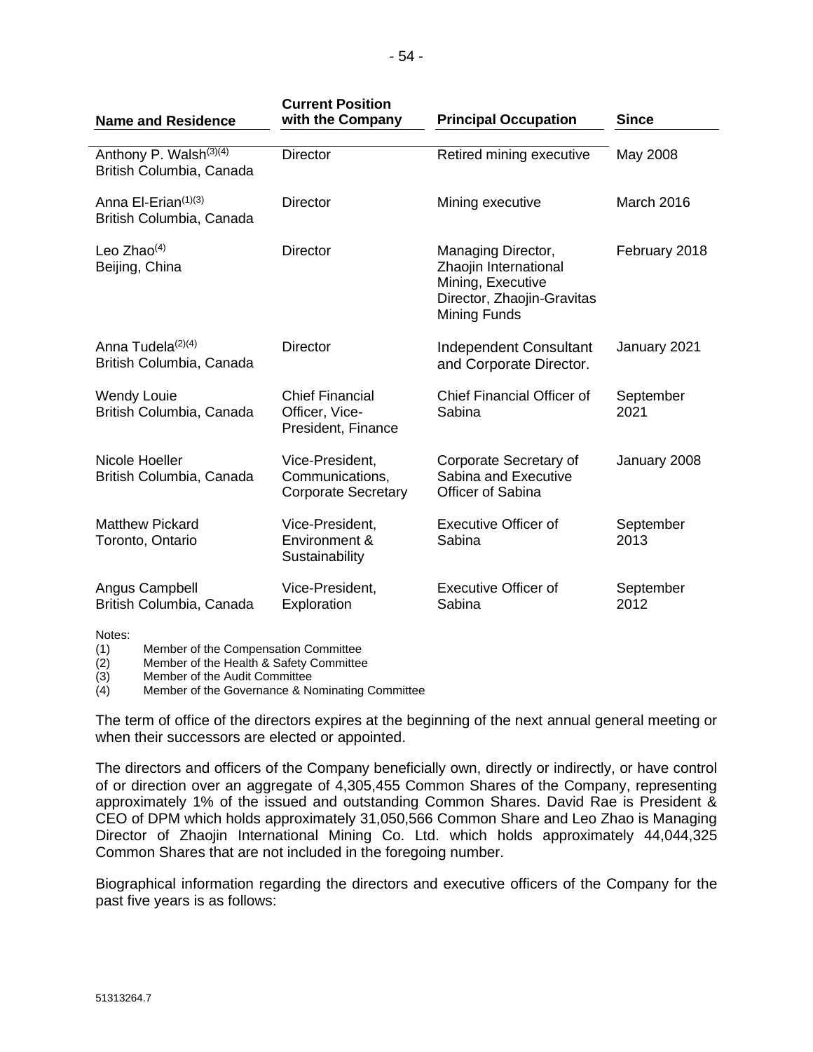| <b>Name and Residence</b>                                      | <b>Current Position</b><br>with the Company                      | <b>Principal Occupation</b>                                                                                    | <b>Since</b>      |
|----------------------------------------------------------------|------------------------------------------------------------------|----------------------------------------------------------------------------------------------------------------|-------------------|
| Anthony P. Walsh <sup>(3)(4)</sup><br>British Columbia, Canada | <b>Director</b>                                                  | Retired mining executive                                                                                       | May 2008          |
| Anna El-Erian <sup>(1)(3)</sup><br>British Columbia, Canada    | Director                                                         | Mining executive                                                                                               | March 2016        |
| Leo Zhao $(4)$<br>Beijing, China                               | Director                                                         | Managing Director,<br>Zhaojin International<br>Mining, Executive<br>Director, Zhaojin-Gravitas<br>Mining Funds | February 2018     |
| Anna Tudela $(2)(4)$<br>British Columbia, Canada               | <b>Director</b>                                                  | <b>Independent Consultant</b><br>and Corporate Director.                                                       | January 2021      |
| <b>Wendy Louie</b><br>British Columbia, Canada                 | <b>Chief Financial</b><br>Officer, Vice-<br>President, Finance   | Chief Financial Officer of<br>Sabina                                                                           | September<br>2021 |
| Nicole Hoeller<br>British Columbia, Canada                     | Vice-President,<br>Communications,<br><b>Corporate Secretary</b> | Corporate Secretary of<br>Sabina and Executive<br>Officer of Sabina                                            | January 2008      |
| <b>Matthew Pickard</b><br>Toronto, Ontario                     | Vice-President,<br>Environment &<br>Sustainability               | <b>Executive Officer of</b><br>Sabina                                                                          | September<br>2013 |
| Angus Campbell<br>British Columbia, Canada                     | Vice-President,<br>Exploration                                   | <b>Executive Officer of</b><br>Sabina                                                                          | September<br>2012 |
| Notes:                                                         |                                                                  |                                                                                                                |                   |

(1) Member of the Compensation Committee

(2) Member of the Health & Safety Committee

(3) Member of the Audit Committee

(4) Member of the Governance & Nominating Committee

The term of office of the directors expires at the beginning of the next annual general meeting or when their successors are elected or appointed.

The directors and officers of the Company beneficially own, directly or indirectly, or have control of or direction over an aggregate of 4,305,455 Common Shares of the Company, representing approximately 1% of the issued and outstanding Common Shares. David Rae is President & CEO of DPM which holds approximately 31,050,566 Common Share and Leo Zhao is Managing Director of Zhaojin International Mining Co. Ltd. which holds approximately 44,044,325 Common Shares that are not included in the foregoing number.

Biographical information regarding the directors and executive officers of the Company for the past five years is as follows: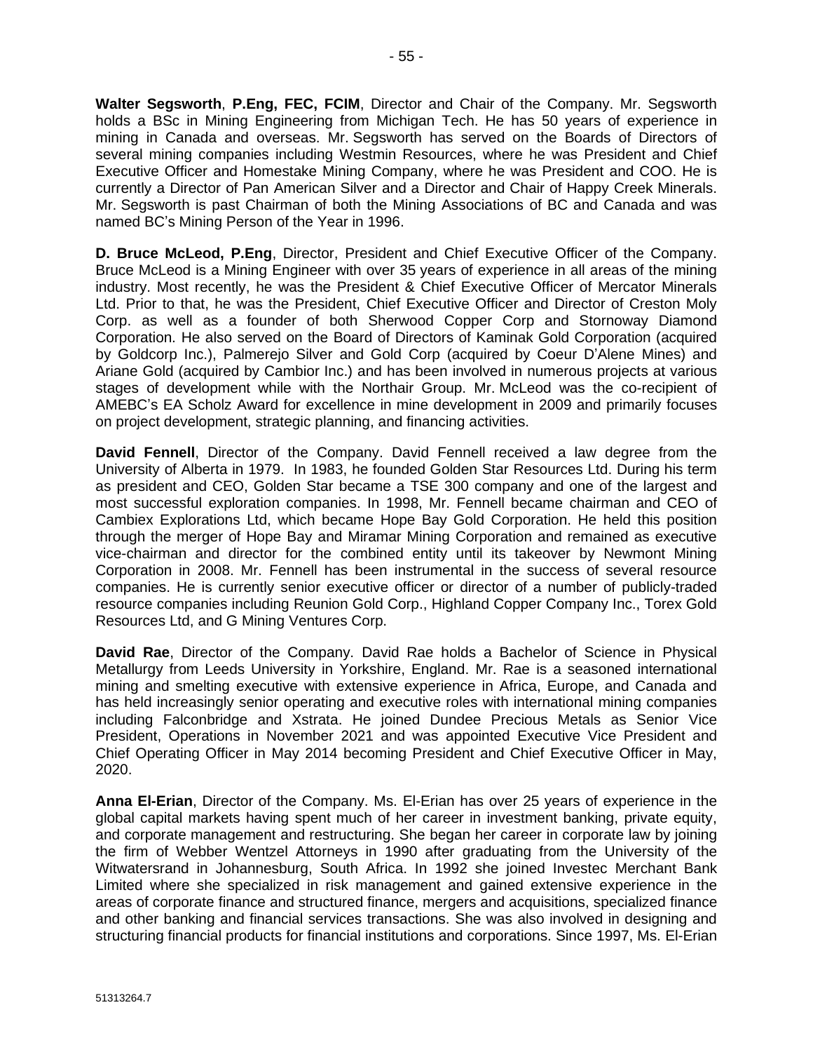**Walter Segsworth**, **P.Eng, FEC, FCIM**, Director and Chair of the Company. Mr. Segsworth holds a BSc in Mining Engineering from Michigan Tech. He has 50 years of experience in mining in Canada and overseas. Mr. Segsworth has served on the Boards of Directors of several mining companies including Westmin Resources, where he was President and Chief Executive Officer and Homestake Mining Company, where he was President and COO. He is currently a Director of Pan American Silver and a Director and Chair of Happy Creek Minerals. Mr. Segsworth is past Chairman of both the Mining Associations of BC and Canada and was named BC's Mining Person of the Year in 1996.

**D. Bruce McLeod, P.Eng**, Director, President and Chief Executive Officer of the Company. Bruce McLeod is a Mining Engineer with over 35 years of experience in all areas of the mining industry. Most recently, he was the President & Chief Executive Officer of Mercator Minerals Ltd. Prior to that, he was the President, Chief Executive Officer and Director of Creston Moly Corp. as well as a founder of both Sherwood Copper Corp and Stornoway Diamond Corporation. He also served on the Board of Directors of Kaminak Gold Corporation (acquired by Goldcorp Inc.), Palmerejo Silver and Gold Corp (acquired by Coeur D'Alene Mines) and Ariane Gold (acquired by Cambior Inc.) and has been involved in numerous projects at various stages of development while with the Northair Group. Mr. McLeod was the co-recipient of AMEBC's EA Scholz Award for excellence in mine development in 2009 and primarily focuses on project development, strategic planning, and financing activities.

**David Fennell**, Director of the Company. David Fennell received a law degree from the University of Alberta in 1979. In 1983, he founded Golden Star Resources Ltd. During his term as president and CEO, Golden Star became a TSE 300 company and one of the largest and most successful exploration companies. In 1998, Mr. Fennell became chairman and CEO of Cambiex Explorations Ltd, which became Hope Bay Gold Corporation. He held this position through the merger of Hope Bay and Miramar Mining Corporation and remained as executive vice-chairman and director for the combined entity until its takeover by Newmont Mining Corporation in 2008. Mr. Fennell has been instrumental in the success of several resource companies. He is currently senior executive officer or director of a number of publicly-traded resource companies including Reunion Gold Corp., Highland Copper Company Inc., Torex Gold Resources Ltd, and G Mining Ventures Corp.

**David Rae**, Director of the Company. David Rae holds a Bachelor of Science in Physical Metallurgy from Leeds University in Yorkshire, England. Mr. Rae is a seasoned international mining and smelting executive with extensive experience in Africa, Europe, and Canada and has held increasingly senior operating and executive roles with international mining companies including Falconbridge and Xstrata. He joined Dundee Precious Metals as Senior Vice President, Operations in November 2021 and was appointed Executive Vice President and Chief Operating Officer in May 2014 becoming President and Chief Executive Officer in May, 2020.

**Anna El-Erian**, Director of the Company. Ms. El-Erian has over 25 years of experience in the global capital markets having spent much of her career in investment banking, private equity, and corporate management and restructuring. She began her career in corporate law by joining the firm of Webber Wentzel Attorneys in 1990 after graduating from the University of the Witwatersrand in Johannesburg, South Africa. In 1992 she joined Investec Merchant Bank Limited where she specialized in risk management and gained extensive experience in the areas of corporate finance and structured finance, mergers and acquisitions, specialized finance and other banking and financial services transactions. She was also involved in designing and structuring financial products for financial institutions and corporations. Since 1997, Ms. El-Erian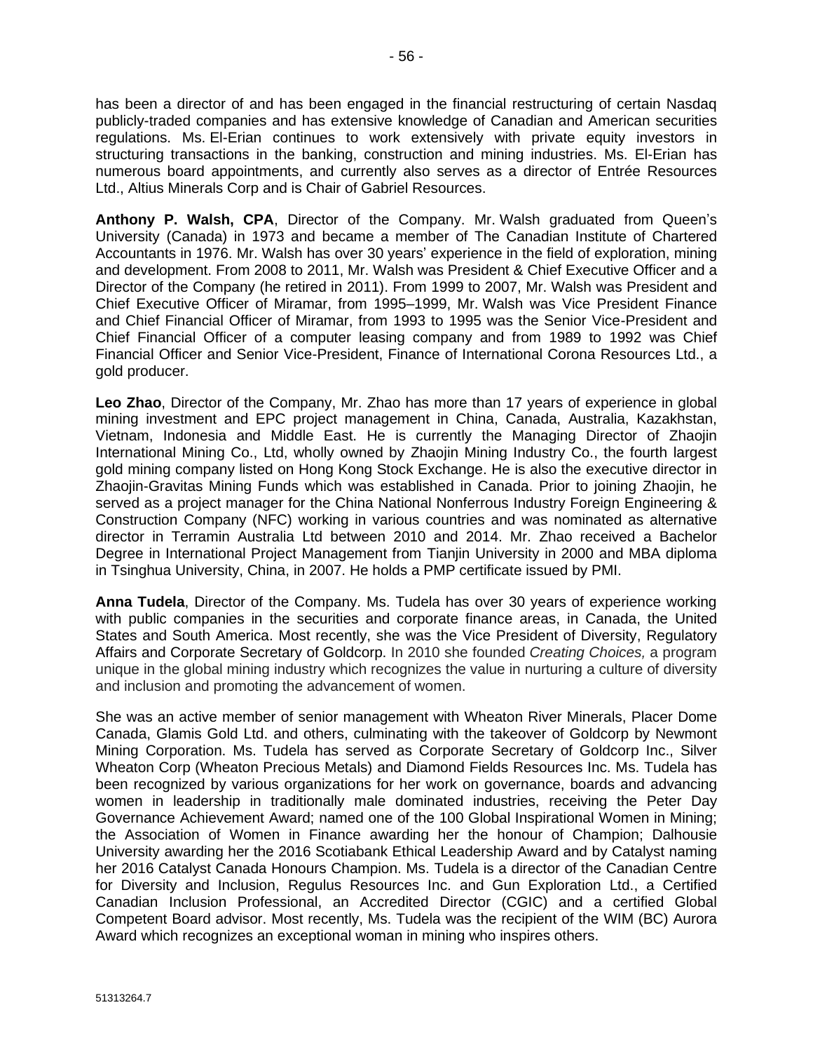has been a director of and has been engaged in the financial restructuring of certain Nasdaq publicly-traded companies and has extensive knowledge of Canadian and American securities regulations. Ms. El-Erian continues to work extensively with private equity investors in structuring transactions in the banking, construction and mining industries. Ms. El-Erian has numerous board appointments, and currently also serves as a director of Entrée Resources Ltd., Altius Minerals Corp and is Chair of Gabriel Resources.

**Anthony P. Walsh, CPA**, Director of the Company. Mr. Walsh graduated from Queen's University (Canada) in 1973 and became a member of The Canadian Institute of Chartered Accountants in 1976. Mr. Walsh has over 30 years' experience in the field of exploration, mining and development. From 2008 to 2011, Mr. Walsh was President & Chief Executive Officer and a Director of the Company (he retired in 2011). From 1999 to 2007, Mr. Walsh was President and Chief Executive Officer of Miramar, from 1995–1999, Mr. Walsh was Vice President Finance and Chief Financial Officer of Miramar, from 1993 to 1995 was the Senior Vice-President and Chief Financial Officer of a computer leasing company and from 1989 to 1992 was Chief Financial Officer and Senior Vice-President, Finance of International Corona Resources Ltd., a gold producer.

**Leo Zhao**, Director of the Company, Mr. Zhao has more than 17 years of experience in global mining investment and EPC project management in China, Canada, Australia, Kazakhstan, Vietnam, Indonesia and Middle East. He is currently the Managing Director of Zhaojin International Mining Co., Ltd, wholly owned by Zhaojin Mining Industry Co., the fourth largest gold mining company listed on Hong Kong Stock Exchange. He is also the executive director in Zhaojin-Gravitas Mining Funds which was established in Canada. Prior to joining Zhaojin, he served as a project manager for the China National Nonferrous Industry Foreign Engineering & Construction Company (NFC) working in various countries and was nominated as alternative director in Terramin Australia Ltd between 2010 and 2014. Mr. Zhao received a Bachelor Degree in International Project Management from Tianjin University in 2000 and MBA diploma in Tsinghua University, China, in 2007. He holds a PMP certificate issued by PMI.

**Anna Tudela**, Director of the Company. Ms. Tudela has over 30 years of experience working with public companies in the securities and corporate finance areas, in Canada, the United States and South America. Most recently, she was the Vice President of Diversity, Regulatory Affairs and Corporate Secretary of Goldcorp. In 2010 she founded *Creating Choices,* a program unique in the global mining industry which recognizes the value in nurturing a culture of diversity and inclusion and promoting the advancement of women.

She was an active member of senior management with Wheaton River Minerals, Placer Dome Canada, Glamis Gold Ltd. and others, culminating with the takeover of Goldcorp by Newmont Mining Corporation. Ms. Tudela has served as Corporate Secretary of Goldcorp Inc., Silver Wheaton Corp (Wheaton Precious Metals) and Diamond Fields Resources Inc. Ms. Tudela has been recognized by various organizations for her work on governance, boards and advancing women in leadership in traditionally male dominated industries, receiving the Peter Day Governance Achievement Award; named one of the 100 Global Inspirational Women in Mining; the Association of Women in Finance awarding her the honour of Champion; Dalhousie University awarding her the 2016 Scotiabank Ethical Leadership Award and by Catalyst naming her 2016 Catalyst Canada Honours Champion. Ms. Tudela is a director of the Canadian Centre for Diversity and Inclusion, Regulus Resources Inc. and Gun Exploration Ltd., a Certified Canadian Inclusion Professional, an Accredited Director (CGIC) and a certified Global Competent Board advisor. Most recently, Ms. Tudela was the recipient of the WIM (BC) Aurora Award which recognizes an exceptional woman in mining who inspires others.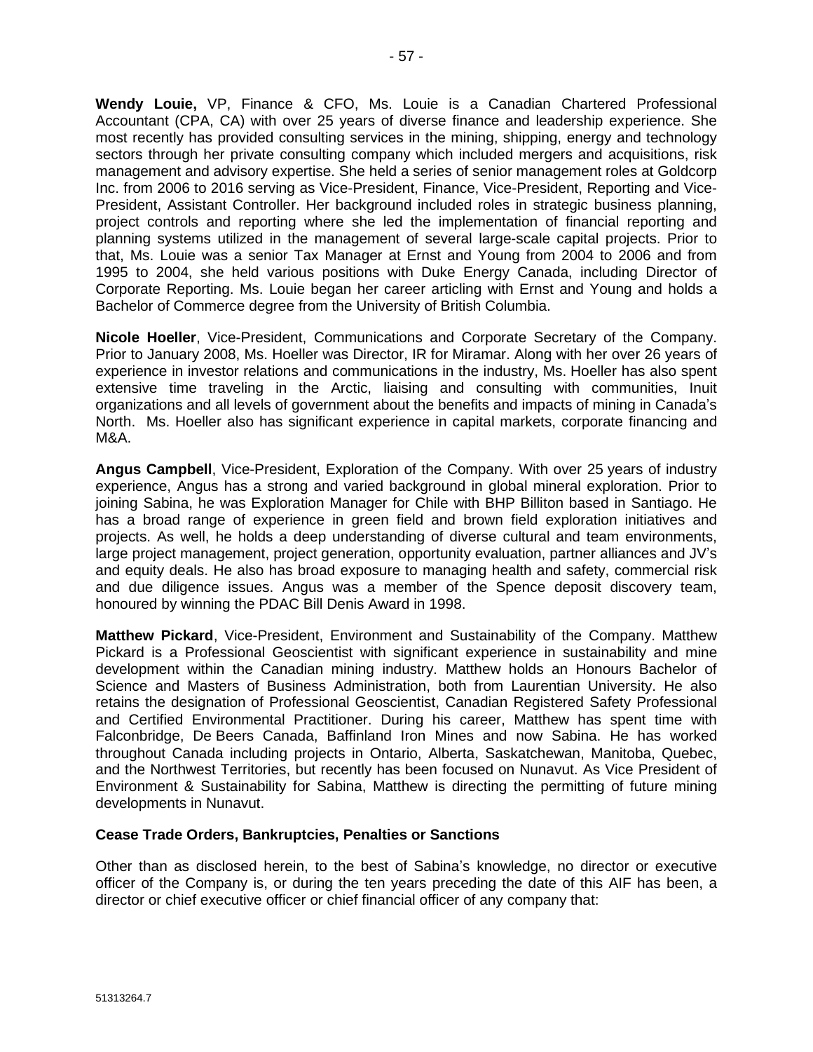**Wendy Louie,** VP, Finance & CFO, Ms. Louie is a Canadian Chartered Professional Accountant (CPA, CA) with over 25 years of diverse finance and leadership experience. She most recently has provided consulting services in the mining, shipping, energy and technology sectors through her private consulting company which included mergers and acquisitions, risk management and advisory expertise. She held a series of senior management roles at Goldcorp Inc. from 2006 to 2016 serving as Vice-President, Finance, Vice-President, Reporting and Vice-President, Assistant Controller. Her background included roles in strategic business planning, project controls and reporting where she led the implementation of financial reporting and planning systems utilized in the management of several large-scale capital projects. Prior to that, Ms. Louie was a senior Tax Manager at Ernst and Young from 2004 to 2006 and from 1995 to 2004, she held various positions with Duke Energy Canada, including Director of Corporate Reporting. Ms. Louie began her career articling with Ernst and Young and holds a Bachelor of Commerce degree from the University of British Columbia.

**Nicole Hoeller**, Vice-President, Communications and Corporate Secretary of the Company. Prior to January 2008, Ms. Hoeller was Director, IR for Miramar. Along with her over 26 years of experience in investor relations and communications in the industry, Ms. Hoeller has also spent extensive time traveling in the Arctic, liaising and consulting with communities, Inuit organizations and all levels of government about the benefits and impacts of mining in Canada's North. Ms. Hoeller also has significant experience in capital markets, corporate financing and M&A.

**Angus Campbell**, Vice-President, Exploration of the Company. With over 25 years of industry experience, Angus has a strong and varied background in global mineral exploration. Prior to joining Sabina, he was Exploration Manager for Chile with BHP Billiton based in Santiago. He has a broad range of experience in green field and brown field exploration initiatives and projects. As well, he holds a deep understanding of diverse cultural and team environments, large project management, project generation, opportunity evaluation, partner alliances and JV's and equity deals. He also has broad exposure to managing health and safety, commercial risk and due diligence issues. Angus was a member of the Spence deposit discovery team, honoured by winning the PDAC Bill Denis Award in 1998.

**Matthew Pickard**, Vice-President, Environment and Sustainability of the Company. Matthew Pickard is a Professional Geoscientist with significant experience in sustainability and mine development within the Canadian mining industry. Matthew holds an Honours Bachelor of Science and Masters of Business Administration, both from Laurentian University. He also retains the designation of Professional Geoscientist, Canadian Registered Safety Professional and Certified Environmental Practitioner. During his career, Matthew has spent time with Falconbridge, De Beers Canada, Baffinland Iron Mines and now Sabina. He has worked throughout Canada including projects in Ontario, Alberta, Saskatchewan, Manitoba, Quebec, and the Northwest Territories, but recently has been focused on Nunavut. As Vice President of Environment & Sustainability for Sabina, Matthew is directing the permitting of future mining developments in Nunavut.

#### **Cease Trade Orders, Bankruptcies, Penalties or Sanctions**

Other than as disclosed herein, to the best of Sabina's knowledge, no director or executive officer of the Company is, or during the ten years preceding the date of this AIF has been, a director or chief executive officer or chief financial officer of any company that: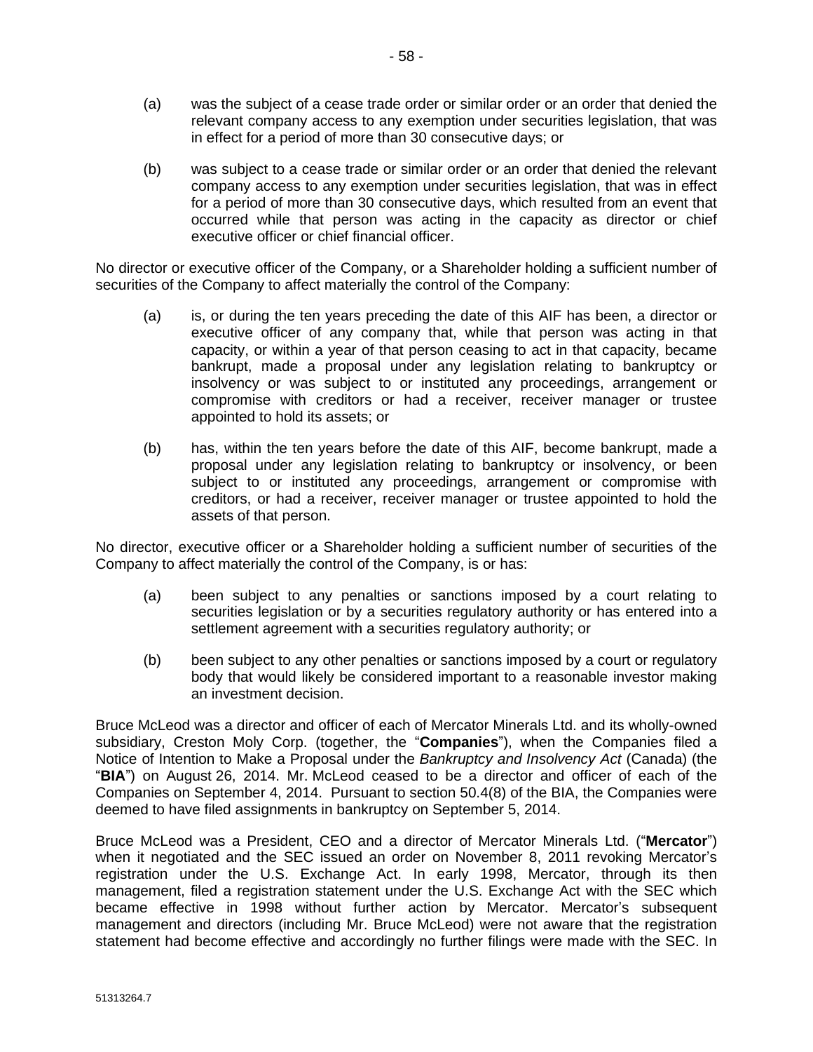- (a) was the subject of a cease trade order or similar order or an order that denied the relevant company access to any exemption under securities legislation, that was in effect for a period of more than 30 consecutive days; or
- (b) was subject to a cease trade or similar order or an order that denied the relevant company access to any exemption under securities legislation, that was in effect for a period of more than 30 consecutive days, which resulted from an event that occurred while that person was acting in the capacity as director or chief executive officer or chief financial officer.

No director or executive officer of the Company, or a Shareholder holding a sufficient number of securities of the Company to affect materially the control of the Company:

- (a) is, or during the ten years preceding the date of this AIF has been, a director or executive officer of any company that, while that person was acting in that capacity, or within a year of that person ceasing to act in that capacity, became bankrupt, made a proposal under any legislation relating to bankruptcy or insolvency or was subject to or instituted any proceedings, arrangement or compromise with creditors or had a receiver, receiver manager or trustee appointed to hold its assets; or
- (b) has, within the ten years before the date of this AIF, become bankrupt, made a proposal under any legislation relating to bankruptcy or insolvency, or been subject to or instituted any proceedings, arrangement or compromise with creditors, or had a receiver, receiver manager or trustee appointed to hold the assets of that person.

No director, executive officer or a Shareholder holding a sufficient number of securities of the Company to affect materially the control of the Company, is or has:

- (a) been subject to any penalties or sanctions imposed by a court relating to securities legislation or by a securities regulatory authority or has entered into a settlement agreement with a securities regulatory authority; or
- (b) been subject to any other penalties or sanctions imposed by a court or regulatory body that would likely be considered important to a reasonable investor making an investment decision.

Bruce McLeod was a director and officer of each of Mercator Minerals Ltd. and its wholly-owned subsidiary, Creston Moly Corp. (together, the "**Companies**"), when the Companies filed a Notice of Intention to Make a Proposal under the *Bankruptcy and Insolvency Act* (Canada) (the "**BIA**") on August 26, 2014. Mr. McLeod ceased to be a director and officer of each of the Companies on September 4, 2014. Pursuant to section 50.4(8) of the BIA, the Companies were deemed to have filed assignments in bankruptcy on September 5, 2014.

Bruce McLeod was a President, CEO and a director of Mercator Minerals Ltd. ("**Mercator**") when it negotiated and the SEC issued an order on November 8, 2011 revoking Mercator's registration under the U.S. Exchange Act. In early 1998, Mercator, through its then management, filed a registration statement under the U.S. Exchange Act with the SEC which became effective in 1998 without further action by Mercator. Mercator's subsequent management and directors (including Mr. Bruce McLeod) were not aware that the registration statement had become effective and accordingly no further filings were made with the SEC. In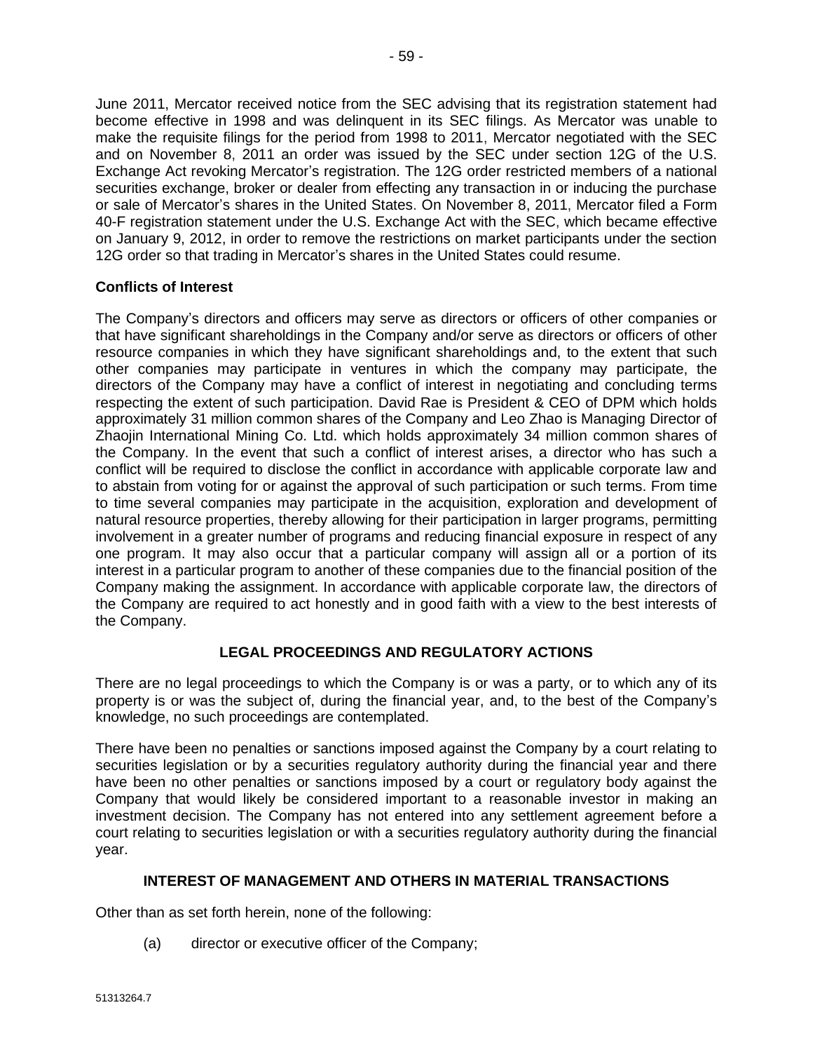June 2011, Mercator received notice from the SEC advising that its registration statement had become effective in 1998 and was delinquent in its SEC filings. As Mercator was unable to make the requisite filings for the period from 1998 to 2011, Mercator negotiated with the SEC and on November 8, 2011 an order was issued by the SEC under section 12G of the U.S. Exchange Act revoking Mercator's registration. The 12G order restricted members of a national securities exchange, broker or dealer from effecting any transaction in or inducing the purchase or sale of Mercator's shares in the United States. On November 8, 2011, Mercator filed a Form 40-F registration statement under the U.S. Exchange Act with the SEC, which became effective on January 9, 2012, in order to remove the restrictions on market participants under the section 12G order so that trading in Mercator's shares in the United States could resume.

# **Conflicts of Interest**

The Company's directors and officers may serve as directors or officers of other companies or that have significant shareholdings in the Company and/or serve as directors or officers of other resource companies in which they have significant shareholdings and, to the extent that such other companies may participate in ventures in which the company may participate, the directors of the Company may have a conflict of interest in negotiating and concluding terms respecting the extent of such participation. David Rae is President & CEO of DPM which holds approximately 31 million common shares of the Company and Leo Zhao is Managing Director of Zhaojin International Mining Co. Ltd. which holds approximately 34 million common shares of the Company. In the event that such a conflict of interest arises, a director who has such a conflict will be required to disclose the conflict in accordance with applicable corporate law and to abstain from voting for or against the approval of such participation or such terms. From time to time several companies may participate in the acquisition, exploration and development of natural resource properties, thereby allowing for their participation in larger programs, permitting involvement in a greater number of programs and reducing financial exposure in respect of any one program. It may also occur that a particular company will assign all or a portion of its interest in a particular program to another of these companies due to the financial position of the Company making the assignment. In accordance with applicable corporate law, the directors of the Company are required to act honestly and in good faith with a view to the best interests of the Company.

# **LEGAL PROCEEDINGS AND REGULATORY ACTIONS**

There are no legal proceedings to which the Company is or was a party, or to which any of its property is or was the subject of, during the financial year, and, to the best of the Company's knowledge, no such proceedings are contemplated.

There have been no penalties or sanctions imposed against the Company by a court relating to securities legislation or by a securities regulatory authority during the financial year and there have been no other penalties or sanctions imposed by a court or regulatory body against the Company that would likely be considered important to a reasonable investor in making an investment decision. The Company has not entered into any settlement agreement before a court relating to securities legislation or with a securities regulatory authority during the financial year.

# **INTEREST OF MANAGEMENT AND OTHERS IN MATERIAL TRANSACTIONS**

Other than as set forth herein, none of the following:

(a) director or executive officer of the Company;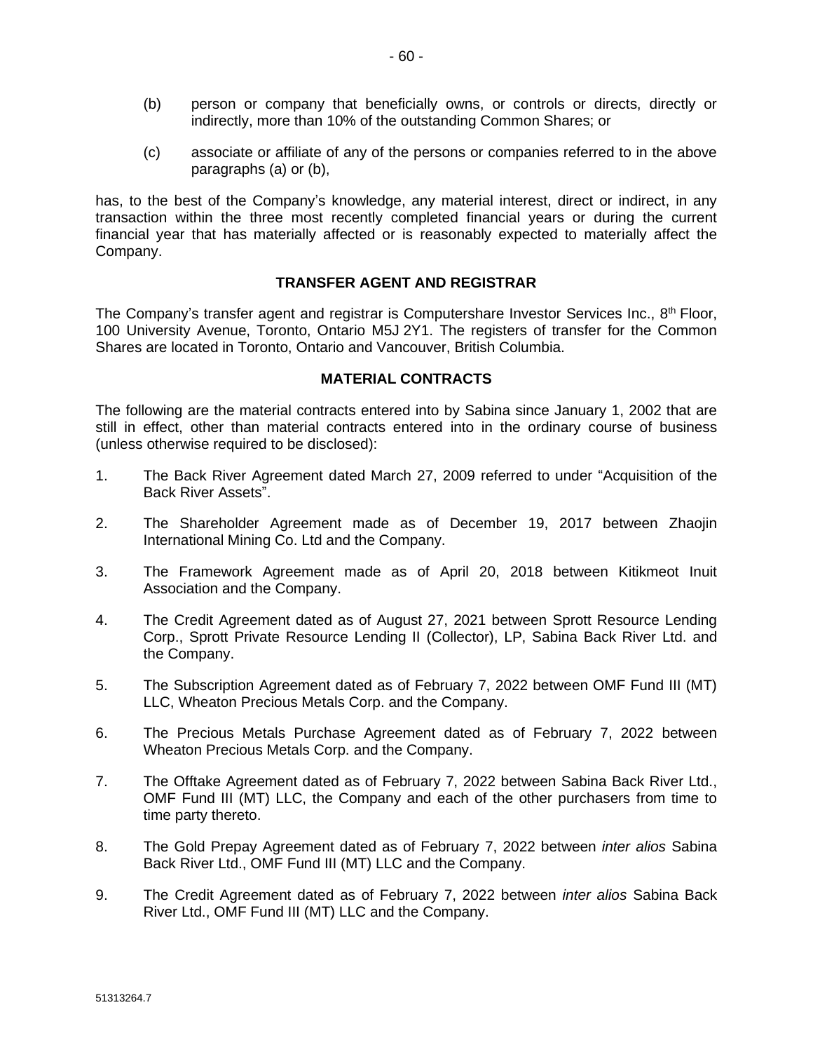- (b) person or company that beneficially owns, or controls or directs, directly or indirectly, more than 10% of the outstanding Common Shares; or
- (c) associate or affiliate of any of the persons or companies referred to in the above paragraphs (a) or (b),

has, to the best of the Company's knowledge, any material interest, direct or indirect, in any transaction within the three most recently completed financial years or during the current financial year that has materially affected or is reasonably expected to materially affect the Company.

#### **TRANSFER AGENT AND REGISTRAR**

The Company's transfer agent and registrar is Computershare Investor Services Inc., 8<sup>th</sup> Floor, 100 University Avenue, Toronto, Ontario M5J 2Y1. The registers of transfer for the Common Shares are located in Toronto, Ontario and Vancouver, British Columbia.

#### **MATERIAL CONTRACTS**

The following are the material contracts entered into by Sabina since January 1, 2002 that are still in effect, other than material contracts entered into in the ordinary course of business (unless otherwise required to be disclosed):

- 1. The Back River Agreement dated March 27, 2009 referred to under "Acquisition of the Back River Assets".
- 2. The Shareholder Agreement made as of December 19, 2017 between Zhaojin International Mining Co. Ltd and the Company.
- 3. The Framework Agreement made as of April 20, 2018 between Kitikmeot Inuit Association and the Company.
- 4. The Credit Agreement dated as of August 27, 2021 between Sprott Resource Lending Corp., Sprott Private Resource Lending II (Collector), LP, Sabina Back River Ltd. and the Company.
- 5. The Subscription Agreement dated as of February 7, 2022 between OMF Fund III (MT) LLC, Wheaton Precious Metals Corp. and the Company.
- 6. The Precious Metals Purchase Agreement dated as of February 7, 2022 between Wheaton Precious Metals Corp. and the Company.
- 7. The Offtake Agreement dated as of February 7, 2022 between Sabina Back River Ltd., OMF Fund III (MT) LLC, the Company and each of the other purchasers from time to time party thereto.
- 8. The Gold Prepay Agreement dated as of February 7, 2022 between *inter alios* Sabina Back River Ltd., OMF Fund III (MT) LLC and the Company.
- 9. The Credit Agreement dated as of February 7, 2022 between *inter alios* Sabina Back River Ltd., OMF Fund III (MT) LLC and the Company.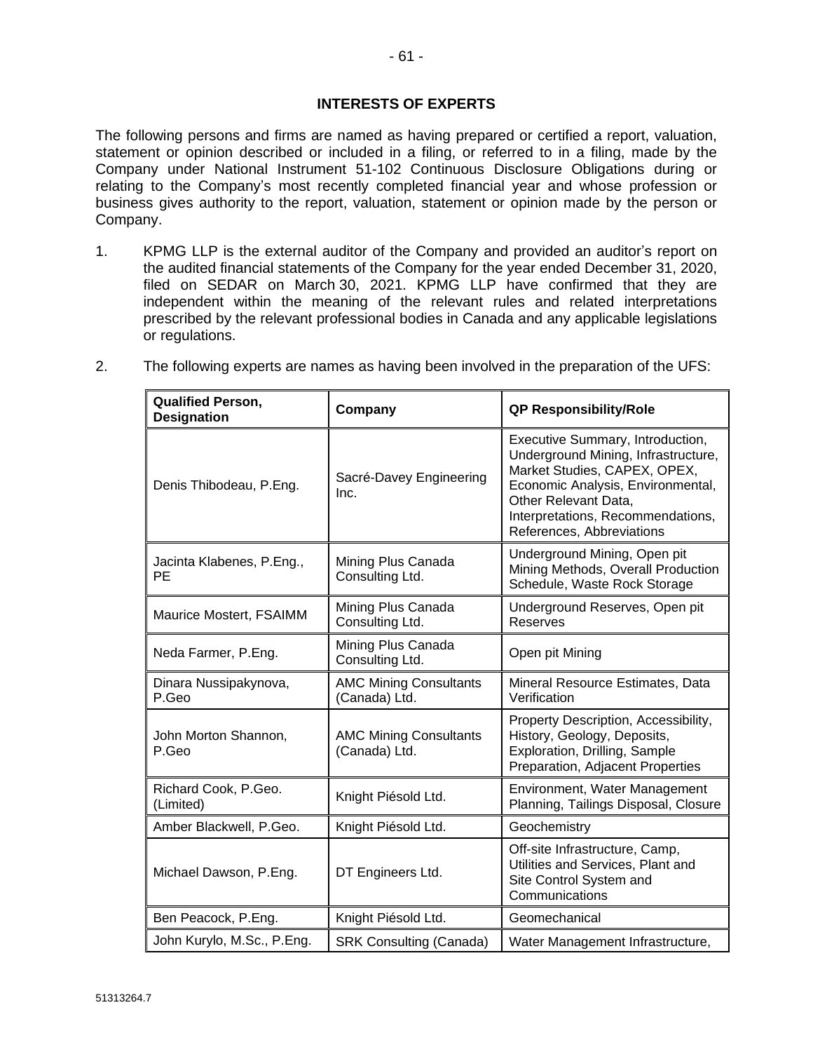# **INTERESTS OF EXPERTS**

The following persons and firms are named as having prepared or certified a report, valuation, statement or opinion described or included in a filing, or referred to in a filing, made by the Company under National Instrument 51-102 Continuous Disclosure Obligations during or relating to the Company's most recently completed financial year and whose profession or business gives authority to the report, valuation, statement or opinion made by the person or Company.

1. KPMG LLP is the external auditor of the Company and provided an auditor's report on the audited financial statements of the Company for the year ended December 31, 2020, filed on SEDAR on March 30, 2021. KPMG LLP have confirmed that they are independent within the meaning of the relevant rules and related interpretations prescribed by the relevant professional bodies in Canada and any applicable legislations or regulations.

| <b>Qualified Person,</b><br><b>Designation</b> | Company                                        | <b>QP Responsibility/Role</b>                                                                                                                                                                                                          |
|------------------------------------------------|------------------------------------------------|----------------------------------------------------------------------------------------------------------------------------------------------------------------------------------------------------------------------------------------|
| Denis Thibodeau, P.Eng.                        | Sacré-Davey Engineering<br>Inc.                | Executive Summary, Introduction,<br>Underground Mining, Infrastructure,<br>Market Studies, CAPEX, OPEX,<br>Economic Analysis, Environmental,<br>Other Relevant Data,<br>Interpretations, Recommendations,<br>References, Abbreviations |
| Jacinta Klabenes, P.Eng.,<br>PE                | Mining Plus Canada<br>Consulting Ltd.          | Underground Mining, Open pit<br>Mining Methods, Overall Production<br>Schedule, Waste Rock Storage                                                                                                                                     |
| Maurice Mostert, FSAIMM                        | Mining Plus Canada<br>Consulting Ltd.          | Underground Reserves, Open pit<br>Reserves                                                                                                                                                                                             |
| Neda Farmer, P.Eng.                            | Mining Plus Canada<br>Consulting Ltd.          | Open pit Mining                                                                                                                                                                                                                        |
| Dinara Nussipakynova,<br>P.Geo                 | <b>AMC Mining Consultants</b><br>(Canada) Ltd. | Mineral Resource Estimates, Data<br>Verification                                                                                                                                                                                       |
| John Morton Shannon,<br>P.Geo                  | <b>AMC Mining Consultants</b><br>(Canada) Ltd. | Property Description, Accessibility,<br>History, Geology, Deposits,<br>Exploration, Drilling, Sample<br>Preparation, Adjacent Properties                                                                                               |
| Richard Cook, P.Geo.<br>(Limited)              | Knight Piésold Ltd.                            | Environment, Water Management<br>Planning, Tailings Disposal, Closure                                                                                                                                                                  |
| Amber Blackwell, P.Geo.                        | Knight Piésold Ltd.                            | Geochemistry                                                                                                                                                                                                                           |
| Michael Dawson, P.Eng.                         | DT Engineers Ltd.                              | Off-site Infrastructure, Camp,<br>Utilities and Services, Plant and<br>Site Control System and<br>Communications                                                                                                                       |
| Ben Peacock, P.Eng.                            | Knight Piésold Ltd.                            | Geomechanical                                                                                                                                                                                                                          |
| John Kurylo, M.Sc., P.Eng.                     | <b>SRK Consulting (Canada)</b>                 | Water Management Infrastructure,                                                                                                                                                                                                       |

2. The following experts are names as having been involved in the preparation of the UFS: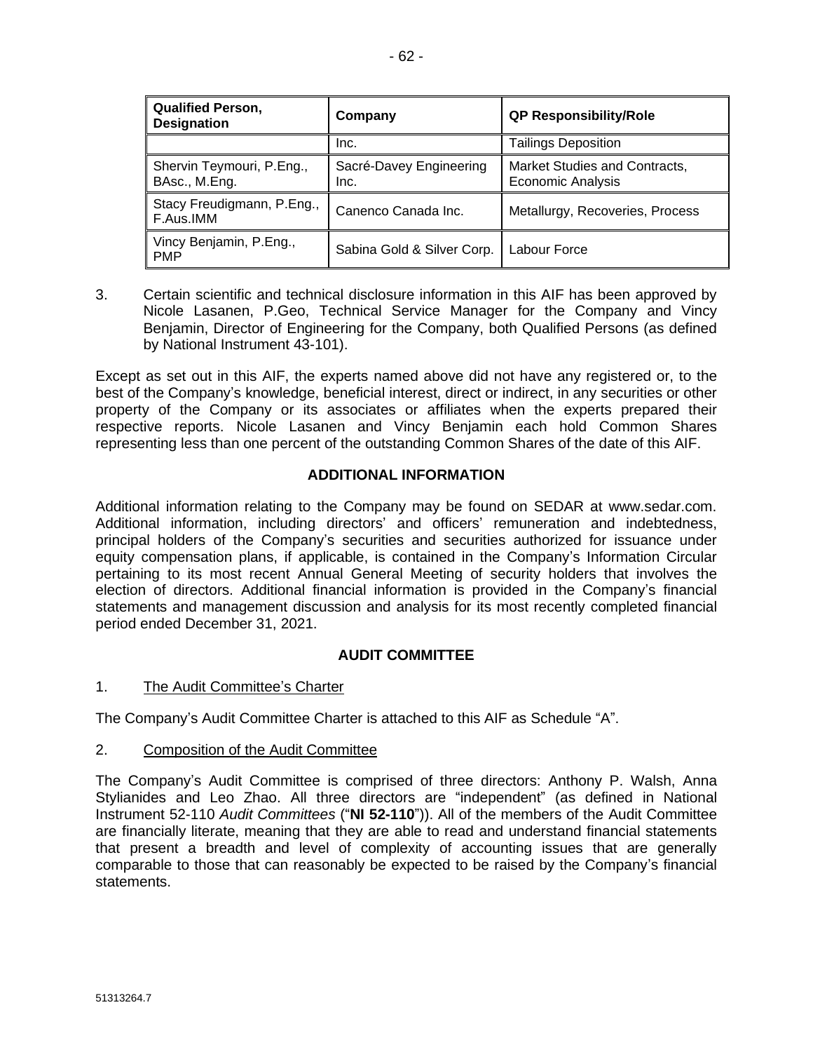| <b>Qualified Person,</b><br><b>Designation</b> | Company                         | <b>QP Responsibility/Role</b>                             |
|------------------------------------------------|---------------------------------|-----------------------------------------------------------|
|                                                | Inc.                            | <b>Tailings Deposition</b>                                |
| Shervin Teymouri, P.Eng.,<br>BAsc., M.Eng.     | Sacré-Davey Engineering<br>Inc. | Market Studies and Contracts,<br><b>Economic Analysis</b> |
| Stacy Freudigmann, P.Eng.,<br>F.Aus.IMM        | Canenco Canada Inc.             | Metallurgy, Recoveries, Process                           |
| Vincy Benjamin, P.Eng.,<br><b>PMP</b>          | Sabina Gold & Silver Corp.      | Labour Force                                              |

3. Certain scientific and technical disclosure information in this AIF has been approved by Nicole Lasanen, P.Geo, Technical Service Manager for the Company and Vincy Benjamin, Director of Engineering for the Company, both Qualified Persons (as defined by National Instrument 43-101).

Except as set out in this AIF, the experts named above did not have any registered or, to the best of the Company's knowledge, beneficial interest, direct or indirect, in any securities or other property of the Company or its associates or affiliates when the experts prepared their respective reports. Nicole Lasanen and Vincy Benjamin each hold Common Shares representing less than one percent of the outstanding Common Shares of the date of this AIF.

# **ADDITIONAL INFORMATION**

Additional information relating to the Company may be found on SEDAR at www.sedar.com. Additional information, including directors' and officers' remuneration and indebtedness, principal holders of the Company's securities and securities authorized for issuance under equity compensation plans, if applicable, is contained in the Company's Information Circular pertaining to its most recent Annual General Meeting of security holders that involves the election of directors. Additional financial information is provided in the Company's financial statements and management discussion and analysis for its most recently completed financial period ended December 31, 2021.

# **AUDIT COMMITTEE**

1. The Audit Committee's Charter

The Company's Audit Committee Charter is attached to this AIF as Schedule "A".

# 2. Composition of the Audit Committee

The Company's Audit Committee is comprised of three directors: Anthony P. Walsh, Anna Stylianides and Leo Zhao. All three directors are "independent" (as defined in National Instrument 52-110 *Audit Committees* ("**NI 52-110**")). All of the members of the Audit Committee are financially literate, meaning that they are able to read and understand financial statements that present a breadth and level of complexity of accounting issues that are generally comparable to those that can reasonably be expected to be raised by the Company's financial statements.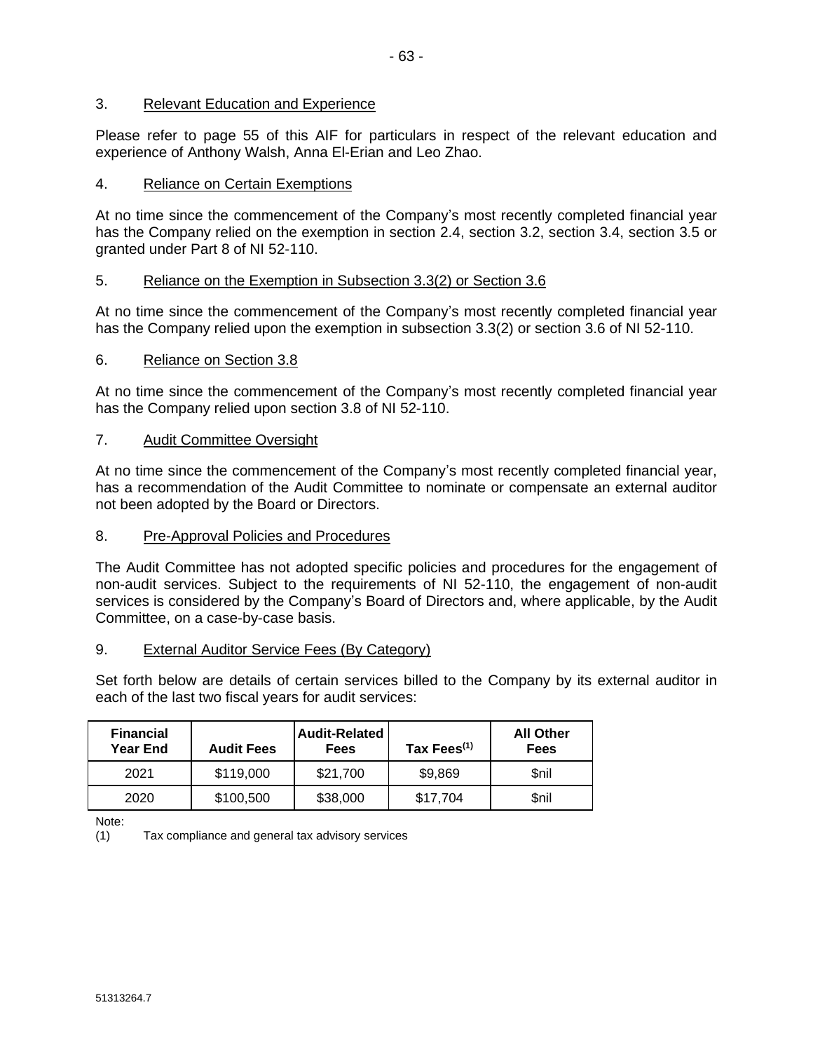# 3. Relevant Education and Experience

Please refer to page 55 of this AIF for particulars in respect of the relevant education and experience of Anthony Walsh, Anna El-Erian and Leo Zhao.

# 4. Reliance on Certain Exemptions

At no time since the commencement of the Company's most recently completed financial year has the Company relied on the exemption in section 2.4, section 3.2, section 3.4, section 3.5 or granted under Part 8 of NI 52-110.

# 5. Reliance on the Exemption in Subsection 3.3(2) or Section 3.6

At no time since the commencement of the Company's most recently completed financial year has the Company relied upon the exemption in subsection 3.3(2) or section 3.6 of NI 52-110.

# 6. Reliance on Section 3.8

At no time since the commencement of the Company's most recently completed financial year has the Company relied upon section 3.8 of NI 52-110.

#### 7. Audit Committee Oversight

At no time since the commencement of the Company's most recently completed financial year, has a recommendation of the Audit Committee to nominate or compensate an external auditor not been adopted by the Board or Directors.

#### 8. Pre-Approval Policies and Procedures

The Audit Committee has not adopted specific policies and procedures for the engagement of non-audit services. Subject to the requirements of NI 52-110, the engagement of non-audit services is considered by the Company's Board of Directors and, where applicable, by the Audit Committee, on a case-by-case basis.

#### 9. External Auditor Service Fees (By Category)

Set forth below are details of certain services billed to the Company by its external auditor in each of the last two fiscal years for audit services:

| <b>Financial</b><br><b>Year End</b> | <b>Audit Fees</b> | <b>Audit-Related</b><br>Fees | Tax Fees <sup>(1)</sup> | <b>All Other</b><br><b>Fees</b> |
|-------------------------------------|-------------------|------------------------------|-------------------------|---------------------------------|
| 2021                                | \$119,000         | \$21,700                     | \$9,869                 | \$nil                           |
| 2020                                | \$100,500         | \$38,000                     | \$17,704                | \$nil                           |

Note:

(1) Tax compliance and general tax advisory services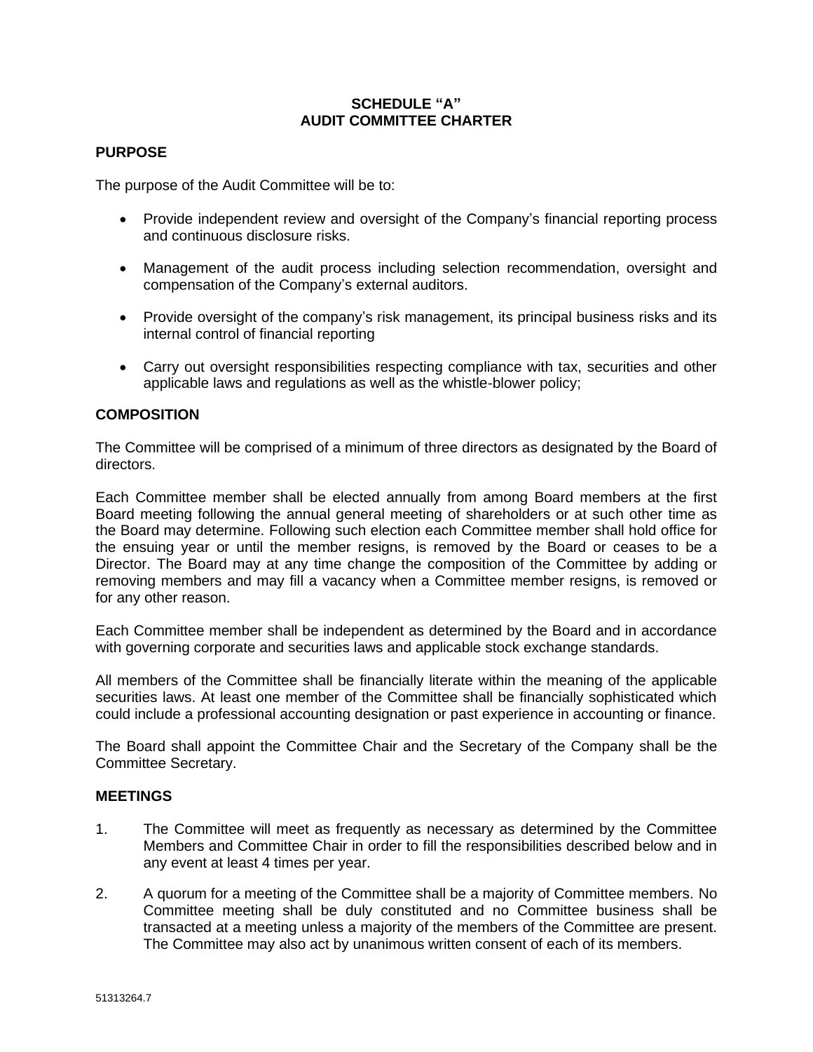# **SCHEDULE "A" AUDIT COMMITTEE CHARTER**

### **PURPOSE**

The purpose of the Audit Committee will be to:

- Provide independent review and oversight of the Company's financial reporting process and continuous disclosure risks.
- Management of the audit process including selection recommendation, oversight and compensation of the Company's external auditors.
- Provide oversight of the company's risk management, its principal business risks and its internal control of financial reporting
- Carry out oversight responsibilities respecting compliance with tax, securities and other applicable laws and regulations as well as the whistle-blower policy;

# **COMPOSITION**

The Committee will be comprised of a minimum of three directors as designated by the Board of directors.

Each Committee member shall be elected annually from among Board members at the first Board meeting following the annual general meeting of shareholders or at such other time as the Board may determine. Following such election each Committee member shall hold office for the ensuing year or until the member resigns, is removed by the Board or ceases to be a Director. The Board may at any time change the composition of the Committee by adding or removing members and may fill a vacancy when a Committee member resigns, is removed or for any other reason.

Each Committee member shall be independent as determined by the Board and in accordance with governing corporate and securities laws and applicable stock exchange standards.

All members of the Committee shall be financially literate within the meaning of the applicable securities laws. At least one member of the Committee shall be financially sophisticated which could include a professional accounting designation or past experience in accounting or finance.

The Board shall appoint the Committee Chair and the Secretary of the Company shall be the Committee Secretary.

#### **MEETINGS**

- 1. The Committee will meet as frequently as necessary as determined by the Committee Members and Committee Chair in order to fill the responsibilities described below and in any event at least 4 times per year.
- 2. A quorum for a meeting of the Committee shall be a majority of Committee members. No Committee meeting shall be duly constituted and no Committee business shall be transacted at a meeting unless a majority of the members of the Committee are present. The Committee may also act by unanimous written consent of each of its members.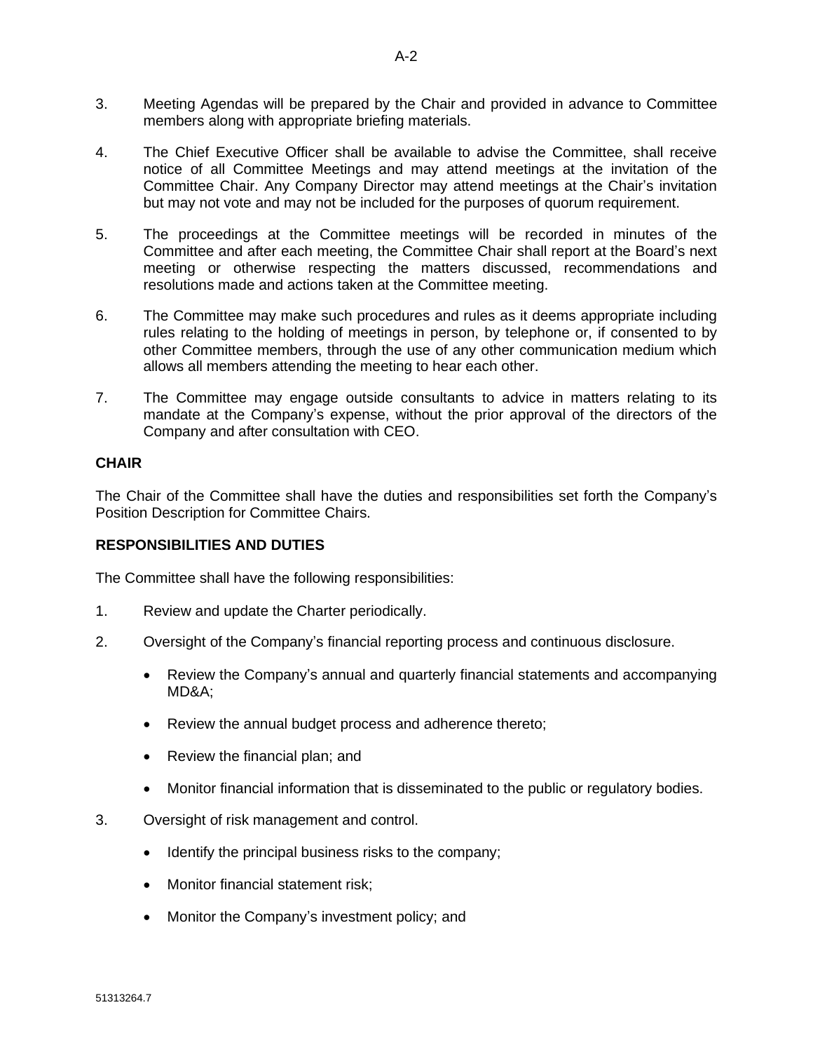- 3. Meeting Agendas will be prepared by the Chair and provided in advance to Committee members along with appropriate briefing materials.
- 4. The Chief Executive Officer shall be available to advise the Committee, shall receive notice of all Committee Meetings and may attend meetings at the invitation of the Committee Chair. Any Company Director may attend meetings at the Chair's invitation but may not vote and may not be included for the purposes of quorum requirement.
- 5. The proceedings at the Committee meetings will be recorded in minutes of the Committee and after each meeting, the Committee Chair shall report at the Board's next meeting or otherwise respecting the matters discussed, recommendations and resolutions made and actions taken at the Committee meeting.
- 6. The Committee may make such procedures and rules as it deems appropriate including rules relating to the holding of meetings in person, by telephone or, if consented to by other Committee members, through the use of any other communication medium which allows all members attending the meeting to hear each other.
- 7. The Committee may engage outside consultants to advice in matters relating to its mandate at the Company's expense, without the prior approval of the directors of the Company and after consultation with CEO.

# **CHAIR**

The Chair of the Committee shall have the duties and responsibilities set forth the Company's Position Description for Committee Chairs.

# **RESPONSIBILITIES AND DUTIES**

The Committee shall have the following responsibilities:

- 1. Review and update the Charter periodically.
- 2. Oversight of the Company's financial reporting process and continuous disclosure.
	- Review the Company's annual and quarterly financial statements and accompanying MD&A;
	- Review the annual budget process and adherence thereto;
	- Review the financial plan; and
	- Monitor financial information that is disseminated to the public or regulatory bodies.
- 3. Oversight of risk management and control.
	- Identify the principal business risks to the company;
	- Monitor financial statement risk;
	- Monitor the Company's investment policy; and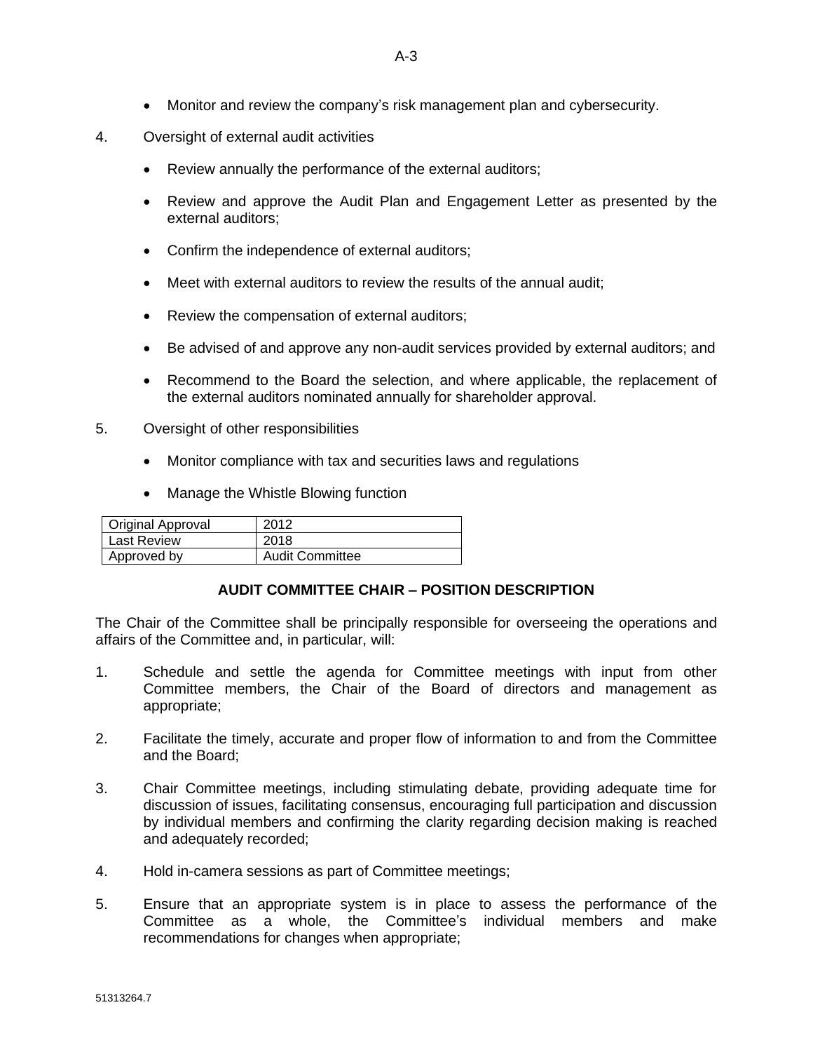- Monitor and review the company's risk management plan and cybersecurity.
- 4. Oversight of external audit activities
	- Review annually the performance of the external auditors;
	- Review and approve the Audit Plan and Engagement Letter as presented by the external auditors;
	- Confirm the independence of external auditors;
	- Meet with external auditors to review the results of the annual audit:
	- Review the compensation of external auditors;
	- Be advised of and approve any non-audit services provided by external auditors; and
	- Recommend to the Board the selection, and where applicable, the replacement of the external auditors nominated annually for shareholder approval.
- 5. Oversight of other responsibilities
	- Monitor compliance with tax and securities laws and regulations
	- Manage the Whistle Blowing function

| Original Approval  | 2012                   |
|--------------------|------------------------|
| <b>Last Review</b> | 2018                   |
| Approved by        | <b>Audit Committee</b> |

#### **AUDIT COMMITTEE CHAIR – POSITION DESCRIPTION**

The Chair of the Committee shall be principally responsible for overseeing the operations and affairs of the Committee and, in particular, will:

- 1. Schedule and settle the agenda for Committee meetings with input from other Committee members, the Chair of the Board of directors and management as appropriate;
- 2. Facilitate the timely, accurate and proper flow of information to and from the Committee and the Board;
- 3. Chair Committee meetings, including stimulating debate, providing adequate time for discussion of issues, facilitating consensus, encouraging full participation and discussion by individual members and confirming the clarity regarding decision making is reached and adequately recorded;
- 4. Hold in-camera sessions as part of Committee meetings;
- 5. Ensure that an appropriate system is in place to assess the performance of the Committee as a whole, the Committee's individual members and make recommendations for changes when appropriate;